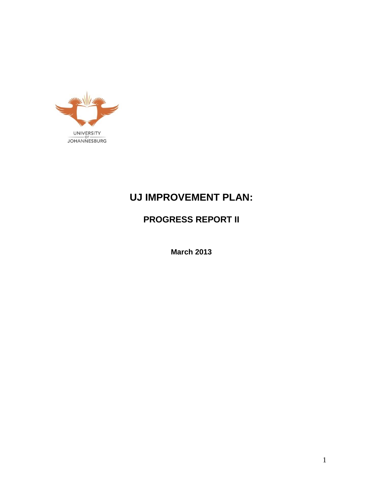

# **UJ IMPROVEMENT PLAN:**

**PROGRESS REPORT II**

**March 2013**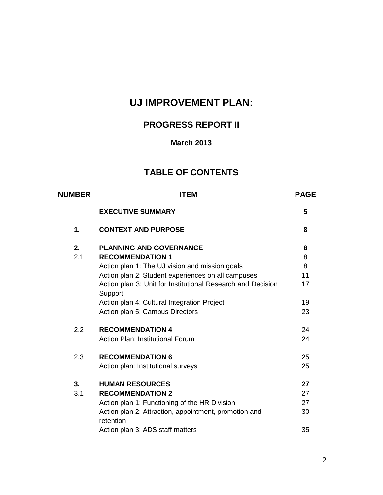# **UJ IMPROVEMENT PLAN:**

# **PROGRESS REPORT II**

## **March 2013**

## **TABLE OF CONTENTS**

| <b>NUMBER</b> | <b>ITEM</b>                                                            |    |  |  |  |  |
|---------------|------------------------------------------------------------------------|----|--|--|--|--|
|               | <b>EXECUTIVE SUMMARY</b>                                               |    |  |  |  |  |
| 1.            | <b>CONTEXT AND PURPOSE</b>                                             | 8  |  |  |  |  |
| 2.            | <b>PLANNING AND GOVERNANCE</b>                                         | 8  |  |  |  |  |
| 2.1           | <b>RECOMMENDATION 1</b>                                                | 8  |  |  |  |  |
|               | Action plan 1: The UJ vision and mission goals                         | 8  |  |  |  |  |
|               | Action plan 2: Student experiences on all campuses                     | 11 |  |  |  |  |
|               | Action plan 3: Unit for Institutional Research and Decision<br>Support | 17 |  |  |  |  |
|               | Action plan 4: Cultural Integration Project                            | 19 |  |  |  |  |
|               | Action plan 5: Campus Directors                                        | 23 |  |  |  |  |
| 2.2           | <b>RECOMMENDATION 4</b>                                                | 24 |  |  |  |  |
|               | <b>Action Plan: Institutional Forum</b>                                | 24 |  |  |  |  |
| 2.3           | <b>RECOMMENDATION 6</b>                                                | 25 |  |  |  |  |
|               | Action plan: Institutional surveys                                     | 25 |  |  |  |  |
| 3.            | <b>HUMAN RESOURCES</b>                                                 | 27 |  |  |  |  |
| 3.1           | <b>RECOMMENDATION 2</b>                                                | 27 |  |  |  |  |
|               | Action plan 1: Functioning of the HR Division                          | 27 |  |  |  |  |
|               | Action plan 2: Attraction, appointment, promotion and<br>retention     | 30 |  |  |  |  |
|               | Action plan 3: ADS staff matters                                       | 35 |  |  |  |  |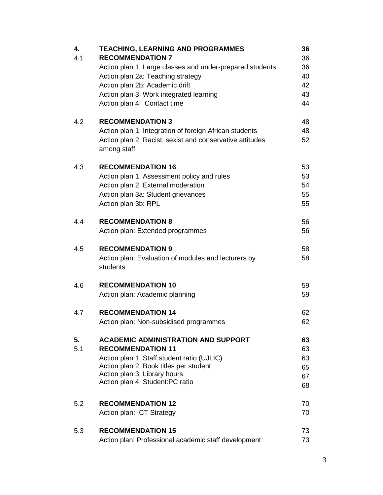| 4.<br>4.1 | <b>TEACHING, LEARNING AND PROGRAMMES</b><br><b>RECOMMENDATION 7</b><br>Action plan 1: Large classes and under-prepared students<br>Action plan 2a: Teaching strategy<br>Action plan 2b: Academic drift                             | 36<br>36<br>36<br>40<br>42       |
|-----------|------------------------------------------------------------------------------------------------------------------------------------------------------------------------------------------------------------------------------------|----------------------------------|
|           | Action plan 3: Work integrated learning<br>Action plan 4: Contact time                                                                                                                                                             | 43<br>44                         |
| 4.2       | <b>RECOMMENDATION 3</b><br>Action plan 1: Integration of foreign African students<br>Action plan 2: Racist, sexist and conservative attitudes<br>among staff                                                                       | 48<br>48<br>52                   |
| 4.3       | <b>RECOMMENDATION 16</b><br>Action plan 1: Assessment policy and rules<br>Action plan 2: External moderation<br>Action plan 3a: Student grievances<br>Action plan 3b: RPL                                                          | 53<br>53<br>54<br>55<br>55       |
| 4.4       | <b>RECOMMENDATION 8</b><br>Action plan: Extended programmes                                                                                                                                                                        | 56<br>56                         |
| 4.5       | <b>RECOMMENDATION 9</b><br>Action plan: Evaluation of modules and lecturers by<br>students                                                                                                                                         | 58<br>58                         |
| 4.6       | <b>RECOMMENDATION 10</b><br>Action plan: Academic planning                                                                                                                                                                         | 59<br>59                         |
| 4.7       | <b>RECOMMENDATION 14</b><br>Action plan: Non-subsidised programmes                                                                                                                                                                 | 62<br>62                         |
| 5.<br>5.1 | <b>ACADEMIC ADMINISTRATION AND SUPPORT</b><br><b>RECOMMENDATION 11</b><br>Action plan 1: Staff: student ratio (UJLIC)<br>Action plan 2: Book titles per student<br>Action plan 3: Library hours<br>Action plan 4: Student:PC ratio | 63<br>63<br>63<br>65<br>67<br>68 |
| 5.2       | <b>RECOMMENDATION 12</b><br>Action plan: ICT Strategy                                                                                                                                                                              | 70<br>70                         |
| 5.3       | <b>RECOMMENDATION 15</b><br>Action plan: Professional academic staff development                                                                                                                                                   | 73<br>73                         |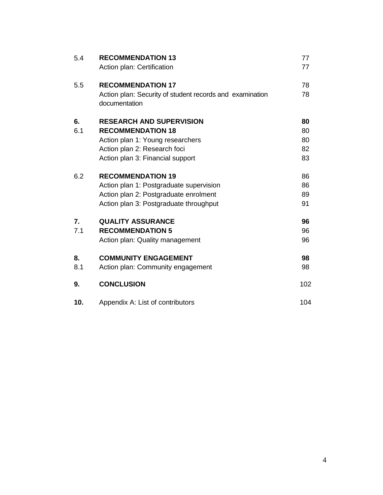| 5.4       | <b>RECOMMENDATION 13</b><br>Action plan: Certification                                                                                                              | 77<br>77                   |
|-----------|---------------------------------------------------------------------------------------------------------------------------------------------------------------------|----------------------------|
| 5.5       | <b>RECOMMENDATION 17</b><br>Action plan: Security of student records and examination<br>documentation                                                               | 78<br>78                   |
| 6.<br>6.1 | <b>RESEARCH AND SUPERVISION</b><br><b>RECOMMENDATION 18</b><br>Action plan 1: Young researchers<br>Action plan 2: Research foci<br>Action plan 3: Financial support | 80<br>80<br>80<br>82<br>83 |
| 6.2       | <b>RECOMMENDATION 19</b><br>Action plan 1: Postgraduate supervision<br>Action plan 2: Postgraduate enrolment<br>Action plan 3: Postgraduate throughput              | 86<br>86<br>89<br>91       |
| 7.<br>7.1 | <b>QUALITY ASSURANCE</b><br><b>RECOMMENDATION 5</b><br>Action plan: Quality management                                                                              | 96<br>96<br>96             |
| 8.<br>8.1 | <b>COMMUNITY ENGAGEMENT</b><br>Action plan: Community engagement                                                                                                    | 98<br>98                   |
| 9.        | <b>CONCLUSION</b>                                                                                                                                                   | 102                        |
| 10.       | Appendix A: List of contributors                                                                                                                                    | 104                        |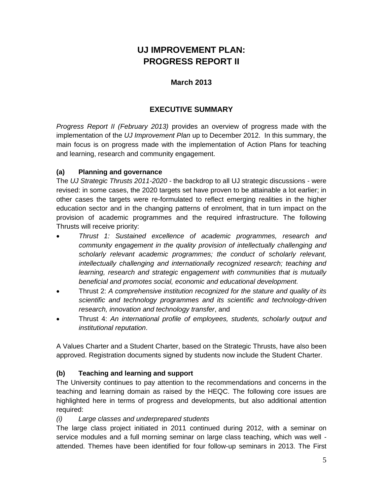# **UJ IMPROVEMENT PLAN: PROGRESS REPORT II**

## **March 2013**

## **EXECUTIVE SUMMARY**

*Progress Report II (February 2013)* provides an overview of progress made with the implementation of the *UJ Improvement Plan* up to December 2012. In this summary, the main focus is on progress made with the implementation of Action Plans for teaching and learning, research and community engagement.

### **(a) Planning and governance**

The *UJ Strategic Thrusts 2011-2020 -* the backdrop to all UJ strategic discussions - were revised: in some cases, the 2020 targets set have proven to be attainable a lot earlier; in other cases the targets were re-formulated to reflect emerging realities in the higher education sector and in the changing patterns of enrolment, that in turn impact on the provision of academic programmes and the required infrastructure. The following Thrusts will receive priority:

- *Thrust 1: Sustained excellence of academic programmes, research and community engagement in the quality provision of intellectually challenging and scholarly relevant academic programmes; the conduct of scholarly relevant, intellectually challenging and internationally recognized research; teaching and learning, research and strategic engagement with communities that is mutually beneficial and promotes social, economic and educational development.*
- Thrust 2: *A comprehensive institution recognized for the stature and quality of its scientific and technology programmes and its scientific and technology-driven research, innovation and technology transfer*, and
- Thrust 4: *An international profile of employees, students, scholarly output and institutional reputation*.

A Values Charter and a Student Charter, based on the Strategic Thrusts, have also been approved. Registration documents signed by students now include the Student Charter.

## **(b) Teaching and learning and support**

The University continues to pay attention to the recommendations and concerns in the teaching and learning domain as raised by the HEQC. The following core issues are highlighted here in terms of progress and developments, but also additional attention required:

#### *(i) Large classes and underprepared students*

The large class project initiated in 2011 continued during 2012, with a seminar on service modules and a full morning seminar on large class teaching, which was well attended. Themes have been identified for four follow-up seminars in 2013. The First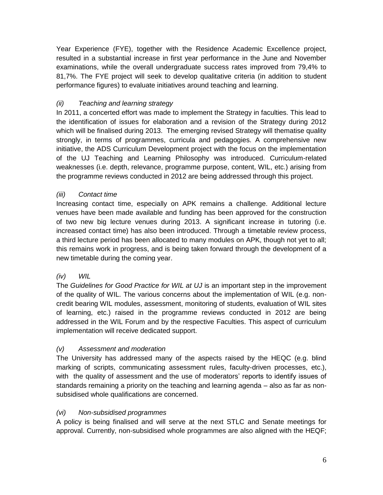Year Experience (FYE), together with the Residence Academic Excellence project, resulted in a substantial increase in first year performance in the June and November examinations, while the overall undergraduate success rates improved from 79,4% to 81,7%. The FYE project will seek to develop qualitative criteria (in addition to student performance figures) to evaluate initiatives around teaching and learning.

## *(ii) Teaching and learning strategy*

In 2011, a concerted effort was made to implement the Strategy in faculties. This lead to the identification of issues for elaboration and a revision of the Strategy during 2012 which will be finalised during 2013. The emerging revised Strategy will thematise quality strongly, in terms of programmes, curricula and pedagogies. A comprehensive new initiative, the ADS Curriculum Development project with the focus on the implementation of the UJ Teaching and Learning Philosophy was introduced. Curriculum-related weaknesses (i.e. depth, relevance, programme purpose, content, WIL, etc.) arising from the programme reviews conducted in 2012 are being addressed through this project.

### *(iii) Contact time*

Increasing contact time, especially on APK remains a challenge. Additional lecture venues have been made available and funding has been approved for the construction of two new big lecture venues during 2013. A significant increase in tutoring (i.e. increased contact time) has also been introduced. Through a timetable review process, a third lecture period has been allocated to many modules on APK, though not yet to all; this remains work in progress, and is being taken forward through the development of a new timetable during the coming year.

#### *(iv) WIL*

The *Guidelines for Good Practice for WIL at UJ* is an important step in the improvement of the quality of WIL. The various concerns about the implementation of WIL (e.g. noncredit bearing WIL modules, assessment, monitoring of students, evaluation of WIL sites of learning, etc.) raised in the programme reviews conducted in 2012 are being addressed in the WIL Forum and by the respective Faculties. This aspect of curriculum implementation will receive dedicated support.

#### *(v) Assessment and moderation*

The University has addressed many of the aspects raised by the HEQC (e.g. blind marking of scripts, communicating assessment rules, faculty-driven processes, etc.), with the quality of assessment and the use of moderators' reports to identify issues of standards remaining a priority on the teaching and learning agenda – also as far as nonsubsidised whole qualifications are concerned.

#### *(vi) Non-subsidised programmes*

A policy is being finalised and will serve at the next STLC and Senate meetings for approval. Currently, non-subsidised whole programmes are also aligned with the HEQF;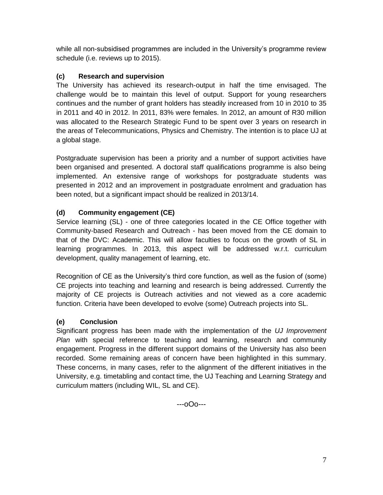while all non-subsidised programmes are included in the University's programme review schedule (i.e. reviews up to 2015).

## **(c) Research and supervision**

The University has achieved its research-output in half the time envisaged. The challenge would be to maintain this level of output. Support for young researchers continues and the number of grant holders has steadily increased from 10 in 2010 to 35 in 2011 and 40 in 2012. In 2011, 83% were females. In 2012, an amount of R30 million was allocated to the Research Strategic Fund to be spent over 3 years on research in the areas of Telecommunications, Physics and Chemistry. The intention is to place UJ at a global stage.

Postgraduate supervision has been a priority and a number of support activities have been organised and presented. A doctoral staff qualifications programme is also being implemented. An extensive range of workshops for postgraduate students was presented in 2012 and an improvement in postgraduate enrolment and graduation has been noted, but a significant impact should be realized in 2013/14.

## **(d) Community engagement (CE)**

Service learning (SL) - one of three categories located in the CE Office together with Community-based Research and Outreach - has been moved from the CE domain to that of the DVC: Academic. This will allow faculties to focus on the growth of SL in learning programmes. In 2013, this aspect will be addressed w.r.t. curriculum development, quality management of learning, etc.

Recognition of CE as the University's third core function, as well as the fusion of (some) CE projects into teaching and learning and research is being addressed. Currently the majority of CE projects is Outreach activities and not viewed as a core academic function. Criteria have been developed to evolve (some) Outreach projects into SL.

## **(e) Conclusion**

Significant progress has been made with the implementation of the *UJ Improvement Plan* with special reference to teaching and learning, research and community engagement. Progress in the different support domains of the University has also been recorded. Some remaining areas of concern have been highlighted in this summary. These concerns, in many cases, refer to the alignment of the different initiatives in the University, e.g. timetabling and contact time, the UJ Teaching and Learning Strategy and curriculum matters (including WIL, SL and CE).

---oOo---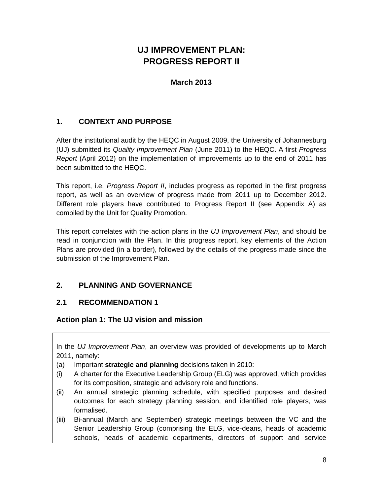# **UJ IMPROVEMENT PLAN: PROGRESS REPORT II**

## **March 2013**

## **1. CONTEXT AND PURPOSE**

After the institutional audit by the HEQC in August 2009, the University of Johannesburg (UJ) submitted its *Quality Improvement Plan* (June 2011) to the HEQC. A first *Progress Report* (April 2012) on the implementation of improvements up to the end of 2011 has been submitted to the HEQC.

This report, i.e. *Progress Report II*, includes progress as reported in the first progress report, as well as an overview of progress made from 2011 up to December 2012. Different role players have contributed to Progress Report II (see Appendix A) as compiled by the Unit for Quality Promotion.

This report correlates with the action plans in the *UJ Improvement Plan*, and should be read in conjunction with the Plan. In this progress report, key elements of the Action Plans are provided (in a border), followed by the details of the progress made since the submission of the Improvement Plan.

## **2. PLANNING AND GOVERNANCE**

## **2.1 RECOMMENDATION 1**

**Action plan 1: The UJ vision and mission** 

In the *UJ Improvement Plan*, an overview was provided of developments up to March 2011, namely:

- (a) Important **strategic and planning** decisions taken in 2010:
- (i) A charter for the Executive Leadership Group (ELG) was approved, which provides for its composition, strategic and advisory role and functions.
- (ii) An annual strategic planning schedule, with specified purposes and desired outcomes for each strategy planning session, and identified role players, was formalised.
- (iii) Bi-annual (March and September) strategic meetings between the VC and the Senior Leadership Group (comprising the ELG, vice-deans, heads of academic schools, heads of academic departments, directors of support and service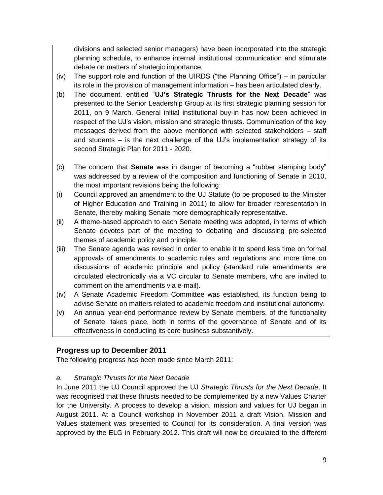divisions and selected senior managers) have been incorporated into the strategic planning schedule, to enhance internal institutional communication and stimulate debate on matters of strategic importance.

- (iv) The support role and function of the UIRDS ("the Planning Office") in particular its role in the provision of management information – has been articulated clearly.
- (b) The document, entitled "**UJ's Strategic Thrusts for the Next Decade**" was presented to the Senior Leadership Group at its first strategic planning session for 2011, on 9 March. General initial institutional buy-in has now been achieved in respect of the UJ's vision, mission and strategic thrusts. Communication of the key messages derived from the above mentioned with selected stakeholders – staff and students – is the next challenge of the UJ's implementation strategy of its second Strategic Plan for 2011 - 2020.
- (c) The concern that **Senate** was in danger of becoming a "rubber stamping body" was addressed by a review of the composition and functioning of Senate in 2010, the most important revisions being the following:
- (i) Council approved an amendment to the UJ Statute (to be proposed to the Minister of Higher Education and Training in 2011) to allow for broader representation in Senate, thereby making Senate more demographically representative.
- (ii) A theme-based approach to each Senate meeting was adopted, in terms of which Senate devotes part of the meeting to debating and discussing pre-selected themes of academic policy and principle.
- (iii) The Senate agenda was revised in order to enable it to spend less time on formal approvals of amendments to academic rules and regulations and more time on discussions of academic principle and policy (standard rule amendments are circulated electronically via a VC circular to Senate members, who are invited to comment on the amendments via e-mail).
- (iv) A Senate Academic Freedom Committee was established, its function being to advise Senate on matters related to academic freedom and institutional autonomy.
- (v) An annual year-end performance review by Senate members, of the functionality of Senate, takes place, both in terms of the governance of Senate and of its effectiveness in conducting its core business substantively.

## **Progress up to December 2011**

The following progress has been made since March 2011:

## *a. Strategic Thrusts for the Next Decade*

In June 2011 the UJ Council approved the UJ *Strategic Thrusts for the Next Decade*. It was recognised that these thrusts needed to be complemented by a new Values Charter for the University. A process to develop a vision, mission and values for UJ began in August 2011. At a Council workshop in November 2011 a draft Vision, Mission and Values statement was presented to Council for its consideration. A final version was approved by the ELG in February 2012. This draft will now be circulated to the different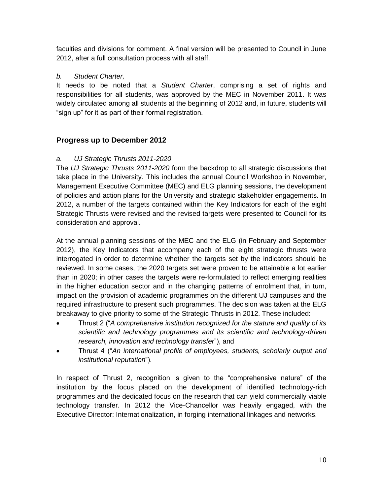faculties and divisions for comment. A final version will be presented to Council in June 2012, after a full consultation process with all staff.

#### *b. Student Charter,*

It needs to be noted that a *Student Charter*, comprising a set of rights and responsibilities for all students, was approved by the MEC in November 2011. It was widely circulated among all students at the beginning of 2012 and, in future, students will "sign up" for it as part of their formal registration.

### **Progress up to December 2012**

#### *a. UJ Strategic Thrusts 2011-2020*

The *UJ Strategic Thrusts 2011-2020* form the backdrop to all strategic discussions that take place in the University. This includes the annual Council Workshop in November, Management Executive Committee (MEC) and ELG planning sessions, the development of policies and action plans for the University and strategic stakeholder engagements. In 2012, a number of the targets contained within the Key Indicators for each of the eight Strategic Thrusts were revised and the revised targets were presented to Council for its consideration and approval.

At the annual planning sessions of the MEC and the ELG (in February and September 2012), the Key Indicators that accompany each of the eight strategic thrusts were interrogated in order to determine whether the targets set by the indicators should be reviewed. In some cases, the 2020 targets set were proven to be attainable a lot earlier than in 2020; in other cases the targets were re-formulated to reflect emerging realities in the higher education sector and in the changing patterns of enrolment that, in turn, impact on the provision of academic programmes on the different UJ campuses and the required infrastructure to present such programmes. The decision was taken at the ELG breakaway to give priority to some of the Strategic Thrusts in 2012. These included:

- Thrust 2 ("*A comprehensive institution recognized for the stature and quality of its scientific and technology programmes and its scientific and technology-driven research, innovation and technology transfer*"), and
- Thrust 4 ("*An international profile of employees, students, scholarly output and institutional reputation*").

In respect of Thrust 2, recognition is given to the "comprehensive nature" of the institution by the focus placed on the development of identified technology-rich programmes and the dedicated focus on the research that can yield commercially viable technology transfer. In 2012 the Vice-Chancellor was heavily engaged, with the Executive Director: Internationalization, in forging international linkages and networks.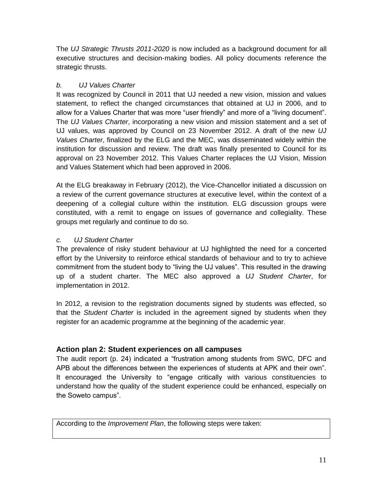The *UJ Strategic Thrusts 2011-2020* is now included as a background document for all executive structures and decision-making bodies. All policy documents reference the strategic thrusts.

## *b. UJ Values Charter*

It was recognized by Council in 2011 that UJ needed a new vision, mission and values statement, to reflect the changed circumstances that obtained at UJ in 2006, and to allow for a Values Charter that was more "user friendly" and more of a "living document". The *UJ Values Charter*, incorporating a new vision and mission statement and a set of UJ values, was approved by Council on 23 November 2012. A draft of the new *UJ Values Charter*, finalized by the ELG and the MEC, was disseminated widely within the institution for discussion and review. The draft was finally presented to Council for its approval on 23 November 2012. This Values Charter replaces the UJ Vision, Mission and Values Statement which had been approved in 2006.

At the ELG breakaway in February (2012), the Vice-Chancellor initiated a discussion on a review of the current governance structures at executive level, within the context of a deepening of a collegial culture within the institution. ELG discussion groups were constituted, with a remit to engage on issues of governance and collegiality. These groups met regularly and continue to do so.

### *c. UJ Student Charter*

The prevalence of risky student behaviour at UJ highlighted the need for a concerted effort by the University to reinforce ethical standards of behaviour and to try to achieve commitment from the student body to "living the UJ values". This resulted in the drawing up of a student charter. The MEC also approved a *UJ Student Charter*, for implementation in 2012.

In 2012, a revision to the registration documents signed by students was effected, so that the *Student Charter* is included in the agreement signed by students when they register for an academic programme at the beginning of the academic year.

## **Action plan 2: Student experiences on all campuses**

The audit report (p. 24) indicated a "frustration among students from SWC, DFC and APB about the differences between the experiences of students at APK and their own". It encouraged the University to "engage critically with various constituencies to understand how the quality of the student experience could be enhanced, especially on the Soweto campus".

According to the *Improvement Plan*, the following steps were taken: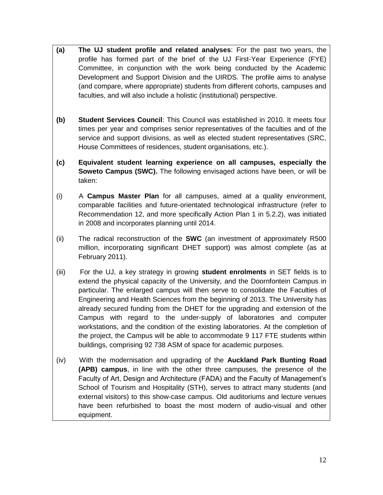- **(a) The UJ student profile and related analyses**: For the past two years, the profile has formed part of the brief of the UJ First-Year Experience (FYE) Committee, in conjunction with the work being conducted by the Academic Development and Support Division and the UIRDS. The profile aims to analyse (and compare, where appropriate) students from different cohorts, campuses and faculties, and will also include a holistic (institutional) perspective.
- **(b) Student Services Council**: This Council was established in 2010. It meets four times per year and comprises senior representatives of the faculties and of the service and support divisions, as well as elected student representatives (SRC, House Committees of residences, student organisations, etc.).
- **(c) Equivalent student learning experience on all campuses, especially the Soweto Campus (SWC).** The following envisaged actions have been, or will be taken:
- (i) A **Campus Master Plan** for all campuses, aimed at a quality environment, comparable facilities and future-orientated technological infrastructure (refer to Recommendation 12, and more specifically Action Plan 1 in 5.2.2), was initiated in 2008 and incorporates planning until 2014.
- (ii) The radical reconstruction of the **SWC** (an investment of approximately R500 million, incorporating significant DHET support) was almost complete (as at February 2011).
- (iii) For the UJ, a key strategy in growing **student enrolments** in SET fields is to extend the physical capacity of the University, and the Doornfontein Campus in particular. The enlarged campus will then serve to consolidate the Faculties of Engineering and Health Sciences from the beginning of 2013. The University has already secured funding from the DHET for the upgrading and extension of the Campus with regard to the under-supply of laboratories and computer workstations, and the condition of the existing laboratories. At the completion of the project, the Campus will be able to accommodate 9 117 FTE students within buildings, comprising 92 738 ASM of space for academic purposes.
- (iv) With the modernisation and upgrading of the **Auckland Park Bunting Road (APB) campus**, in line with the other three campuses, the presence of the Faculty of Art, Design and Architecture (FADA) and the Faculty of Management's School of Tourism and Hospitality (STH), serves to attract many students (and external visitors) to this show-case campus. Old auditoriums and lecture venues have been refurbished to boast the most modern of audio-visual and other equipment.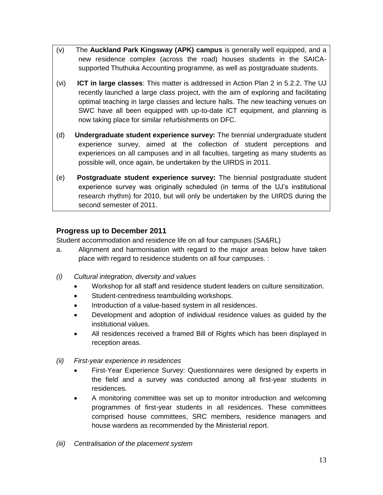- (v) The **Auckland Park Kingsway (APK) campus** is generally well equipped, and a new residence complex (across the road) houses students in the SAICAsupported Thuthuka Accounting programme, as well as postgraduate students.
- (vi) **ICT in large classes**: This matter is addressed in Action Plan 2 in 5.2.2. The UJ recently launched a large class project, with the aim of exploring and facilitating optimal teaching in large classes and lecture halls. The new teaching venues on SWC have all been equipped with up-to-date ICT equipment, and planning is now taking place for similar refurbishments on DFC.
- (d) **Undergraduate student experience survey:** The biennial undergraduate student experience survey, aimed at the collection of student perceptions and experiences on all campuses and in all faculties, targeting as many students as possible will, once again, be undertaken by the UIRDS in 2011.
- (e) **Postgraduate student experience survey:** The biennial postgraduate student experience survey was originally scheduled (in terms of the UJ's institutional research rhythm) for 2010, but will only be undertaken by the UIRDS during the second semester of 2011.

## **Progress up to December 2011**

Student accommodation and residence life on all four campuses (SA&RL)

- a. Alignment and harmonisation with regard to the major areas below have taken place with regard to residence students on all four campuses. :
- *(i) Cultural integration, diversity and values*
	- Workshop for all staff and residence student leaders on culture sensitization.
	- Student-centredness teambuilding workshops.
	- Introduction of a value-based system in all residences.
	- Development and adoption of individual residence values as guided by the institutional values.
	- All residences received a framed Bill of Rights which has been displayed in reception areas.
- *(ii) First-year experience in residences*
	- First-Year Experience Survey: Questionnaires were designed by experts in the field and a survey was conducted among all first-year students in residences.
	- A monitoring committee was set up to monitor introduction and welcoming programmes of first-year students in all residences. These committees comprised house committees, SRC members, residence managers and house wardens as recommended by the Ministerial report.
- *(iii) Centralisation of the placement system*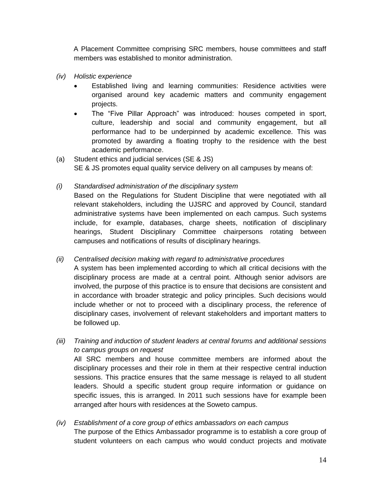A Placement Committee comprising SRC members, house committees and staff members was established to monitor administration.

- *(iv) Holistic experience*
	- Established living and learning communities: Residence activities were organised around key academic matters and community engagement projects.
	- The "Five Pillar Approach" was introduced: houses competed in sport, culture, leadership and social and community engagement, but all performance had to be underpinned by academic excellence. This was promoted by awarding a floating trophy to the residence with the best academic performance.
- (a) Student ethics and judicial services (SE & JS) SE & JS promotes equal quality service delivery on all campuses by means of:
- *(i) Standardised administration of the disciplinary system*

Based on the Regulations for Student Discipline that were negotiated with all relevant stakeholders, including the UJSRC and approved by Council, standard administrative systems have been implemented on each campus. Such systems include, for example, databases, charge sheets, notification of disciplinary hearings, Student Disciplinary Committee chairpersons rotating between campuses and notifications of results of disciplinary hearings.

*(ii) Centralised decision making with regard to administrative procedures*

A system has been implemented according to which all critical decisions with the disciplinary process are made at a central point. Although senior advisors are involved, the purpose of this practice is to ensure that decisions are consistent and in accordance with broader strategic and policy principles. Such decisions would include whether or not to proceed with a disciplinary process, the reference of disciplinary cases, involvement of relevant stakeholders and important matters to be followed up.

- *(iii) Training and induction of student leaders at central forums and additional sessions to campus groups on request* All SRC members and house committee members are informed about the disciplinary processes and their role in them at their respective central induction sessions. This practice ensures that the same message is relayed to all student leaders. Should a specific student group require information or guidance on specific issues, this is arranged. In 2011 such sessions have for example been arranged after hours with residences at the Soweto campus.
- *(iv) Establishment of a core group of ethics ambassadors on each campus* The purpose of the Ethics Ambassador programme is to establish a core group of student volunteers on each campus who would conduct projects and motivate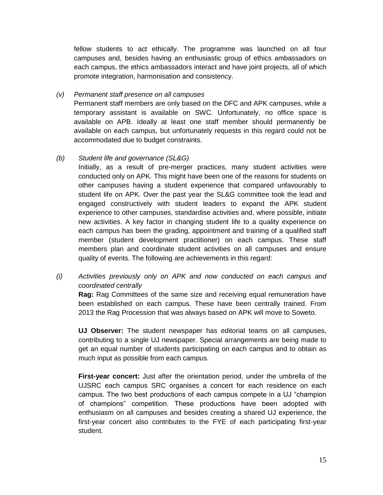fellow students to act ethically. The programme was launched on all four campuses and, besides having an enthusiastic group of ethics ambassadors on each campus, the ethics ambassadors interact and have joint projects, all of which promote integration, harmonisation and consistency.

#### *(v) Permanent staff presence on all campuses*

Permanent staff members are only based on the DFC and APK campuses, while a temporary assistant is available on SWC. Unfortunately, no office space is available on APB. Ideally at least one staff member should permanently be available on each campus, but unfortunately requests in this regard could not be accommodated due to budget constraints.

#### *(b) Student life and governance (SL&G)*

Initially, as a result of pre-merger practices, many student activities were conducted only on APK. This might have been one of the reasons for students on other campuses having a student experience that compared unfavourably to student life on APK. Over the past year the SL&G committee took the lead and engaged constructively with student leaders to expand the APK student experience to other campuses, standardise activities and, where possible, initiate new activities. A key factor in changing student life to a quality experience on each campus has been the grading, appointment and training of a qualified staff member (student development practitioner) on each campus. These staff members plan and coordinate student activities on all campuses and ensure quality of events. The following are achievements in this regard:

### *(i) Activities previously only on APK and now conducted on each campus and coordinated centrally*

**Rag:** Rag Committees of the same size and receiving equal remuneration have been established on each campus. These have been centrally trained. From 2013 the Rag Procession that was always based on APK will move to Soweto.

**UJ Observer:** The student newspaper has editorial teams on all campuses, contributing to a single UJ newspaper. Special arrangements are being made to get an equal number of students participating on each campus and to obtain as much input as possible from each campus.

**First-year concert:** Just after the orientation period, under the umbrella of the UJSRC each campus SRC organises a concert for each residence on each campus. The two best productions of each campus compete in a UJ "champion of champions" competition. These productions have been adopted with enthusiasm on all campuses and besides creating a shared UJ experience, the first-year concert also contributes to the FYE of each participating first-year student.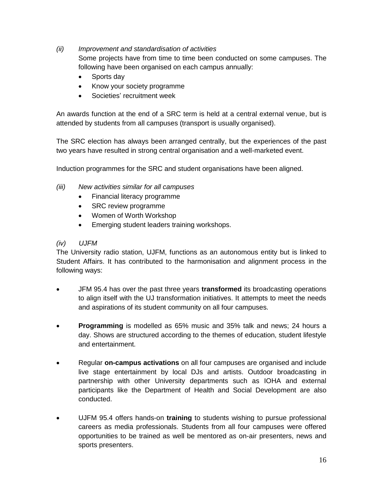*(ii) Improvement and standardisation of activities*

Some projects have from time to time been conducted on some campuses. The following have been organised on each campus annually:

- Sports day
- Know your society programme
- Societies' recruitment week

An awards function at the end of a SRC term is held at a central external venue, but is attended by students from all campuses (transport is usually organised).

The SRC election has always been arranged centrally, but the experiences of the past two years have resulted in strong central organisation and a well-marketed event.

Induction programmes for the SRC and student organisations have been aligned.

- *(iii) New activities similar for all campuses*
	- Financial literacy programme
	- SRC review programme
	- Women of Worth Workshop
	- Emerging student leaders training workshops.

#### *(iv) UJFM*

The University radio station, UJFM, functions as an autonomous entity but is linked to Student Affairs. It has contributed to the harmonisation and alignment process in the following ways:

- JFM 95.4 has over the past three years **transformed** its broadcasting operations to align itself with the UJ transformation initiatives. It attempts to meet the needs and aspirations of its student community on all four campuses.
- **Programming** is modelled as 65% music and 35% talk and news; 24 hours a day. Shows are structured according to the themes of education, student lifestyle and entertainment.
- Regular **on-campus activations** on all four campuses are organised and include live stage entertainment by local DJs and artists. Outdoor broadcasting in partnership with other University departments such as IOHA and external participants like the Department of Health and Social Development are also conducted.
- UJFM 95.4 offers hands-on **training** to students wishing to pursue professional careers as media professionals. Students from all four campuses were offered opportunities to be trained as well be mentored as on-air presenters, news and sports presenters.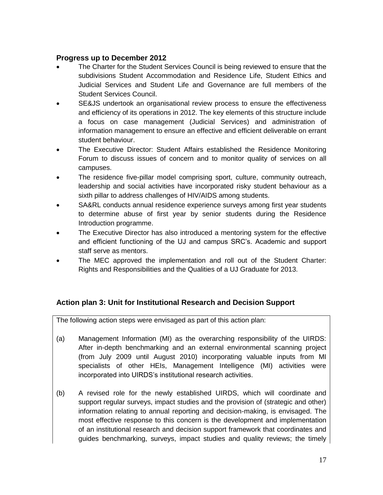### **Progress up to December 2012**

- The Charter for the Student Services Council is being reviewed to ensure that the subdivisions Student Accommodation and Residence Life, Student Ethics and Judicial Services and Student Life and Governance are full members of the Student Services Council.
- SE&JS undertook an organisational review process to ensure the effectiveness and efficiency of its operations in 2012. The key elements of this structure include a focus on case management (Judicial Services) and administration of information management to ensure an effective and efficient deliverable on errant student behaviour.
- The Executive Director: Student Affairs established the Residence Monitoring Forum to discuss issues of concern and to monitor quality of services on all campuses.
- The residence five-pillar model comprising sport, culture, community outreach, leadership and social activities have incorporated risky student behaviour as a sixth pillar to address challenges of HIV/AIDS among students.
- SA&RL conducts annual residence experience surveys among first year students to determine abuse of first year by senior students during the Residence Introduction programme.
- The Executive Director has also introduced a mentoring system for the effective and efficient functioning of the UJ and campus SRC's. Academic and support staff serve as mentors.
- The MEC approved the implementation and roll out of the Student Charter: Rights and Responsibilities and the Qualities of a UJ Graduate for 2013.

## **Action plan 3: Unit for Institutional Research and Decision Support**

The following action steps were envisaged as part of this action plan:

- (a) Management Information (MI) as the overarching responsibility of the UIRDS: After in-depth benchmarking and an external environmental scanning project (from July 2009 until August 2010) incorporating valuable inputs from MI specialists of other HEIs, Management Intelligence (MI) activities were incorporated into UIRDS's institutional research activities.
- (b) A revised role for the newly established UIRDS, which will coordinate and support regular surveys, impact studies and the provision of (strategic and other) information relating to annual reporting and decision-making, is envisaged. The most effective response to this concern is the development and implementation of an institutional research and decision support framework that coordinates and guides benchmarking, surveys, impact studies and quality reviews; the timely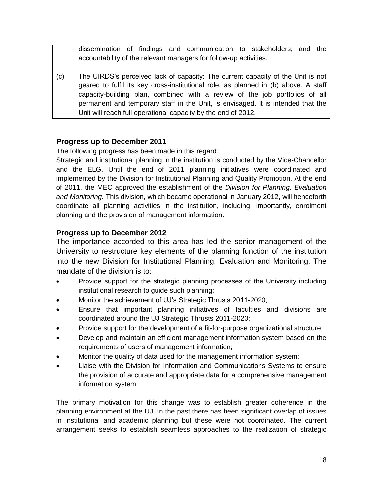dissemination of findings and communication to stakeholders; and the accountability of the relevant managers for follow-up activities.

(c) The UIRDS's perceived lack of capacity: The current capacity of the Unit is not geared to fulfil its key cross-institutional role, as planned in (b) above. A staff capacity-building plan, combined with a review of the job portfolios of all permanent and temporary staff in the Unit, is envisaged. It is intended that the Unit will reach full operational capacity by the end of 2012.

## **Progress up to December 2011**

The following progress has been made in this regard:

Strategic and institutional planning in the institution is conducted by the Vice-Chancellor and the ELG. Until the end of 2011 planning initiatives were coordinated and implemented by the Division for Institutional Planning and Quality Promotion. At the end of 2011, the MEC approved the establishment of the *Division for Planning, Evaluation and Monitoring*. This division, which became operational in January 2012, will henceforth coordinate all planning activities in the institution, including, importantly, enrolment planning and the provision of management information.

### **Progress up to December 2012**

The importance accorded to this area has led the senior management of the University to restructure key elements of the planning function of the institution into the new Division for Institutional Planning, Evaluation and Monitoring. The mandate of the division is to:

- Provide support for the strategic planning processes of the University including institutional research to guide such planning;
- Monitor the achievement of UJ's Strategic Thrusts 2011-2020;
- Ensure that important planning initiatives of faculties and divisions are coordinated around the UJ Strategic Thrusts 2011-2020;
- Provide support for the development of a fit-for-purpose organizational structure;
- Develop and maintain an efficient management information system based on the requirements of users of management information;
- Monitor the quality of data used for the management information system;
- Liaise with the Division for Information and Communications Systems to ensure the provision of accurate and appropriate data for a comprehensive management information system.

The primary motivation for this change was to establish greater coherence in the planning environment at the UJ. In the past there has been significant overlap of issues in institutional and academic planning but these were not coordinated. The current arrangement seeks to establish seamless approaches to the realization of strategic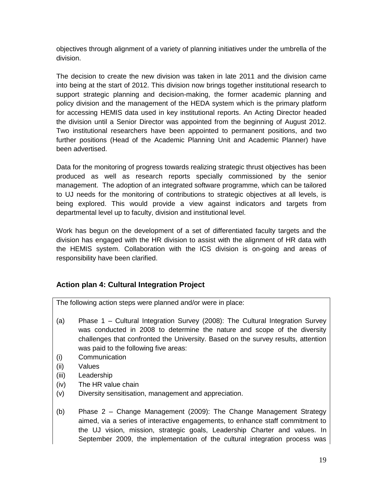objectives through alignment of a variety of planning initiatives under the umbrella of the division.

The decision to create the new division was taken in late 2011 and the division came into being at the start of 2012. This division now brings together institutional research to support strategic planning and decision-making, the former academic planning and policy division and the management of the HEDA system which is the primary platform for accessing HEMIS data used in key institutional reports. An Acting Director headed the division until a Senior Director was appointed from the beginning of August 2012. Two institutional researchers have been appointed to permanent positions, and two further positions (Head of the Academic Planning Unit and Academic Planner) have been advertised.

Data for the monitoring of progress towards realizing strategic thrust objectives has been produced as well as research reports specially commissioned by the senior management. The adoption of an integrated software programme, which can be tailored to UJ needs for the monitoring of contributions to strategic objectives at all levels, is being explored. This would provide a view against indicators and targets from departmental level up to faculty, division and institutional level.

Work has begun on the development of a set of differentiated faculty targets and the division has engaged with the HR division to assist with the alignment of HR data with the HEMIS system. Collaboration with the ICS division is on-going and areas of responsibility have been clarified.

## **Action plan 4: Cultural Integration Project**

The following action steps were planned and/or were in place:

- (a) Phase 1 Cultural Integration Survey (2008): The Cultural Integration Survey was conducted in 2008 to determine the nature and scope of the diversity challenges that confronted the University. Based on the survey results, attention was paid to the following five areas:
- (i) Communication
- (ii) Values
- (iii) Leadership
- (iv) The HR value chain
- (v) Diversity sensitisation, management and appreciation.
- (b) Phase 2 Change Management (2009): The Change Management Strategy aimed, via a series of interactive engagements, to enhance staff commitment to the UJ vision, mission, strategic goals, Leadership Charter and values. In September 2009, the implementation of the cultural integration process was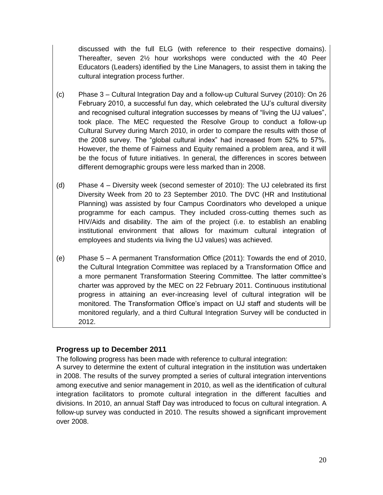discussed with the full ELG (with reference to their respective domains). Thereafter, seven 2½ hour workshops were conducted with the 40 Peer Educators (Leaders) identified by the Line Managers, to assist them in taking the cultural integration process further.

- (c) Phase 3 Cultural Integration Day and a follow-up Cultural Survey (2010): On 26 February 2010, a successful fun day, which celebrated the UJ's cultural diversity and recognised cultural integration successes by means of "living the UJ values", took place. The MEC requested the Resolve Group to conduct a follow-up Cultural Survey during March 2010, in order to compare the results with those of the 2008 survey. The "global cultural index" had increased from 52% to 57%. However, the theme of Fairness and Equity remained a problem area, and it will be the focus of future initiatives. In general, the differences in scores between different demographic groups were less marked than in 2008.
- (d) Phase 4 Diversity week (second semester of 2010): The UJ celebrated its first Diversity Week from 20 to 23 September 2010. The DVC (HR and Institutional Planning) was assisted by four Campus Coordinators who developed a unique programme for each campus. They included cross-cutting themes such as HIV/Aids and disability. The aim of the project (i.e. to establish an enabling institutional environment that allows for maximum cultural integration of employees and students via living the UJ values) was achieved.
- (e) Phase 5 A permanent Transformation Office (2011): Towards the end of 2010, the Cultural Integration Committee was replaced by a Transformation Office and a more permanent Transformation Steering Committee. The latter committee's charter was approved by the MEC on 22 February 2011. Continuous institutional progress in attaining an ever-increasing level of cultural integration will be monitored. The Transformation Office's impact on UJ staff and students will be monitored regularly, and a third Cultural Integration Survey will be conducted in 2012.

## **Progress up to December 2011**

The following progress has been made with reference to cultural integration:

A survey to determine the extent of cultural integration in the institution was undertaken in 2008. The results of the survey prompted a series of cultural integration interventions among executive and senior management in 2010, as well as the identification of cultural integration facilitators to promote cultural integration in the different faculties and divisions. In 2010, an annual Staff Day was introduced to focus on cultural integration. A follow-up survey was conducted in 2010. The results showed a significant improvement over 2008.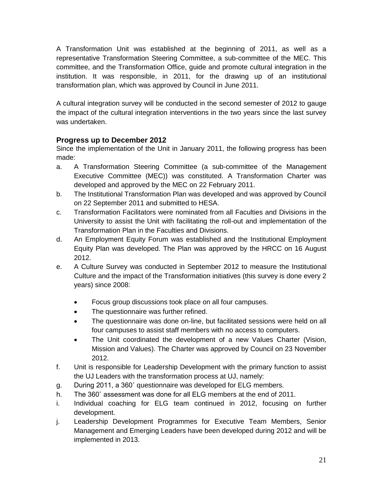A Transformation Unit was established at the beginning of 2011, as well as a representative Transformation Steering Committee, a sub-committee of the MEC. This committee, and the Transformation Office, guide and promote cultural integration in the institution. It was responsible, in 2011, for the drawing up of an institutional transformation plan, which was approved by Council in June 2011.

A cultural integration survey will be conducted in the second semester of 2012 to gauge the impact of the cultural integration interventions in the two years since the last survey was undertaken.

## **Progress up to December 2012**

Since the implementation of the Unit in January 2011, the following progress has been made:

- a. A Transformation Steering Committee (a sub-committee of the Management Executive Committee (MEC)) was constituted. A Transformation Charter was developed and approved by the MEC on 22 February 2011.
- b. The Institutional Transformation Plan was developed and was approved by Council on 22 September 2011 and submitted to HESA.
- c. Transformation Facilitators were nominated from all Faculties and Divisions in the University to assist the Unit with facilitating the roll-out and implementation of the Transformation Plan in the Faculties and Divisions.
- d. An Employment Equity Forum was established and the Institutional Employment Equity Plan was developed. The Plan was approved by the HRCC on 16 August 2012.
- e. A Culture Survey was conducted in September 2012 to measure the Institutional Culture and the impact of the Transformation initiatives (this survey is done every 2 years) since 2008:
	- Focus group discussions took place on all four campuses.
	- The questionnaire was further refined.
	- The questionnaire was done on-line, but facilitated sessions were held on all four campuses to assist staff members with no access to computers.
	- The Unit coordinated the development of a new Values Charter (Vision, Mission and Values). The Charter was approved by Council on 23 November 2012.
- f. Unit is responsible for Leadership Development with the primary function to assist the UJ Leaders with the transformation process at UJ, namely:
- g. During 2011, a 360˚ questionnaire was developed for ELG members.
- h. The 360˚ assessment was done for all ELG members at the end of 2011.
- i. Individual coaching for ELG team continued in 2012, focusing on further development.
- j. Leadership Development Programmes for Executive Team Members, Senior Management and Emerging Leaders have been developed during 2012 and will be implemented in 2013.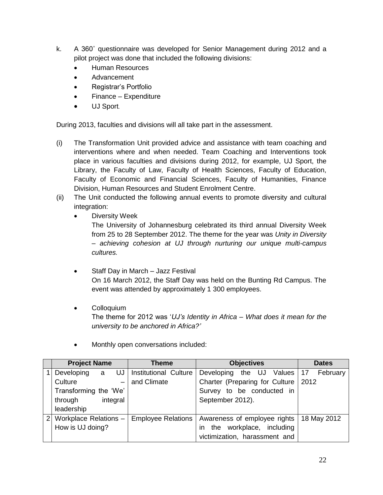- k. A 360˚ questionnaire was developed for Senior Management during 2012 and a pilot project was done that included the following divisions:
	- Human Resources
	- Advancement
	- Registrar's Portfolio
	- Finance Expenditure
	- UJ Sport.

During 2013, faculties and divisions will all take part in the assessment.

- (i) The Transformation Unit provided advice and assistance with team coaching and interventions where and when needed. Team Coaching and Interventions took place in various faculties and divisions during 2012, for example, UJ Sport, the Library, the Faculty of Law, Faculty of Health Sciences, Faculty of Education, Faculty of Economic and Financial Sciences, Faculty of Humanities, Finance Division, Human Resources and Student Enrolment Centre.
- (ii) The Unit conducted the following annual events to promote diversity and cultural integration:
	- Diversity Week

The University of Johannesburg celebrated its third annual Diversity Week from 25 to 28 September 2012. The theme for the year was *Unity in Diversity – achieving cohesion at UJ through nurturing our unique multi-campus cultures.*

- Staff Day in March Jazz Festival On 16 March 2012, the Staff Day was held on the Bunting Rd Campus. The event was attended by approximately 1 300 employees.
- **•** Colloquium The theme for 2012 was '*UJ's Identity in Africa – What does it mean for the university to be anchored in Africa?'*

| <b>Project Name</b>   |   |                          | Theme                      |  | <b>Objectives</b>                     |  |  | <b>Dates</b>     |  |             |
|-----------------------|---|--------------------------|----------------------------|--|---------------------------------------|--|--|------------------|--|-------------|
| Developing            | a |                          | UJ   Institutional Culture |  | Developing                            |  |  | the UJ Values 17 |  | February    |
| Culture               |   | $\overline{\phantom{0}}$ | and Climate                |  | Charter (Preparing for Culture   2012 |  |  |                  |  |             |
| Transforming the 'We' |   |                          |                            |  | Survey to be conducted in             |  |  |                  |  |             |
| through               |   | integral                 |                            |  | September 2012).                      |  |  |                  |  |             |
| leadership            |   |                          |                            |  |                                       |  |  |                  |  |             |
| Workplace Relations - |   |                          | <b>Employee Relations</b>  |  | Awareness of employee rights          |  |  |                  |  | 18 May 2012 |
| How is UJ doing?      |   |                          |                            |  | the workplace, including<br>in        |  |  |                  |  |             |
|                       |   |                          |                            |  | victimization, harassment and         |  |  |                  |  |             |

Monthly open conversations included: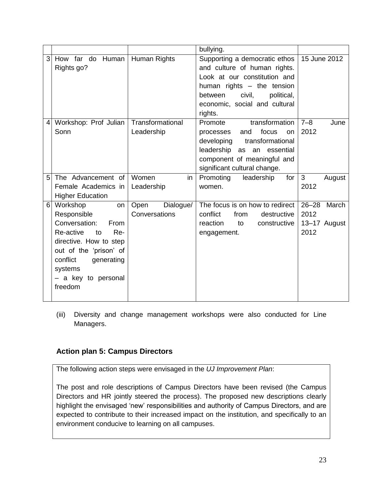|                                                                                              |                                                                                             |                   |                                    | bullying.                                                                                                                                                                                                  |                                                    |
|----------------------------------------------------------------------------------------------|---------------------------------------------------------------------------------------------|-------------------|------------------------------------|------------------------------------------------------------------------------------------------------------------------------------------------------------------------------------------------------------|----------------------------------------------------|
| 3<br>Rights go?                                                                              | How far do Human                                                                            |                   | Human Rights                       | Supporting a democratic ethos<br>and culture of human rights.<br>Look at our constitution and<br>human rights - the tension<br>civil,<br>political,<br>between<br>economic, social and cultural<br>rights. | 15 June 2012                                       |
| 4<br>Sonn                                                                                    | Workshop: Prof Julian                                                                       |                   | Transformational<br>Leadership     | transformation<br>Promote<br>focus<br>and<br>processes<br>on<br>transformational<br>developing<br>leadership as an essential<br>component of meaningful and<br>significant cultural change.                | $7 - 8$<br>June<br>2012                            |
| 5                                                                                            | The Advancement of<br>Female Academics in<br><b>Higher Education</b>                        |                   | Women<br>in<br>Leadership          | Promoting<br>leadership<br>for<br>women.                                                                                                                                                                   | 3<br>August<br>2012                                |
| 6<br>Workshop<br>Responsible<br>Conversation:<br>Re-active<br>conflict<br>systems<br>freedom | to<br>directive. How to step<br>out of the 'prison' of<br>generating<br>- a key to personal | on<br>From<br>Re- | Open<br>Dialogue/<br>Conversations | The focus is on how to redirect<br>conflict<br>from<br>destructive<br>reaction<br>constructive<br>to<br>engagement.                                                                                        | $26 - 28$<br>March<br>2012<br>13-17 August<br>2012 |

(iii) Diversity and change management workshops were also conducted for Line Managers.

## **Action plan 5: Campus Directors**

The following action steps were envisaged in the *UJ Improvement Plan*:

The post and role descriptions of Campus Directors have been revised (the Campus Directors and HR jointly steered the process). The proposed new descriptions clearly highlight the envisaged 'new' responsibilities and authority of Campus Directors, and are expected to contribute to their increased impact on the institution, and specifically to an environment conducive to learning on all campuses.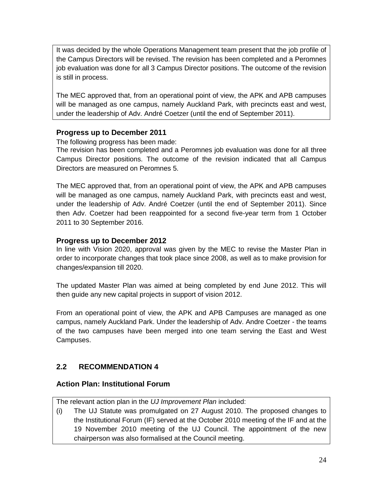It was decided by the whole Operations Management team present that the job profile of the Campus Directors will be revised. The revision has been completed and a Peromnes job evaluation was done for all 3 Campus Director positions. The outcome of the revision is still in process.

The MEC approved that, from an operational point of view, the APK and APB campuses will be managed as one campus, namely Auckland Park, with precincts east and west, under the leadership of Adv. André Coetzer (until the end of September 2011).

### **Progress up to December 2011**

The following progress has been made:

The revision has been completed and a Peromnes job evaluation was done for all three Campus Director positions. The outcome of the revision indicated that all Campus Directors are measured on Peromnes 5.

The MEC approved that, from an operational point of view, the APK and APB campuses will be managed as one campus, namely Auckland Park, with precincts east and west, under the leadership of Adv. André Coetzer (until the end of September 2011). Since then Adv. Coetzer had been reappointed for a second five-year term from 1 October 2011 to 30 September 2016.

### **Progress up to December 2012**

In line with Vision 2020, approval was given by the MEC to revise the Master Plan in order to incorporate changes that took place since 2008, as well as to make provision for changes/expansion till 2020.

The updated Master Plan was aimed at being completed by end June 2012. This will then guide any new capital projects in support of vision 2012.

From an operational point of view, the APK and APB Campuses are managed as one campus, namely Auckland Park. Under the leadership of Adv. Andre Coetzer - the teams of the two campuses have been merged into one team serving the East and West Campuses.

## **2.2 RECOMMENDATION 4**

#### **Action Plan: Institutional Forum**

The relevant action plan in the *UJ Improvement Plan* included:

(i) The UJ Statute was promulgated on 27 August 2010. The proposed changes to the Institutional Forum (IF) served at the October 2010 meeting of the IF and at the 19 November 2010 meeting of the UJ Council. The appointment of the new chairperson was also formalised at the Council meeting.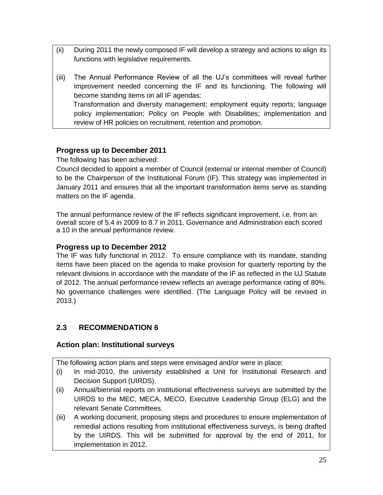- (ii) During 2011 the newly composed IF will develop a strategy and actions to align its functions with legislative requirements.
- (iii) The Annual Performance Review of all the UJ's committees will reveal further improvement needed concerning the IF and its functioning. The following will become standing items on all IF agendas: Transformation and diversity management; employment equity reports; language policy implementation; Policy on People with Disabilities; implementation and review of HR policies on recruitment, retention and promotion.

## **Progress up to December 2011**

The following has been achieved:

Council decided to appoint a member of Council (external or internal member of Council) to be the Chairperson of the Institutional Forum (IF). This strategy was implemented in January 2011 and ensures that all the important transformation items serve as standing matters on the IF agenda.

The annual performance review of the IF reflects significant improvement, i.e. from an overall score of 5.4 in 2009 to 8.7 in 2011. Governance and Administration each scored a 10 in the annual performance review.

#### **Progress up to December 2012**

The IF was fully functional in 2012. To ensure compliance with its mandate, standing items have been placed on the agenda to make provision for quarterly reporting by the relevant divisions in accordance with the mandate of the IF as reflected in the UJ Statute of 2012. The annual performance review reflects an average performance rating of 80%. No governance challenges were identified. (The Language Policy will be revised in 2013.)

## **2.3 RECOMMENDATION 6**

#### **Action plan: Institutional surveys**

The following action plans and steps were envisaged and/or were in place:

- (i) In mid-2010, the university established a Unit for Institutional Research and Decision Support (UIRDS).
- (ii) Annual/biennial reports on institutional effectiveness surveys are submitted by the UIRDS to the MEC, MECA, MECO, Executive Leadership Group (ELG) and the relevant Senate Committees.
- (iii) A working document, proposing steps and procedures to ensure implementation of remedial actions resulting from institutional effectiveness surveys, is being drafted by the UIRDS. This will be submitted for approval by the end of 2011, for implementation in 2012.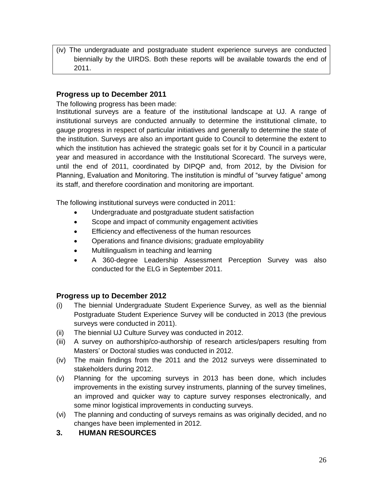(iv) The undergraduate and postgraduate student experience surveys are conducted biennially by the UIRDS. Both these reports will be available towards the end of 2011.

#### **Progress up to December 2011**

The following progress has been made:

Institutional surveys are a feature of the institutional landscape at UJ. A range of institutional surveys are conducted annually to determine the institutional climate, to gauge progress in respect of particular initiatives and generally to determine the state of the institution. Surveys are also an important guide to Council to determine the extent to which the institution has achieved the strategic goals set for it by Council in a particular year and measured in accordance with the Institutional Scorecard. The surveys were, until the end of 2011, coordinated by DIPQP and, from 2012, by the Division for Planning, Evaluation and Monitoring. The institution is mindful of "survey fatigue" among its staff, and therefore coordination and monitoring are important.

The following institutional surveys were conducted in 2011:

- Undergraduate and postgraduate student satisfaction
- Scope and impact of community engagement activities
- Efficiency and effectiveness of the human resources
- Operations and finance divisions; graduate employability
- Multilingualism in teaching and learning
- A 360-degree Leadership Assessment Perception Survey was also conducted for the ELG in September 2011.

#### **Progress up to December 2012**

- (i) The biennial Undergraduate Student Experience Survey, as well as the biennial Postgraduate Student Experience Survey will be conducted in 2013 (the previous surveys were conducted in 2011).
- (ii) The biennial UJ Culture Survey was conducted in 2012.
- (iii) A survey on authorship/co-authorship of research articles/papers resulting from Masters' or Doctoral studies was conducted in 2012.
- (iv) The main findings from the 2011 and the 2012 surveys were disseminated to stakeholders during 2012.
- (v) Planning for the upcoming surveys in 2013 has been done, which includes improvements in the existing survey instruments, planning of the survey timelines, an improved and quicker way to capture survey responses electronically, and some minor logistical improvements in conducting surveys.
- (vi) The planning and conducting of surveys remains as was originally decided, and no changes have been implemented in 2012.

#### **3. HUMAN RESOURCES**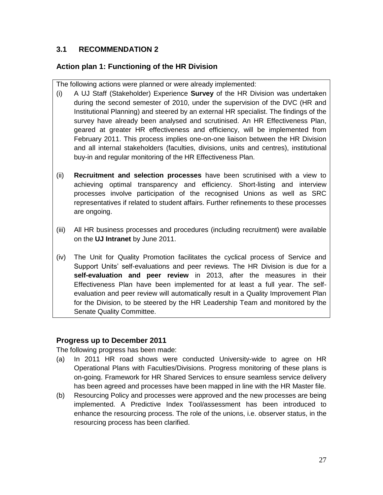## **3.1 RECOMMENDATION 2**

## **Action plan 1: Functioning of the HR Division**

The following actions were planned or were already implemented:

- (i) A UJ Staff (Stakeholder) Experience **Survey** of the HR Division was undertaken during the second semester of 2010, under the supervision of the DVC (HR and Institutional Planning) and steered by an external HR specialist. The findings of the survey have already been analysed and scrutinised. An HR Effectiveness Plan, geared at greater HR effectiveness and efficiency, will be implemented from February 2011. This process implies one-on-one liaison between the HR Division and all internal stakeholders (faculties, divisions, units and centres), institutional buy-in and regular monitoring of the HR Effectiveness Plan.
- (ii) **Recruitment and selection processes** have been scrutinised with a view to achieving optimal transparency and efficiency. Short-listing and interview processes involve participation of the recognised Unions as well as SRC representatives if related to student affairs. Further refinements to these processes are ongoing.
- (iii) All HR business processes and procedures (including recruitment) were available on the **UJ Intranet** by June 2011.
- (iv) The Unit for Quality Promotion facilitates the cyclical process of Service and Support Units' self-evaluations and peer reviews. The HR Division is due for a **self-evaluation and peer review** in 2013, after the measures in their Effectiveness Plan have been implemented for at least a full year. The selfevaluation and peer review will automatically result in a Quality Improvement Plan for the Division, to be steered by the HR Leadership Team and monitored by the Senate Quality Committee.

#### **Progress up to December 2011**

The following progress has been made:

- (a) In 2011 HR road shows were conducted University-wide to agree on HR Operational Plans with Faculties/Divisions. Progress monitoring of these plans is on-going. Framework for HR Shared Services to ensure seamless service delivery has been agreed and processes have been mapped in line with the HR Master file.
- (b) Resourcing Policy and processes were approved and the new processes are being implemented. A Predictive Index Tool/assessment has been introduced to enhance the resourcing process. The role of the unions, i.e. observer status, in the resourcing process has been clarified.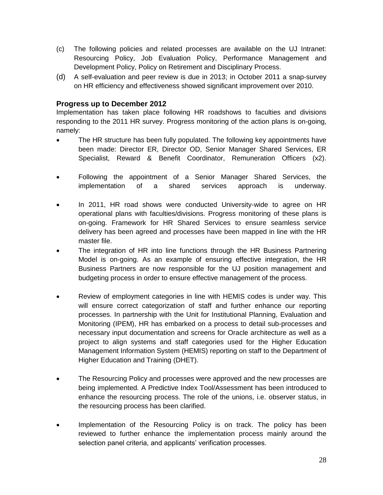- (c) The following policies and related processes are available on the UJ Intranet: Resourcing Policy, Job Evaluation Policy, Performance Management and Development Policy, Policy on Retirement and Disciplinary Process.
- (d) A self-evaluation and peer review is due in 2013; in October 2011 a snap-survey on HR efficiency and effectiveness showed significant improvement over 2010.

#### **Progress up to December 2012**

Implementation has taken place following HR roadshows to faculties and divisions responding to the 2011 HR survey. Progress monitoring of the action plans is on-going, namely:

- The HR structure has been fully populated. The following key appointments have been made: Director ER, Director OD, Senior Manager Shared Services, ER Specialist, Reward & Benefit Coordinator, Remuneration Officers (x2).
- Following the appointment of a Senior Manager Shared Services, the implementation of a shared services approach is underway.
- In 2011, HR road shows were conducted University-wide to agree on HR operational plans with faculties/divisions. Progress monitoring of these plans is on-going. Framework for HR Shared Services to ensure seamless service delivery has been agreed and processes have been mapped in line with the HR master file.
- The integration of HR into line functions through the HR Business Partnering Model is on-going. As an example of ensuring effective integration, the HR Business Partners are now responsible for the UJ position management and budgeting process in order to ensure effective management of the process.
- Review of employment categories in line with HEMIS codes is under way. This will ensure correct categorization of staff and further enhance our reporting processes. In partnership with the Unit for Institutional Planning, Evaluation and Monitoring (IPEM), HR has embarked on a process to detail sub-processes and necessary input documentation and screens for Oracle architecture as well as a project to align systems and staff categories used for the Higher Education Management Information System (HEMIS) reporting on staff to the Department of Higher Education and Training (DHET).
- The Resourcing Policy and processes were approved and the new processes are being implemented. A Predictive Index Tool/Assessment has been introduced to enhance the resourcing process. The role of the unions, i.e. observer status, in the resourcing process has been clarified.
- Implementation of the Resourcing Policy is on track. The policy has been reviewed to further enhance the implementation process mainly around the selection panel criteria, and applicants' verification processes.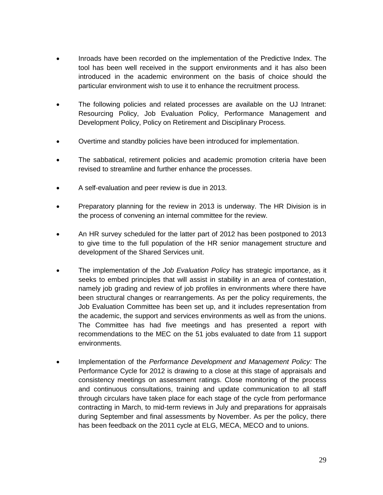- Inroads have been recorded on the implementation of the Predictive Index. The tool has been well received in the support environments and it has also been introduced in the academic environment on the basis of choice should the particular environment wish to use it to enhance the recruitment process.
- The following policies and related processes are available on the UJ Intranet: Resourcing Policy, Job Evaluation Policy, Performance Management and Development Policy, Policy on Retirement and Disciplinary Process.
- Overtime and standby policies have been introduced for implementation.
- The sabbatical, retirement policies and academic promotion criteria have been revised to streamline and further enhance the processes.
- A self-evaluation and peer review is due in 2013.
- Preparatory planning for the review in 2013 is underway. The HR Division is in the process of convening an internal committee for the review.
- An HR survey scheduled for the latter part of 2012 has been postponed to 2013 to give time to the full population of the HR senior management structure and development of the Shared Services unit.
- The implementation of the *Job Evaluation Policy* has strategic importance, as it seeks to embed principles that will assist in stability in an area of contestation, namely job grading and review of job profiles in environments where there have been structural changes or rearrangements. As per the policy requirements, the Job Evaluation Committee has been set up, and it includes representation from the academic, the support and services environments as well as from the unions. The Committee has had five meetings and has presented a report with recommendations to the MEC on the 51 jobs evaluated to date from 11 support environments.
- Implementation of the *Performance Development and Management Policy:* The Performance Cycle for 2012 is drawing to a close at this stage of appraisals and consistency meetings on assessment ratings. Close monitoring of the process and continuous consultations, training and update communication to all staff through circulars have taken place for each stage of the cycle from performance contracting in March, to mid-term reviews in July and preparations for appraisals during September and final assessments by November. As per the policy, there has been feedback on the 2011 cycle at ELG, MECA, MECO and to unions.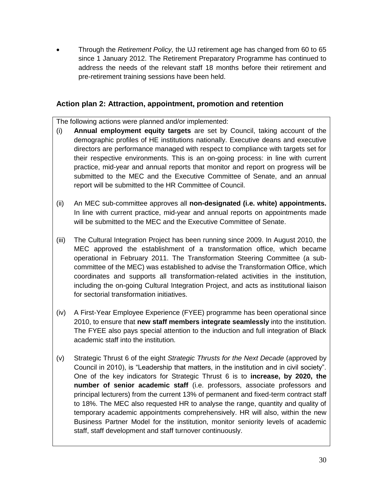Through the *Retirement Policy,* the UJ retirement age has changed from 60 to 65 since 1 January 2012. The Retirement Preparatory Programme has continued to address the needs of the relevant staff 18 months before their retirement and pre-retirement training sessions have been held.

#### **Action plan 2: Attraction, appointment, promotion and retention**

The following actions were planned and/or implemented:

- (i) **Annual employment equity targets** are set by Council, taking account of the demographic profiles of HE institutions nationally. Executive deans and executive directors are performance managed with respect to compliance with targets set for their respective environments. This is an on-going process: in line with current practice, mid-year and annual reports that monitor and report on progress will be submitted to the MEC and the Executive Committee of Senate, and an annual report will be submitted to the HR Committee of Council.
- (ii) An MEC sub-committee approves all **non-designated (i.e. white) appointments.**  In line with current practice, mid-year and annual reports on appointments made will be submitted to the MEC and the Executive Committee of Senate.
- (iii) The Cultural Integration Project has been running since 2009. In August 2010, the MEC approved the establishment of a transformation office, which became operational in February 2011. The Transformation Steering Committee (a subcommittee of the MEC) was established to advise the Transformation Office, which coordinates and supports all transformation-related activities in the institution, including the on-going Cultural Integration Project, and acts as institutional liaison for sectorial transformation initiatives.
- (iv) A First-Year Employee Experience (FYEE) programme has been operational since 2010, to ensure that **new staff members integrate seamlessly** into the institution. The FYEE also pays special attention to the induction and full integration of Black academic staff into the institution.
- (v) Strategic Thrust 6 of the eight *Strategic Thrusts for the Next Decade* (approved by Council in 2010), is "Leadership that matters, in the institution and in civil society". One of the key indicators for Strategic Thrust 6 is to **increase, by 2020, the number of senior academic staff** (i.e. professors, associate professors and principal lecturers) from the current 13% of permanent and fixed-term contract staff to 18%. The MEC also requested HR to analyse the range, quantity and quality of temporary academic appointments comprehensively. HR will also, within the new Business Partner Model for the institution, monitor seniority levels of academic staff, staff development and staff turnover continuously.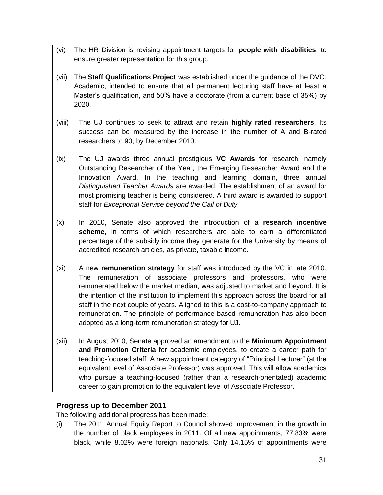- (vi) The HR Division is revising appointment targets for **people with disabilities**, to ensure greater representation for this group.
- (vii) The **Staff Qualifications Project** was established under the guidance of the DVC: Academic, intended to ensure that all permanent lecturing staff have at least a Master's qualification, and 50% have a doctorate (from a current base of 35%) by 2020.
- (viii) The UJ continues to seek to attract and retain **highly rated researchers**. Its success can be measured by the increase in the number of A and B-rated researchers to 90, by December 2010.
- (ix) The UJ awards three annual prestigious **VC Awards** for research, namely Outstanding Researcher of the Year, the Emerging Researcher Award and the Innovation Award. In the teaching and learning domain, three annual *Distinguished Teacher Awards* are awarded. The establishment of an award for most promising teacher is being considered. A third award is awarded to support staff for *Exceptional Service beyond the Call of Duty.*
- (x) In 2010, Senate also approved the introduction of a **research incentive scheme**, in terms of which researchers are able to earn a differentiated percentage of the subsidy income they generate for the University by means of accredited research articles, as private, taxable income.
- (xi) A new **remuneration strategy** for staff was introduced by the VC in late 2010. The remuneration of associate professors and professors, who were remunerated below the market median, was adjusted to market and beyond. It is the intention of the institution to implement this approach across the board for all staff in the next couple of years. Aligned to this is a cost-to-company approach to remuneration. The principle of performance-based remuneration has also been adopted as a long-term remuneration strategy for UJ.
- (xii) In August 2010, Senate approved an amendment to the **Minimum Appointment and Promotion Criteria** for academic employees, to create a career path for teaching-focused staff. A new appointment category of "Principal Lecturer" (at the equivalent level of Associate Professor) was approved. This will allow academics who pursue a teaching-focused (rather than a research-orientated) academic career to gain promotion to the equivalent level of Associate Professor.

## **Progress up to December 2011**

The following additional progress has been made:

(i) The 2011 Annual Equity Report to Council showed improvement in the growth in the number of black employees in 2011. Of all new appointments, 77.83% were black, while 8.02% were foreign nationals. Only 14.15% of appointments were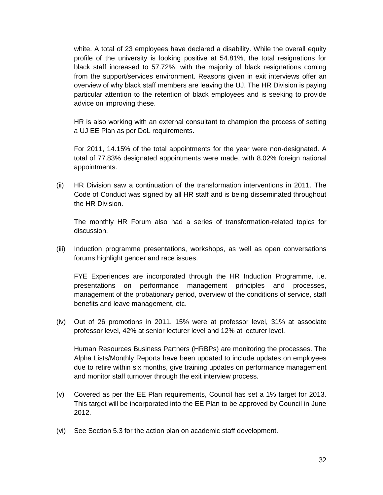white. A total of 23 employees have declared a disability. While the overall equity profile of the university is looking positive at 54.81%, the total resignations for black staff increased to 57.72%, with the majority of black resignations coming from the support/services environment. Reasons given in exit interviews offer an overview of why black staff members are leaving the UJ. The HR Division is paying particular attention to the retention of black employees and is seeking to provide advice on improving these.

HR is also working with an external consultant to champion the process of setting a UJ EE Plan as per DoL requirements.

For 2011, 14.15% of the total appointments for the year were non-designated. A total of 77.83% designated appointments were made, with 8.02% foreign national appointments.

(ii) HR Division saw a continuation of the transformation interventions in 2011. The Code of Conduct was signed by all HR staff and is being disseminated throughout the HR Division.

The monthly HR Forum also had a series of transformation-related topics for discussion.

(iii) Induction programme presentations, workshops, as well as open conversations forums highlight gender and race issues.

FYE Experiences are incorporated through the HR Induction Programme, i.e. presentations on performance management principles and processes, management of the probationary period, overview of the conditions of service, staff benefits and leave management, etc.

(iv) Out of 26 promotions in 2011, 15% were at professor level, 31% at associate professor level, 42% at senior lecturer level and 12% at lecturer level.

Human Resources Business Partners (HRBPs) are monitoring the processes. The Alpha Lists/Monthly Reports have been updated to include updates on employees due to retire within six months, give training updates on performance management and monitor staff turnover through the exit interview process.

- (v) Covered as per the EE Plan requirements, Council has set a 1% target for 2013. This target will be incorporated into the EE Plan to be approved by Council in June 2012.
- (vi) See Section 5.3 for the action plan on academic staff development.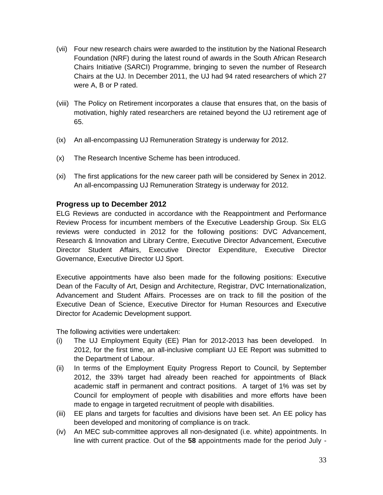- (vii) Four new research chairs were awarded to the institution by the National Research Foundation (NRF) during the latest round of awards in the South African Research Chairs Initiative (SARCI) Programme, bringing to seven the number of Research Chairs at the UJ. In December 2011, the UJ had 94 rated researchers of which 27 were A, B or P rated.
- (viii) The Policy on Retirement incorporates a clause that ensures that, on the basis of motivation, highly rated researchers are retained beyond the UJ retirement age of 65.
- (ix) An all-encompassing UJ Remuneration Strategy is underway for 2012.
- (x) The Research Incentive Scheme has been introduced.
- (xi) The first applications for the new career path will be considered by Senex in 2012. An all-encompassing UJ Remuneration Strategy is underway for 2012.

#### **Progress up to December 2012**

ELG Reviews are conducted in accordance with the Reappointment and Performance Review Process for incumbent members of the Executive Leadership Group. Six ELG reviews were conducted in 2012 for the following positions: DVC Advancement, Research & Innovation and Library Centre, Executive Director Advancement, Executive Director Student Affairs, Executive Director Expenditure, Executive Director Governance, Executive Director UJ Sport.

Executive appointments have also been made for the following positions: Executive Dean of the Faculty of Art, Design and Architecture, Registrar, DVC Internationalization, Advancement and Student Affairs. Processes are on track to fill the position of the Executive Dean of Science, Executive Director for Human Resources and Executive Director for Academic Development support.

The following activities were undertaken:

- (i) The UJ Employment Equity (EE) Plan for 2012-2013 has been developed. In 2012, for the first time, an all-inclusive compliant UJ EE Report was submitted to the Department of Labour.
- (ii) In terms of the Employment Equity Progress Report to Council, by September 2012, the 33% target had already been reached for appointments of Black academic staff in permanent and contract positions. A target of 1% was set by Council for employment of people with disabilities and more efforts have been made to engage in targeted recruitment of people with disabilities.
- (iii) EE plans and targets for faculties and divisions have been set. An EE policy has been developed and monitoring of compliance is on track.
- (iv) An MEC sub-committee approves all non-designated (i.e. white) appointments. In line with current practice. Out of the **58** appointments made for the period July -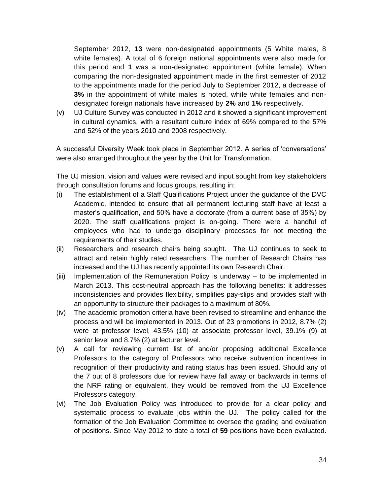September 2012, **13** were non-designated appointments (5 White males, 8 white females). A total of 6 foreign national appointments were also made for this period and **1** was a non-designated appointment (white female). When comparing the non-designated appointment made in the first semester of 2012 to the appointments made for the period July to September 2012, a decrease of **3%** in the appointment of white males is noted, while white females and nondesignated foreign nationals have increased by **2%** and **1%** respectively.

(v) UJ Culture Survey was conducted in 2012 and it showed a significant improvement in cultural dynamics, with a resultant culture index of 69% compared to the 57% and 52% of the years 2010 and 2008 respectively.

A successful Diversity Week took place in September 2012. A series of 'conversations' were also arranged throughout the year by the Unit for Transformation.

The UJ mission, vision and values were revised and input sought from key stakeholders through consultation forums and focus groups, resulting in:

- (i) The establishment of a Staff Qualifications Project under the guidance of the DVC Academic, intended to ensure that all permanent lecturing staff have at least a master's qualification, and 50% have a doctorate (from a current base of 35%) by 2020. The staff qualifications project is on-going. There were a handful of employees who had to undergo disciplinary processes for not meeting the requirements of their studies.
- (ii) Researchers and research chairs being sought. The UJ continues to seek to attract and retain highly rated researchers. The number of Research Chairs has increased and the UJ has recently appointed its own Research Chair.
- (iii) Implementation of the Remuneration Policy is underway to be implemented in March 2013. This cost-neutral approach has the following benefits: it addresses inconsistencies and provides flexibility, simplifies pay-slips and provides staff with an opportunity to structure their packages to a maximum of 80%.
- (iv) The academic promotion criteria have been revised to streamline and enhance the process and will be implemented in 2013. Out of 23 promotions in 2012, 8.7% (2) were at professor level, 43.5% (10) at associate professor level, 39.1% (9) at senior level and 8.7% (2) at lecturer level.
- (v) A call for reviewing current list of and/or proposing additional Excellence Professors to the category of Professors who receive subvention incentives in recognition of their productivity and rating status has been issued. Should any of the 7 out of 8 professors due for review have fall away or backwards in terms of the NRF rating or equivalent, they would be removed from the UJ Excellence Professors category.
- (vi) The Job Evaluation Policy was introduced to provide for a clear policy and systematic process to evaluate jobs within the UJ. The policy called for the formation of the Job Evaluation Committee to oversee the grading and evaluation of positions. Since May 2012 to date a total of **59** positions have been evaluated.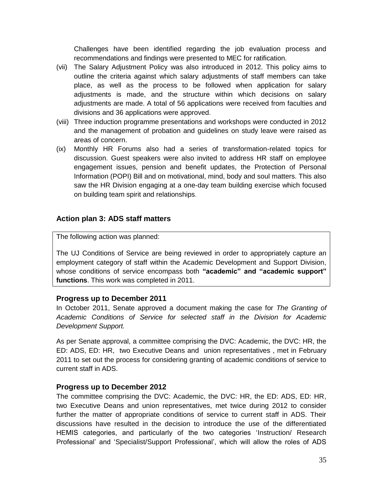Challenges have been identified regarding the job evaluation process and recommendations and findings were presented to MEC for ratification.

- (vii) The Salary Adjustment Policy was also introduced in 2012. This policy aims to outline the criteria against which salary adjustments of staff members can take place, as well as the process to be followed when application for salary adjustments is made, and the structure within which decisions on salary adjustments are made. A total of 56 applications were received from faculties and divisions and 36 applications were approved.
- (viii) Three induction programme presentations and workshops were conducted in 2012 and the management of probation and guidelines on study leave were raised as areas of concern.
- (ix) Monthly HR Forums also had a series of transformation-related topics for discussion. Guest speakers were also invited to address HR staff on employee engagement issues, pension and benefit updates, the Protection of Personal Information (POPI) Bill and on motivational, mind, body and soul matters. This also saw the HR Division engaging at a one-day team building exercise which focused on building team spirit and relationships.

#### **Action plan 3: ADS staff matters**

The following action was planned:

The UJ Conditions of Service are being reviewed in order to appropriately capture an employment category of staff within the Academic Development and Support Division, whose conditions of service encompass both **"academic" and "academic support" functions**. This work was completed in 2011.

#### **Progress up to December 2011**

In October 2011, Senate approved a document making the case for *The Granting of Academic Conditions of Service for selected staff in the Division for Academic Development Support.*

As per Senate approval, a committee comprising the DVC: Academic, the DVC: HR, the ED: ADS, ED: HR, two Executive Deans and union representatives , met in February 2011 to set out the process for considering granting of academic conditions of service to current staff in ADS.

#### **Progress up to December 2012**

The committee comprising the DVC: Academic, the DVC: HR, the ED: ADS, ED: HR, two Executive Deans and union representatives, met twice during 2012 to consider further the matter of appropriate conditions of service to current staff in ADS. Their discussions have resulted in the decision to introduce the use of the differentiated HEMIS categories, and particularly of the two categories 'Instruction/ Research Professional' and 'Specialist/Support Professional', which will allow the roles of ADS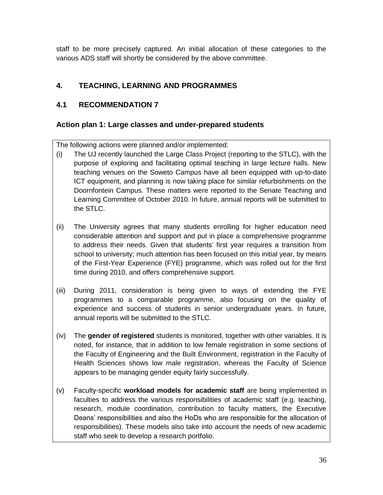staff to be more precisely captured. An initial allocation of these categories to the various ADS staff will shortly be considered by the above committee.

## **4. TEACHING, LEARNING AND PROGRAMMES**

## **4.1 RECOMMENDATION 7**

### **Action plan 1: Large classes and under-prepared students**

The following actions were planned and/or implemented:

- (i) The UJ recently launched the Large Class Project (reporting to the STLC), with the purpose of exploring and facilitating optimal teaching in large lecture halls. New teaching venues on the Soweto Campus have all been equipped with up-to-date ICT equipment, and planning is now taking place for similar refurbishments on the Doornfontein Campus. These matters were reported to the Senate Teaching and Learning Committee of October 2010. In future, annual reports will be submitted to the STLC.
- (ii) The University agrees that many students enrolling for higher education need considerable attention and support and put in place a comprehensive programme to address their needs. Given that students' first year requires a transition from school to university; much attention has been focused on this initial year, by means of the First-Year Experience (FYE) programme, which was rolled out for the first time during 2010, and offers comprehensive support.
- (iii) During 2011, consideration is being given to ways of extending the FYE programmes to a comparable programme, also focusing on the quality of experience and success of students in senior undergraduate years. In future, annual reports will be submitted to the STLC.
- (iv) The **gender of registered** students is monitored, together with other variables. It is noted, for instance, that in addition to low female registration in some sections of the Faculty of Engineering and the Built Environment, registration in the Faculty of Health Sciences shows low male registration, whereas the Faculty of Science appears to be managing gender equity fairly successfully.
- (v) Faculty-specific **workload models for academic staff** are being implemented in faculties to address the various responsibilities of academic staff (e.g. teaching, research, module coordination, contribution to faculty matters, the Executive Deans' responsibilities and also the HoDs who are responsible for the allocation of responsibilities). These models also take into account the needs of new academic staff who seek to develop a research portfolio.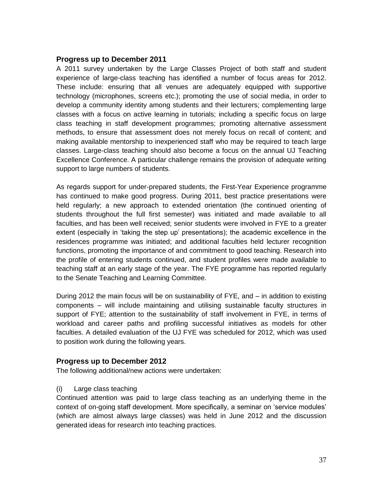#### **Progress up to December 2011**

A 2011 survey undertaken by the Large Classes Project of both staff and student experience of large-class teaching has identified a number of focus areas for 2012. These include: ensuring that all venues are adequately equipped with supportive technology (microphones, screens etc.); promoting the use of social media, in order to develop a community identity among students and their lecturers; complementing large classes with a focus on active learning in tutorials; including a specific focus on large class teaching in staff development programmes; promoting alternative assessment methods, to ensure that assessment does not merely focus on recall of content; and making available mentorship to inexperienced staff who may be required to teach large classes. Large-class teaching should also become a focus on the annual UJ Teaching Excellence Conference. A particular challenge remains the provision of adequate writing support to large numbers of students.

As regards support for under-prepared students, the First-Year Experience programme has continued to make good progress. During 2011, best practice presentations were held regularly; a new approach to extended orientation (the continued orienting of students throughout the full first semester) was initiated and made available to all faculties, and has been well received; senior students were involved in FYE to a greater extent (especially in 'taking the step up' presentations); the academic excellence in the residences programme was initiated; and additional faculties held lecturer recognition functions, promoting the importance of and commitment to good teaching. Research into the profile of entering students continued, and student profiles were made available to teaching staff at an early stage of the year. The FYE programme has reported regularly to the Senate Teaching and Learning Committee.

During 2012 the main focus will be on sustainability of FYE, and – in addition to existing components – will include maintaining and utilising sustainable faculty structures in support of FYE; attention to the sustainability of staff involvement in FYE, in terms of workload and career paths and profiling successful initiatives as models for other faculties. A detailed evaluation of the UJ FYE was scheduled for 2012, which was used to position work during the following years.

#### **Progress up to December 2012**

The following additional/new actions were undertaken:

#### (i) Large class teaching

Continued attention was paid to large class teaching as an underlying theme in the context of on-going staff development. More specifically, a seminar on 'service modules' (which are almost always large classes) was held in June 2012 and the discussion generated ideas for research into teaching practices.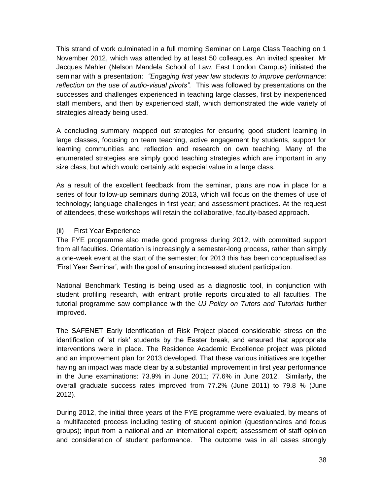This strand of work culminated in a full morning Seminar on Large Class Teaching on 1 November 2012, which was attended by at least 50 colleagues. An invited speaker, Mr Jacques Mahler (Nelson Mandela School of Law, East London Campus) initiated the seminar with a presentation: *"Engaging first year law students to improve performance: reflection on the use of audio-visual pivots".* This was followed by presentations on the successes and challenges experienced in teaching large classes, first by inexperienced staff members, and then by experienced staff, which demonstrated the wide variety of strategies already being used.

A concluding summary mapped out strategies for ensuring good student learning in large classes, focusing on team teaching, active engagement by students, support for learning communities and reflection and research on own teaching. Many of the enumerated strategies are simply good teaching strategies which are important in any size class, but which would certainly add especial value in a large class.

As a result of the excellent feedback from the seminar, plans are now in place for a series of four follow-up seminars during 2013, which will focus on the themes of use of technology; language challenges in first year; and assessment practices. At the request of attendees, these workshops will retain the collaborative, faculty-based approach.

#### (ii) First Year Experience

The FYE programme also made good progress during 2012, with committed support from all faculties. Orientation is increasingly a semester-long process, rather than simply a one-week event at the start of the semester; for 2013 this has been conceptualised as 'First Year Seminar', with the goal of ensuring increased student participation.

National Benchmark Testing is being used as a diagnostic tool, in conjunction with student profiling research, with entrant profile reports circulated to all faculties. The tutorial programme saw compliance with the *UJ Policy on Tutors and Tutorials* further improved.

The SAFENET Early Identification of Risk Project placed considerable stress on the identification of 'at risk' students by the Easter break, and ensured that appropriate interventions were in place. The Residence Academic Excellence project was piloted and an improvement plan for 2013 developed. That these various initiatives are together having an impact was made clear by a substantial improvement in first year performance in the June examinations: 73.9% in June 2011; 77.6% in June 2012. Similarly, the overall graduate success rates improved from 77.2% (June 2011) to 79.8 % (June 2012).

During 2012, the initial three years of the FYE programme were evaluated, by means of a multifaceted process including testing of student opinion (questionnaires and focus groups); input from a national and an international expert; assessment of staff opinion and consideration of student performance. The outcome was in all cases strongly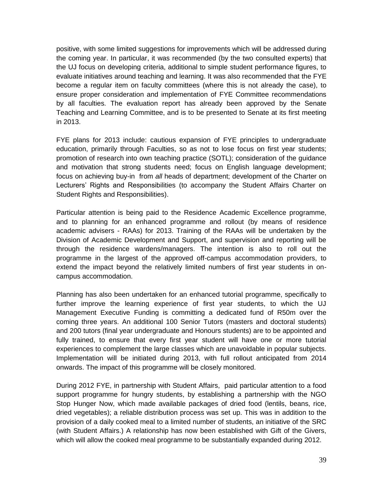positive, with some limited suggestions for improvements which will be addressed during the coming year. In particular, it was recommended (by the two consulted experts) that the UJ focus on developing criteria, additional to simple student performance figures, to evaluate initiatives around teaching and learning. It was also recommended that the FYE become a regular item on faculty committees (where this is not already the case), to ensure proper consideration and implementation of FYE Committee recommendations by all faculties. The evaluation report has already been approved by the Senate Teaching and Learning Committee, and is to be presented to Senate at its first meeting in 2013.

FYE plans for 2013 include: cautious expansion of FYE principles to undergraduate education, primarily through Faculties, so as not to lose focus on first year students; promotion of research into own teaching practice (SOTL); consideration of the guidance and motivation that strong students need; focus on English language development; focus on achieving buy-in from *all* heads of department; development of the Charter on Lecturers' Rights and Responsibilities (to accompany the Student Affairs Charter on Student Rights and Responsibilities).

Particular attention is being paid to the Residence Academic Excellence programme, and to planning for an enhanced programme and rollout (by means of residence academic advisers - RAAs) for 2013. Training of the RAAs will be undertaken by the Division of Academic Development and Support, and supervision and reporting will be through the residence wardens/managers. The intention is also to roll out the programme in the largest of the approved off-campus accommodation providers, to extend the impact beyond the relatively limited numbers of first year students in oncampus accommodation.

Planning has also been undertaken for an enhanced tutorial programme, specifically to further improve the learning experience of first year students, to which the UJ Management Executive Funding is committing a dedicated fund of R50m over the coming three years. An additional 100 Senior Tutors (masters and doctoral students) and 200 tutors (final year undergraduate and Honours students) are to be appointed and fully trained, to ensure that every first year student will have one or more tutorial experiences to complement the large classes which are unavoidable in popular subjects. Implementation will be initiated during 2013, with full rollout anticipated from 2014 onwards. The impact of this programme will be closely monitored.

During 2012 FYE, in partnership with Student Affairs, paid particular attention to a food support programme for hungry students, by establishing a partnership with the NGO Stop Hunger Now, which made available packages of dried food (lentils, beans, rice, dried vegetables); a reliable distribution process was set up. This was in addition to the provision of a daily cooked meal to a limited number of students, an initiative of the SRC (with Student Affairs.) A relationship has now been established with Gift of the Givers, which will allow the cooked meal programme to be substantially expanded during 2012.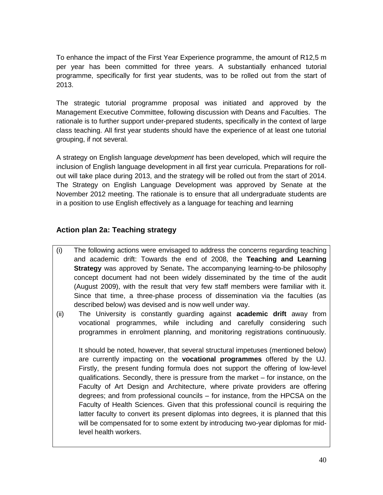To enhance the impact of the First Year Experience programme, the amount of R12,5 m per year has been committed for three years. A substantially enhanced tutorial programme, specifically for first year students, was to be rolled out from the start of 2013.

The strategic tutorial programme proposal was initiated and approved by the Management Executive Committee, following discussion with Deans and Faculties. The rationale is to further support under-prepared students, specifically in the context of large class teaching. All first year students should have the experience of at least one tutorial grouping, if not several.

A strategy on English language *development* has been developed, which will require the inclusion of English language development in all first year curricula. Preparations for rollout will take place during 2013, and the strategy will be rolled out from the start of 2014. The Strategy on English Language Development was approved by Senate at the November 2012 meeting. The rationale is to ensure that all undergraduate students are in a position to use English effectively as a language for teaching and learning

# **Action plan 2a: Teaching strategy**

- (i) The following actions were envisaged to address the concerns regarding teaching and academic drift: Towards the end of 2008, the **Teaching and Learning Strategy** was approved by Senate**.** The accompanying learning-to-be philosophy concept document had not been widely disseminated by the time of the audit (August 2009), with the result that very few staff members were familiar with it. Since that time, a three-phase process of dissemination via the faculties (as described below) was devised and is now well under way.
- (ii) The University is constantly guarding against **academic drift** away from vocational programmes, while including and carefully considering such programmes in enrolment planning, and monitoring registrations continuously.

It should be noted, however, that several structural impetuses (mentioned below) are currently impacting on the **vocational programmes** offered by the UJ. Firstly, the present funding formula does not support the offering of low-level qualifications. Secondly, there is pressure from the market – for instance, on the Faculty of Art Design and Architecture, where private providers are offering degrees; and from professional councils – for instance, from the HPCSA on the Faculty of Health Sciences. Given that this professional council is requiring the latter faculty to convert its present diplomas into degrees, it is planned that this will be compensated for to some extent by introducing two-year diplomas for midlevel health workers.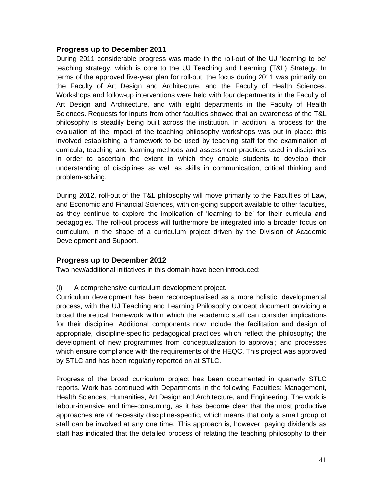#### **Progress up to December 2011**

During 2011 considerable progress was made in the roll-out of the UJ 'learning to be' teaching strategy, which is core to the UJ Teaching and Learning (T&L) Strategy. In terms of the approved five-year plan for roll-out, the focus during 2011 was primarily on the Faculty of Art Design and Architecture, and the Faculty of Health Sciences. Workshops and follow-up interventions were held with four departments in the Faculty of Art Design and Architecture, and with eight departments in the Faculty of Health Sciences. Requests for inputs from other faculties showed that an awareness of the T&L philosophy is steadily being built across the institution. In addition, a process for the evaluation of the impact of the teaching philosophy workshops was put in place: this involved establishing a framework to be used by teaching staff for the examination of curricula, teaching and learning methods and assessment practices used in disciplines in order to ascertain the extent to which they enable students to develop their understanding of disciplines as well as skills in communication, critical thinking and problem-solving.

During 2012, roll-out of the T&L philosophy will move primarily to the Faculties of Law, and Economic and Financial Sciences, with on-going support available to other faculties, as they continue to explore the implication of 'learning to be' for their curricula and pedagogies. The roll-out process will furthermore be integrated into a broader focus on curriculum, in the shape of a curriculum project driven by the Division of Academic Development and Support.

### **Progress up to December 2012**

Two new/additional initiatives in this domain have been introduced:

(i) A comprehensive curriculum development project.

Curriculum development has been reconceptualised as a more holistic, developmental process, with the UJ Teaching and Learning Philosophy concept document providing a broad theoretical framework within which the academic staff can consider implications for their discipline. Additional components now include the facilitation and design of appropriate, discipline-specific pedagogical practices which reflect the philosophy; the development of new programmes from conceptualization to approval; and processes which ensure compliance with the requirements of the HEQC. This project was approved by STLC and has been regularly reported on at STLC.

Progress of the broad curriculum project has been documented in quarterly STLC reports. Work has continued with Departments in the following Faculties: Management, Health Sciences, Humanities, Art Design and Architecture, and Engineering. The work is labour-intensive and time-consuming, as it has become clear that the most productive approaches are of necessity discipline-specific, which means that only a small group of staff can be involved at any one time. This approach is, however, paying dividends as staff has indicated that the detailed process of relating the teaching philosophy to their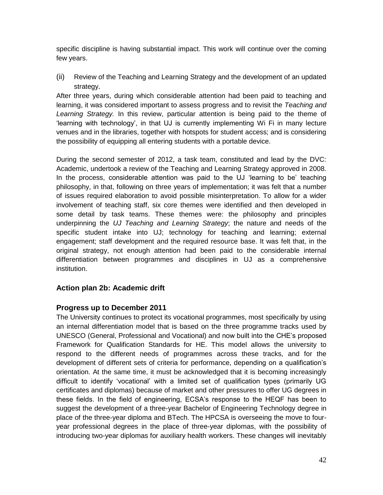specific discipline is having substantial impact. This work will continue over the coming few years.

(ii) Review of the Teaching and Learning Strategy and the development of an updated strategy.

After three years, during which considerable attention had been paid to teaching and learning, it was considered important to assess progress and to revisit the *Teaching and Learning Strategy.* In this review, particular attention is being paid to the theme of 'learning with technology', in that UJ is currently implementing Wi Fi in many lecture venues and in the libraries, together with hotspots for student access; and is considering the possibility of equipping all entering students with a portable device.

During the second semester of 2012, a task team, constituted and lead by the DVC: Academic, undertook a review of the Teaching and Learning Strategy approved in 2008. In the process, considerable attention was paid to the UJ 'learning to be' teaching philosophy, in that, following on three years of implementation; it was felt that a number of issues required elaboration to avoid possible misinterpretation. To allow for a wider involvement of teaching staff, six core themes were identified and then developed in some detail by task teams. These themes were: the philosophy and principles underpinning the *UJ Teaching and Learning Strategy*; the nature and needs of the specific student intake into UJ; technology for teaching and learning; external engagement; staff development and the required resource base. It was felt that, in the original strategy, not enough attention had been paid to the considerable internal differentiation between programmes and disciplines in UJ as a comprehensive institution.

# **Action plan 2b: Academic drift**

### **Progress up to December 2011**

The University continues to protect its vocational programmes, most specifically by using an internal differentiation model that is based on the three programme tracks used by UNESCO (General, Professional and Vocational) and now built into the CHE's proposed Framework for Qualification Standards for HE. This model allows the university to respond to the different needs of programmes across these tracks, and for the development of different sets of criteria for performance, depending on a qualification's orientation. At the same time, it must be acknowledged that it is becoming increasingly difficult to identify 'vocational' with a limited set of qualification types (primarily UG certificates and diplomas) because of market and other pressures to offer UG degrees in these fields. In the field of engineering, ECSA's response to the HEQF has been to suggest the development of a three-year Bachelor of Engineering Technology degree in place of the three-year diploma and BTech. The HPCSA is overseeing the move to fouryear professional degrees in the place of three-year diplomas, with the possibility of introducing two-year diplomas for auxiliary health workers. These changes will inevitably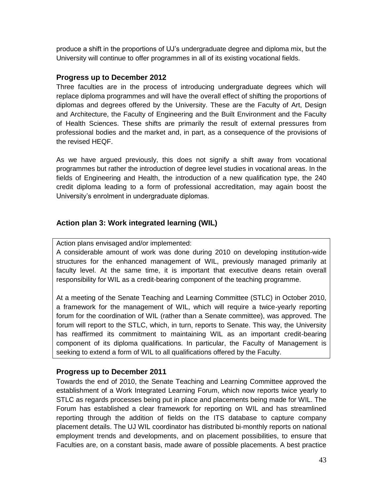produce a shift in the proportions of UJ's undergraduate degree and diploma mix, but the University will continue to offer programmes in all of its existing vocational fields.

### **Progress up to December 2012**

Three faculties are in the process of introducing undergraduate degrees which will replace diploma programmes and will have the overall effect of shifting the proportions of diplomas and degrees offered by the University. These are the Faculty of Art, Design and Architecture, the Faculty of Engineering and the Built Environment and the Faculty of Health Sciences. These shifts are primarily the result of external pressures from professional bodies and the market and, in part, as a consequence of the provisions of the revised HEQF.

As we have argued previously, this does not signify a shift away from vocational programmes but rather the introduction of degree level studies in vocational areas. In the fields of Engineering and Health, the introduction of a new qualification type, the 240 credit diploma leading to a form of professional accreditation, may again boost the University's enrolment in undergraduate diplomas.

## **Action plan 3: Work integrated learning (WIL)**

#### Action plans envisaged and/or implemented:

A considerable amount of work was done during 2010 on developing institution-wide structures for the enhanced management of WIL, previously managed primarily at faculty level. At the same time, it is important that executive deans retain overall responsibility for WIL as a credit-bearing component of the teaching programme.

At a meeting of the Senate Teaching and Learning Committee (STLC) in October 2010, a framework for the management of WIL, which will require a twice-yearly reporting forum for the coordination of WIL (rather than a Senate committee), was approved. The forum will report to the STLC, which, in turn, reports to Senate. This way, the University has reaffirmed its commitment to maintaining WIL as an important credit-bearing component of its diploma qualifications. In particular, the Faculty of Management is seeking to extend a form of WIL to all qualifications offered by the Faculty.

### **Progress up to December 2011**

Towards the end of 2010, the Senate Teaching and Learning Committee approved the establishment of a Work Integrated Learning Forum, which now reports twice yearly to STLC as regards processes being put in place and placements being made for WIL. The Forum has established a clear framework for reporting on WIL and has streamlined reporting through the addition of fields on the ITS database to capture company placement details. The UJ WIL coordinator has distributed bi-monthly reports on national employment trends and developments, and on placement possibilities, to ensure that Faculties are, on a constant basis, made aware of possible placements. A best practice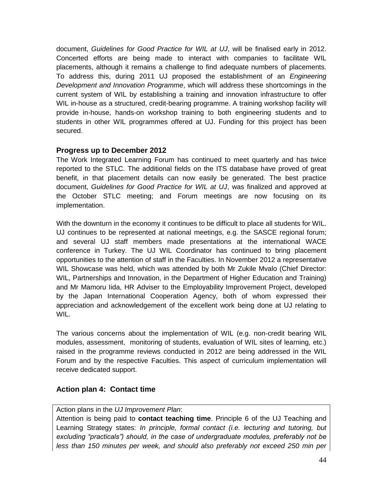document, *Guidelines for Good Practice for WIL at UJ*, will be finalised early in 2012. Concerted efforts are being made to interact with companies to facilitate WIL placements, although it remains a challenge to find adequate numbers of placements. To address this, during 2011 UJ proposed the establishment of an *Engineering Development and Innovation Programme*, which will address these shortcomings in the current system of WIL by establishing a training and innovation infrastructure to offer WIL in-house as a structured, credit-bearing programme. A training workshop facility will provide in-house, hands-on workshop training to both engineering students and to students in other WIL programmes offered at UJ. Funding for this project has been secured.

### **Progress up to December 2012**

The Work Integrated Learning Forum has continued to meet quarterly and has twice reported to the STLC. The additional fields on the ITS database have proved of great benefit, in that placement details can now easily be generated. The best practice document, *Guidelines for Good Practice for WIL at UJ*, was finalized and approved at the October STLC meeting; and Forum meetings are now focusing on its implementation.

With the downturn in the economy it continues to be difficult to place all students for WIL. UJ continues to be represented at national meetings, e.g. the SASCE regional forum; and several UJ staff members made presentations at the international WACE conference in Turkey. The UJ WIL Coordinator has continued to bring placement opportunities to the attention of staff in the Faculties. In November 2012 a representative WIL Showcase was held, which was attended by both Mr Zukile Mvalo (Chief Director: WIL, Partnerships and Innovation, in the Department of Higher Education and Training) and Mr Mamoru Iida, HR Adviser to the Employability Improvement Project, developed by the Japan International Cooperation Agency, both of whom expressed their appreciation and acknowledgement of the excellent work being done at UJ relating to WIL.

The various concerns about the implementation of WIL (e.g. non-credit bearing WIL modules, assessment, monitoring of students, evaluation of WIL sites of learning, etc.) raised in the programme reviews conducted in 2012 are being addressed in the WIL Forum and by the respective Faculties. This aspect of curriculum implementation will receive dedicated support.

### **Action plan 4: Contact time**

#### Action plans in the *UJ Improvement Plan*:

Attention is being paid to **contact teaching time**. Principle 6 of the UJ Teaching and Learning Strategy states: *In principle, formal contact (i.e. lecturing and tutoring, but excluding "practicals") should, in the case of undergraduate modules, preferably not be less than 150 minutes per week, and should also preferably not exceed 250 min per*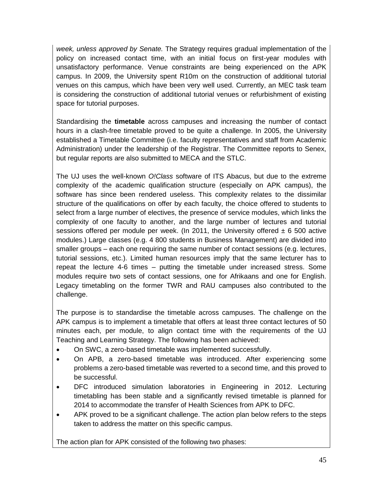*week, unless approved by Senate.* The Strategy requires gradual implementation of the policy on increased contact time, with an initial focus on first-year modules with unsatisfactory performance. Venue constraints are being experienced on the APK campus. In 2009, the University spent R10m on the construction of additional tutorial venues on this campus, which have been very well used. Currently, an MEC task team is considering the construction of additional tutorial venues or refurbishment of existing space for tutorial purposes.

Standardising the **timetable** across campuses and increasing the number of contact hours in a clash-free timetable proved to be quite a challenge. In 2005, the University established a Timetable Committee (i.e. faculty representatives and staff from Academic Administration) under the leadership of the Registrar. The Committee reports to Senex, but regular reports are also submitted to MECA and the STLC.

The UJ uses the well-known *O!Class* software of ITS Abacus, but due to the extreme complexity of the academic qualification structure (especially on APK campus), the software has since been rendered useless. This complexity relates to the dissimilar structure of the qualifications on offer by each faculty, the choice offered to students to select from a large number of electives, the presence of service modules, which links the complexity of one faculty to another, and the large number of lectures and tutorial sessions offered per module per week. (In 2011, the University offered  $\pm$  6 500 active modules.) Large classes (e.g. 4 800 students in Business Management) are divided into smaller groups – each one requiring the same number of contact sessions (e.g. lectures, tutorial sessions, etc.). Limited human resources imply that the same lecturer has to repeat the lecture 4-6 times – putting the timetable under increased stress. Some modules require two sets of contact sessions, one for Afrikaans and one for English. Legacy timetabling on the former TWR and RAU campuses also contributed to the challenge.

The purpose is to standardise the timetable across campuses. The challenge on the APK campus is to implement a timetable that offers at least three contact lectures of 50 minutes each, per module, to align contact time with the requirements of the UJ Teaching and Learning Strategy. The following has been achieved:

- On SWC, a zero-based timetable was implemented successfully.
- On APB, a zero-based timetable was introduced. After experiencing some problems a zero-based timetable was reverted to a second time, and this proved to be successful.
- DFC introduced simulation laboratories in Engineering in 2012. Lecturing timetabling has been stable and a significantly revised timetable is planned for 2014 to accommodate the transfer of Health Sciences from APK to DFC.
- APK proved to be a significant challenge. The action plan below refers to the steps taken to address the matter on this specific campus.

The action plan for APK consisted of the following two phases: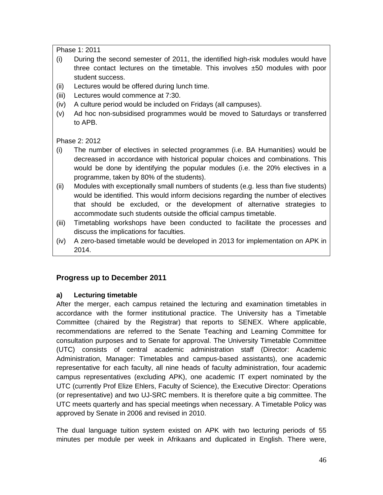Phase 1: 2011

- (i) During the second semester of 2011, the identified high-risk modules would have three contact lectures on the timetable. This involves ±50 modules with poor student success.
- (ii) Lectures would be offered during lunch time.
- (iii) Lectures would commence at 7:30.
- (iv) A culture period would be included on Fridays (all campuses).
- (v) Ad hoc non-subsidised programmes would be moved to Saturdays or transferred to APB.

Phase 2: 2012

- (i) The number of electives in selected programmes (i.e. BA Humanities) would be decreased in accordance with historical popular choices and combinations. This would be done by identifying the popular modules (i.e. the 20% electives in a programme, taken by 80% of the students).
- (ii) Modules with exceptionally small numbers of students (e.g. less than five students) would be identified. This would inform decisions regarding the number of electives that should be excluded, or the development of alternative strategies to accommodate such students outside the official campus timetable.
- (iii) Timetabling workshops have been conducted to facilitate the processes and discuss the implications for faculties.
- (iv) A zero-based timetable would be developed in 2013 for implementation on APK in 2014.

# **Progress up to December 2011**

### **a) Lecturing timetable**

After the merger, each campus retained the lecturing and examination timetables in accordance with the former institutional practice. The University has a Timetable Committee (chaired by the Registrar) that reports to SENEX. Where applicable, recommendations are referred to the Senate Teaching and Learning Committee for consultation purposes and to Senate for approval. The University Timetable Committee (UTC) consists of central academic administration staff (Director: Academic Administration, Manager: Timetables and campus-based assistants), one academic representative for each faculty, all nine heads of faculty administration, four academic campus representatives (excluding APK), one academic IT expert nominated by the UTC (currently Prof Elize Ehlers, Faculty of Science), the Executive Director: Operations (or representative) and two UJ-SRC members. It is therefore quite a big committee. The UTC meets quarterly and has special meetings when necessary. A Timetable Policy was approved by Senate in 2006 and revised in 2010.

The dual language tuition system existed on APK with two lecturing periods of 55 minutes per module per week in Afrikaans and duplicated in English. There were,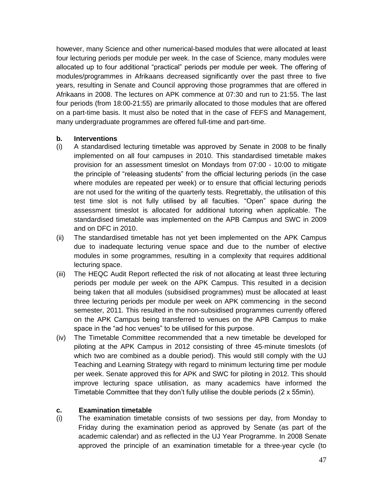however, many Science and other numerical-based modules that were allocated at least four lecturing periods per module per week. In the case of Science, many modules were allocated up to four additional "practical" periods per module per week. The offering of modules/programmes in Afrikaans decreased significantly over the past three to five years, resulting in Senate and Council approving those programmes that are offered in Afrikaans in 2008. The lectures on APK commence at 07:30 and run to 21:55. The last four periods (from 18:00-21:55) are primarily allocated to those modules that are offered on a part-time basis. It must also be noted that in the case of FEFS and Management, many undergraduate programmes are offered full-time and part-time.

#### **b. Interventions**

- (i) A standardised lecturing timetable was approved by Senate in 2008 to be finally implemented on all four campuses in 2010. This standardised timetable makes provision for an assessment timeslot on Mondays from 07:00 - 10:00 to mitigate the principle of "releasing students" from the official lecturing periods (in the case where modules are repeated per week) or to ensure that official lecturing periods are not used for the writing of the quarterly tests. Regrettably, the utilisation of this test time slot is not fully utilised by all faculties. "Open" space during the assessment timeslot is allocated for additional tutoring when applicable. The standardised timetable was implemented on the APB Campus and SWC in 2009 and on DFC in 2010.
- (ii) The standardised timetable has not yet been implemented on the APK Campus due to inadequate lecturing venue space and due to the number of elective modules in some programmes, resulting in a complexity that requires additional lecturing space.
- (iii) The HEQC Audit Report reflected the risk of not allocating at least three lecturing periods per module per week on the APK Campus. This resulted in a decision being taken that all modules (subsidised programmes) must be allocated at least three lecturing periods per module per week on APK commencing in the second semester, 2011. This resulted in the non-subsidised programmes currently offered on the APK Campus being transferred to venues on the APB Campus to make space in the "ad hoc venues" to be utilised for this purpose.
- (iv) The Timetable Committee recommended that a new timetable be developed for piloting at the APK Campus in 2012 consisting of three 45-minute timeslots (of which two are combined as a double period). This would still comply with the UJ Teaching and Learning Strategy with regard to minimum lecturing time per module per week. Senate approved this for APK and SWC for piloting in 2012. This should improve lecturing space utilisation, as many academics have informed the Timetable Committee that they don't fully utilise the double periods (2 x 55min).

### **c. Examination timetable**

(i) The examination timetable consists of two sessions per day, from Monday to Friday during the examination period as approved by Senate (as part of the academic calendar) and as reflected in the UJ Year Programme. In 2008 Senate approved the principle of an examination timetable for a three-year cycle (to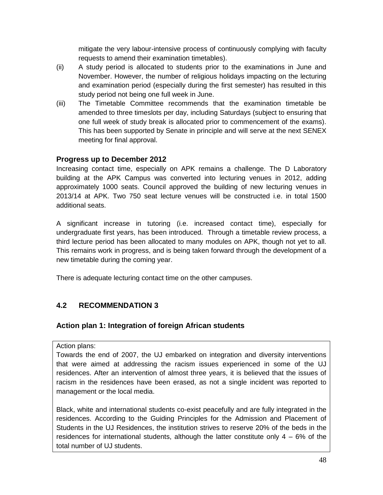mitigate the very labour-intensive process of continuously complying with faculty requests to amend their examination timetables).

- (ii) A study period is allocated to students prior to the examinations in June and November. However, the number of religious holidays impacting on the lecturing and examination period (especially during the first semester) has resulted in this study period not being one full week in June.
- (iii) The Timetable Committee recommends that the examination timetable be amended to three timeslots per day, including Saturdays (subject to ensuring that one full week of study break is allocated prior to commencement of the exams). This has been supported by Senate in principle and will serve at the next SENEX meeting for final approval.

# **Progress up to December 2012**

Increasing contact time, especially on APK remains a challenge. The D Laboratory building at the APK Campus was converted into lecturing venues in 2012, adding approximately 1000 seats. Council approved the building of new lecturing venues in 2013/14 at APK. Two 750 seat lecture venues will be constructed i.e. in total 1500 additional seats.

A significant increase in tutoring (i.e. increased contact time), especially for undergraduate first years, has been introduced. Through a timetable review process, a third lecture period has been allocated to many modules on APK, though not yet to all. This remains work in progress, and is being taken forward through the development of a new timetable during the coming year.

There is adequate lecturing contact time on the other campuses.

# **4.2 RECOMMENDATION 3**

# **Action plan 1: Integration of foreign African students**

### Action plans:

Towards the end of 2007, the UJ embarked on integration and diversity interventions that were aimed at addressing the racism issues experienced in some of the UJ residences. After an intervention of almost three years, it is believed that the issues of racism in the residences have been erased, as not a single incident was reported to management or the local media.

Black, white and international students co-exist peacefully and are fully integrated in the residences. According to the Guiding Principles for the Admission and Placement of Students in the UJ Residences, the institution strives to reserve 20% of the beds in the residences for international students, although the latter constitute only  $4 - 6\%$  of the total number of UJ students.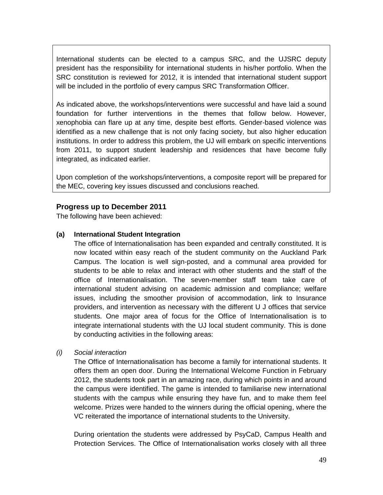International students can be elected to a campus SRC, and the UJSRC deputy president has the responsibility for international students in his/her portfolio. When the SRC constitution is reviewed for 2012, it is intended that international student support will be included in the portfolio of every campus SRC Transformation Officer.

As indicated above, the workshops/interventions were successful and have laid a sound foundation for further interventions in the themes that follow below. However, xenophobia can flare up at any time, despite best efforts. Gender-based violence was identified as a new challenge that is not only facing society, but also higher education institutions. In order to address this problem, the UJ will embark on specific interventions from 2011, to support student leadership and residences that have become fully integrated, as indicated earlier.

Upon completion of the workshops/interventions, a composite report will be prepared for the MEC, covering key issues discussed and conclusions reached.

### **Progress up to December 2011**

The following have been achieved:

#### **(a) International Student Integration**

The office of Internationalisation has been expanded and centrally constituted. It is now located within easy reach of the student community on the Auckland Park Campus. The location is well sign-posted, and a communal area provided for students to be able to relax and interact with other students and the staff of the office of Internationalisation. The seven-member staff team take care of international student advising on academic admission and compliance; welfare issues, including the smoother provision of accommodation, link to Insurance providers, and intervention as necessary with the different U J offices that service students. One major area of focus for the Office of Internationalisation is to integrate international students with the UJ local student community. This is done by conducting activities in the following areas:

*(i) Social interaction*

The Office of Internationalisation has become a family for international students. It offers them an open door. During the International Welcome Function in February 2012, the students took part in an amazing race, during which points in and around the campus were identified. The game is intended to familiarise new international students with the campus while ensuring they have fun, and to make them feel welcome. Prizes were handed to the winners during the official opening, where the VC reiterated the importance of international students to the University.

During orientation the students were addressed by PsyCaD, Campus Health and Protection Services. The Office of Internationalisation works closely with all three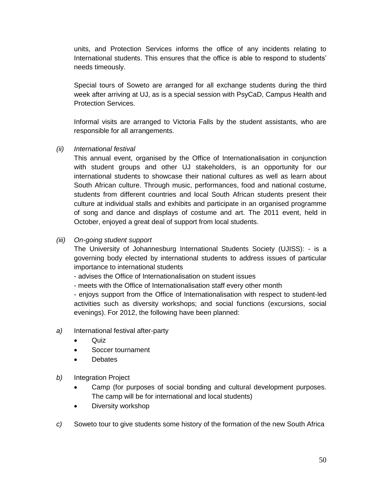units, and Protection Services informs the office of any incidents relating to International students. This ensures that the office is able to respond to students' needs timeously.

Special tours of Soweto are arranged for all exchange students during the third week after arriving at UJ, as is a special session with PsyCaD, Campus Health and Protection Services.

Informal visits are arranged to Victoria Falls by the student assistants, who are responsible for all arrangements.

*(ii) International festival*

This annual event, organised by the Office of Internationalisation in conjunction with student groups and other UJ stakeholders, is an opportunity for our international students to showcase their national cultures as well as learn about South African culture. Through music, performances, food and national costume, students from different countries and local South African students present their culture at individual stalls and exhibits and participate in an organised programme of song and dance and displays of costume and art. The 2011 event, held in October, enjoyed a great deal of support from local students.

#### *(iii) On-going student support*

The University of Johannesburg International Students Society (UJISS): - is a governing body elected by international students to address issues of particular importance to international students

- advises the Office of Internationalisation on student issues

- meets with the Office of Internationalisation staff every other month

- enjoys support from the Office of Internationalisation with respect to student-led activities such as diversity workshops; and social functions (excursions, social evenings). For 2012, the following have been planned:

- *a)* International festival after-party
	- Quiz
	- Soccer tournament
	- **Debates**
- *b)* Integration Project
	- Camp (for purposes of social bonding and cultural development purposes. The camp will be for international and local students)
	- Diversity workshop
- *c)* Soweto tour to give students some history of the formation of the new South Africa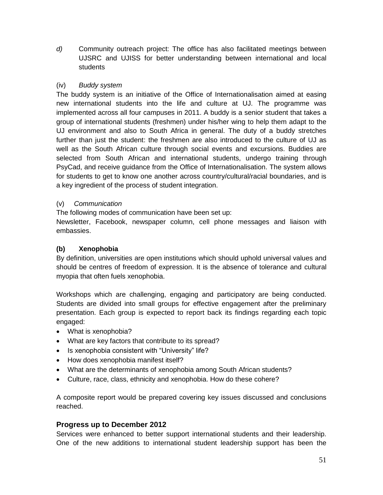*d)* Community outreach project: The office has also facilitated meetings between UJSRC and UJISS for better understanding between international and local students

## (iv) *Buddy system*

The buddy system is an initiative of the Office of Internationalisation aimed at easing new international students into the life and culture at UJ. The programme was implemented across all four campuses in 2011. A buddy is a senior student that takes a group of international students (freshmen) under his/her wing to help them adapt to the UJ environment and also to South Africa in general. The duty of a buddy stretches further than just the student: the freshmen are also introduced to the culture of UJ as well as the South African culture through social events and excursions. Buddies are selected from South African and international students, undergo training through PsyCad, and receive guidance from the Office of Internationalisation. The system allows for students to get to know one another across country/cultural/racial boundaries, and is a key ingredient of the process of student integration.

### (v) *Communication*

The following modes of communication have been set up:

Newsletter, Facebook, newspaper column, cell phone messages and liaison with embassies.

# **(b) Xenophobia**

By definition, universities are open institutions which should uphold universal values and should be centres of freedom of expression. It is the absence of tolerance and cultural myopia that often fuels xenophobia.

Workshops which are challenging, engaging and participatory are being conducted. Students are divided into small groups for effective engagement after the preliminary presentation. Each group is expected to report back its findings regarding each topic engaged:

- What is xenophobia?
- What are key factors that contribute to its spread?
- Is xenophobia consistent with "University" life?
- How does xenophobia manifest itself?
- What are the determinants of xenophobia among South African students?
- Culture, race, class, ethnicity and xenophobia. How do these cohere?

A composite report would be prepared covering key issues discussed and conclusions reached.

# **Progress up to December 2012**

Services were enhanced to better support international students and their leadership. One of the new additions to international student leadership support has been the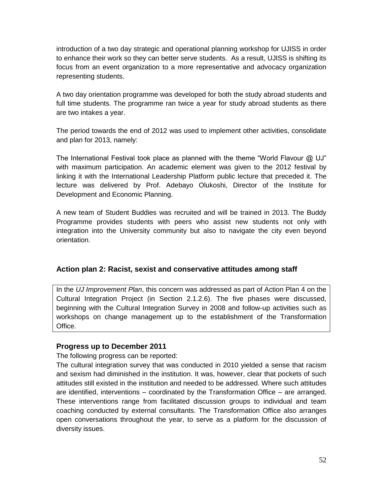introduction of a two day strategic and operational planning workshop for UJISS in order to enhance their work so they can better serve students. As a result, UJISS is shifting its focus from an event organization to a more representative and advocacy organization representing students.

A two day orientation programme was developed for both the study abroad students and full time students. The programme ran twice a year for study abroad students as there are two intakes a year.

The period towards the end of 2012 was used to implement other activities, consolidate and plan for 2013, namely:

The International Festival took place as planned with the theme "World Flavour @ UJ" with maximum participation. An academic element was given to the 2012 festival by linking it with the International Leadership Platform public lecture that preceded it. The lecture was delivered by Prof. Adebayo Olukoshi, Director of the Institute for Development and Economic Planning.

A new team of Student Buddies was recruited and will be trained in 2013. The Buddy Programme provides students with peers who assist new students not only with integration into the University community but also to navigate the city even beyond orientation.

### **Action plan 2: Racist, sexist and conservative attitudes among staff**

In the *UJ Improvement Plan*, this concern was addressed as part of Action Plan 4 on the Cultural Integration Project (in Section 2.1.2.6). The five phases were discussed, beginning with the Cultural Integration Survey in 2008 and follow-up activities such as workshops on change management up to the establishment of the Transformation Office.

### **Progress up to December 2011**

The following progress can be reported:

The cultural integration survey that was conducted in 2010 yielded a sense that racism and sexism had diminished in the institution. It was, however, clear that pockets of such attitudes still existed in the institution and needed to be addressed. Where such attitudes are identified, interventions – coordinated by the Transformation Office – are arranged. These interventions range from facilitated discussion groups to individual and team coaching conducted by external consultants. The Transformation Office also arranges open conversations throughout the year, to serve as a platform for the discussion of diversity issues.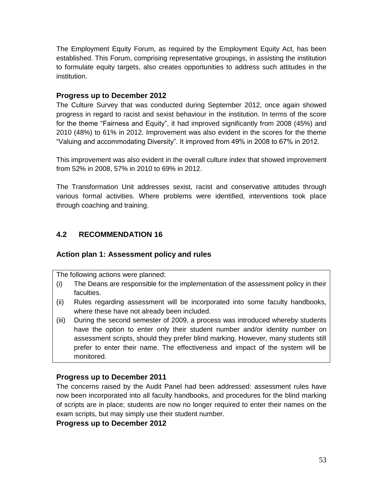The Employment Equity Forum, as required by the Employment Equity Act, has been established. This Forum, comprising representative groupings, in assisting the institution to formulate equity targets, also creates opportunities to address such attitudes in the institution.

### **Progress up to December 2012**

The Culture Survey that was conducted during September 2012, once again showed progress in regard to racist and sexist behaviour in the institution. In terms of the score for the theme "Fairness and Equity", it had improved significantly from 2008 (45%) and 2010 (48%) to 61% in 2012. Improvement was also evident in the scores for the theme "Valuing and accommodating Diversity". It improved from 49% in 2008 to 67% in 2012.

This improvement was also evident in the overall culture index that showed improvement from 52% in 2008, 57% in 2010 to 69% in 2012.

The Transformation Unit addresses sexist, racist and conservative attitudes through various formal activities. Where problems were identified, interventions took place through coaching and training.

# **4.2 RECOMMENDATION 16**

# **Action plan 1: Assessment policy and rules**

The following actions were planned:

- (i) The Deans are responsible for the implementation of the assessment policy in their faculties.
- (ii) Rules regarding assessment will be incorporated into some faculty handbooks, where these have not already been included.
- (iii) During the second semester of 2009, a process was introduced whereby students have the option to enter only their student number and/or identity number on assessment scripts, should they prefer blind marking. However, many students still prefer to enter their name. The effectiveness and impact of the system will be monitored.

# **Progress up to December 2011**

The concerns raised by the Audit Panel had been addressed: assessment rules have now been incorporated into all faculty handbooks, and procedures for the blind marking of scripts are in place; students are now no longer required to enter their names on the exam scripts, but may simply use their student number.

### **Progress up to December 2012**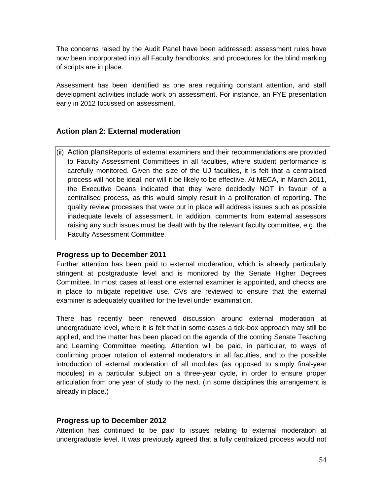The concerns raised by the Audit Panel have been addressed: assessment rules have now been incorporated into all Faculty handbooks, and procedures for the blind marking of scripts are in place.

Assessment has been identified as one area requiring constant attention, and staff development activities include work on assessment. For instance, an FYE presentation early in 2012 focussed on assessment.

## **Action plan 2: External moderation**

(ii) Action plansReports of external examiners and their recommendations are provided to Faculty Assessment Committees in all faculties, where student performance is carefully monitored. Given the size of the UJ faculties, it is felt that a centralised process will not be ideal, nor will it be likely to be effective. At MECA, in March 2011, the Executive Deans indicated that they were decidedly NOT in favour of a centralised process, as this would simply result in a proliferation of reporting. The quality review processes that were put in place will address issues such as possible inadequate levels of assessment. In addition, comments from external assessors raising any such issues must be dealt with by the relevant faculty committee, e.g. the Faculty Assessment Committee.

### **Progress up to December 2011**

Further attention has been paid to external moderation, which is already particularly stringent at postgraduate level and is monitored by the Senate Higher Degrees Committee. In most cases at least one external examiner is appointed, and checks are in place to mitigate repetitive use. CVs are reviewed to ensure that the external examiner is adequately qualified for the level under examination.

There has recently been renewed discussion around external moderation at undergraduate level, where it is felt that in some cases a tick-box approach may still be applied, and the matter has been placed on the agenda of the coming Senate Teaching and Learning Committee meeting. Attention will be paid, in particular, to ways of confirming proper rotation of external moderators in all faculties, and to the possible introduction of external moderation of all modules (as opposed to simply final-year modules) in a particular subject on a three-year cycle, in order to ensure proper articulation from one year of study to the next. (In some disciplines this arrangement is already in place.)

#### **Progress up to December 2012**

Attention has continued to be paid to issues relating to external moderation at undergraduate level. It was previously agreed that a fully centralized process would not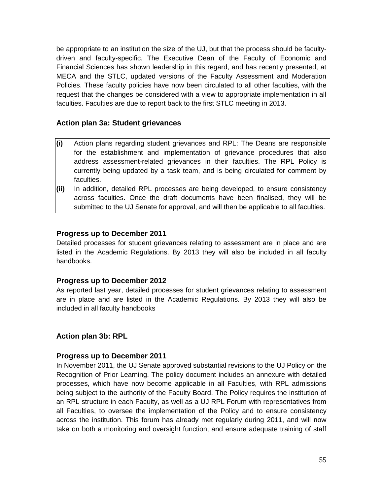be appropriate to an institution the size of the UJ, but that the process should be facultydriven and faculty-specific. The Executive Dean of the Faculty of Economic and Financial Sciences has shown leadership in this regard, and has recently presented, at MECA and the STLC, updated versions of the Faculty Assessment and Moderation Policies. These faculty policies have now been circulated to all other faculties, with the request that the changes be considered with a view to appropriate implementation in all faculties. Faculties are due to report back to the first STLC meeting in 2013.

## **Action plan 3a: Student grievances**

- **(i)** Action plans regarding student grievances and RPL: The Deans are responsible for the establishment and implementation of grievance procedures that also address assessment-related grievances in their faculties. The RPL Policy is currently being updated by a task team, and is being circulated for comment by faculties.
- **(ii)** In addition, detailed RPL processes are being developed, to ensure consistency across faculties. Once the draft documents have been finalised, they will be submitted to the UJ Senate for approval, and will then be applicable to all faculties.

## **Progress up to December 2011**

Detailed processes for student grievances relating to assessment are in place and are listed in the Academic Regulations. By 2013 they will also be included in all faculty handbooks.

### **Progress up to December 2012**

As reported last year, detailed processes for student grievances relating to assessment are in place and are listed in the Academic Regulations. By 2013 they will also be included in all faculty handbooks

### **Action plan 3b: RPL**

### **Progress up to December 2011**

In November 2011, the UJ Senate approved substantial revisions to the UJ Policy on the Recognition of Prior Learning. The policy document includes an annexure with detailed processes, which have now become applicable in all Faculties, with RPL admissions being subject to the authority of the Faculty Board. The Policy requires the institution of an RPL structure in each Faculty, as well as a UJ RPL Forum with representatives from all Faculties, to oversee the implementation of the Policy and to ensure consistency across the institution. This forum has already met regularly during 2011, and will now take on both a monitoring and oversight function, and ensure adequate training of staff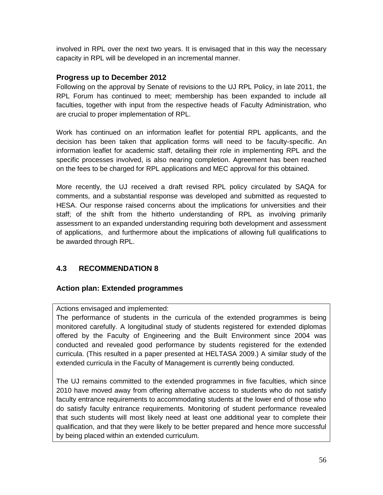involved in RPL over the next two years. It is envisaged that in this way the necessary capacity in RPL will be developed in an incremental manner.

## **Progress up to December 2012**

Following on the approval by Senate of revisions to the UJ RPL Policy, in late 2011, the RPL Forum has continued to meet; membership has been expanded to include all faculties, together with input from the respective heads of Faculty Administration, who are crucial to proper implementation of RPL.

Work has continued on an information leaflet for potential RPL applicants, and the decision has been taken that application forms will need to be faculty-specific. An information leaflet for academic staff, detailing their role in implementing RPL and the specific processes involved, is also nearing completion. Agreement has been reached on the fees to be charged for RPL applications and MEC approval for this obtained.

More recently, the UJ received a draft revised RPL policy circulated by SAQA for comments, and a substantial response was developed and submitted as requested to HESA. Our response raised concerns about the implications for universities and their staff; of the shift from the hitherto understanding of RPL as involving primarily assessment to an expanded understanding requiring both development and assessment of applications, and furthermore about the implications of allowing full qualifications to be awarded through RPL.

# **4.3 RECOMMENDATION 8**

### **Action plan: Extended programmes**

### Actions envisaged and implemented:

The performance of students in the curricula of the extended programmes is being monitored carefully. A longitudinal study of students registered for extended diplomas offered by the Faculty of Engineering and the Built Environment since 2004 was conducted and revealed good performance by students registered for the extended curricula. (This resulted in a paper presented at HELTASA 2009.) A similar study of the extended curricula in the Faculty of Management is currently being conducted.

The UJ remains committed to the extended programmes in five faculties, which since 2010 have moved away from offering alternative access to students who do not satisfy faculty entrance requirements to accommodating students at the lower end of those who do satisfy faculty entrance requirements. Monitoring of student performance revealed that such students will most likely need at least one additional year to complete their qualification, and that they were likely to be better prepared and hence more successful by being placed within an extended curriculum.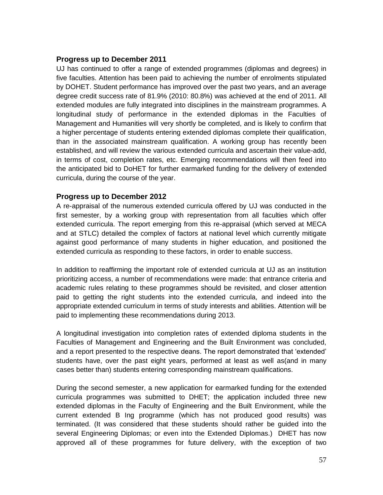## **Progress up to December 2011**

UJ has continued to offer a range of extended programmes (diplomas and degrees) in five faculties. Attention has been paid to achieving the number of enrolments stipulated by DOHET. Student performance has improved over the past two years, and an average degree credit success rate of 81.9% (2010: 80.8%) was achieved at the end of 2011. All extended modules are fully integrated into disciplines in the mainstream programmes. A longitudinal study of performance in the extended diplomas in the Faculties of Management and Humanities will very shortly be completed, and is likely to confirm that a higher percentage of students entering extended diplomas complete their qualification, than in the associated mainstream qualification. A working group has recently been established, and will review the various extended curricula and ascertain their value-add, in terms of cost, completion rates, etc. Emerging recommendations will then feed into the anticipated bid to DoHET for further earmarked funding for the delivery of extended curricula, during the course of the year.

### **Progress up to December 2012**

A re-appraisal of the numerous extended curricula offered by UJ was conducted in the first semester, by a working group with representation from all faculties which offer extended curricula. The report emerging from this re-appraisal (which served at MECA and at STLC) detailed the complex of factors at national level which currently mitigate against good performance of many students in higher education, and positioned the extended curricula as responding to these factors, in order to enable success.

In addition to reaffirming the important role of extended curricula at UJ as an institution prioritizing access, a number of recommendations were made: that entrance criteria and academic rules relating to these programmes should be revisited, and closer attention paid to getting the right students into the extended curricula, and indeed into the appropriate extended curriculum in terms of study interests and abilities. Attention will be paid to implementing these recommendations during 2013.

A longitudinal investigation into completion rates of extended diploma students in the Faculties of Management and Engineering and the Built Environment was concluded, and a report presented to the respective deans. The report demonstrated that 'extended' students have, over the past eight years, performed at least as well as(and in many cases better than) students entering corresponding mainstream qualifications.

During the second semester, a new application for earmarked funding for the extended curricula programmes was submitted to DHET; the application included three new extended diplomas in the Faculty of Engineering and the Built Environment, while the current extended B Ing programme (which has not produced good results) was terminated. (It was considered that these students should rather be guided into the several Engineering Diplomas; or even into the Extended Diplomas.) DHET has now approved all of these programmes for future delivery, with the exception of two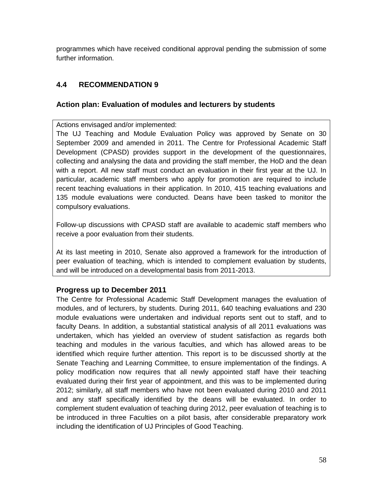programmes which have received conditional approval pending the submission of some further information.

# **4.4 RECOMMENDATION 9**

## **Action plan: Evaluation of modules and lecturers by students**

Actions envisaged and/or implemented:

The UJ Teaching and Module Evaluation Policy was approved by Senate on 30 September 2009 and amended in 2011. The Centre for Professional Academic Staff Development (CPASD) provides support in the development of the questionnaires, collecting and analysing the data and providing the staff member, the HoD and the dean with a report. All new staff must conduct an evaluation in their first year at the UJ. In particular, academic staff members who apply for promotion are required to include recent teaching evaluations in their application. In 2010, 415 teaching evaluations and 135 module evaluations were conducted. Deans have been tasked to monitor the compulsory evaluations.

Follow-up discussions with CPASD staff are available to academic staff members who receive a poor evaluation from their students.

At its last meeting in 2010, Senate also approved a framework for the introduction of peer evaluation of teaching, which is intended to complement evaluation by students, and will be introduced on a developmental basis from 2011-2013.

### **Progress up to December 2011**

The Centre for Professional Academic Staff Development manages the evaluation of modules, and of lecturers, by students. During 2011, 640 teaching evaluations and 230 module evaluations were undertaken and individual reports sent out to staff, and to faculty Deans. In addition, a substantial statistical analysis of all 2011 evaluations was undertaken, which has yielded an overview of student satisfaction as regards both teaching and modules in the various faculties, and which has allowed areas to be identified which require further attention. This report is to be discussed shortly at the Senate Teaching and Learning Committee, to ensure implementation of the findings. A policy modification now requires that all newly appointed staff have their teaching evaluated during their first year of appointment, and this was to be implemented during 2012; similarly, all staff members who have not been evaluated during 2010 and 2011 and any staff specifically identified by the deans will be evaluated. In order to complement student evaluation of teaching during 2012, peer evaluation of teaching is to be introduced in three Faculties on a pilot basis, after considerable preparatory work including the identification of UJ Principles of Good Teaching.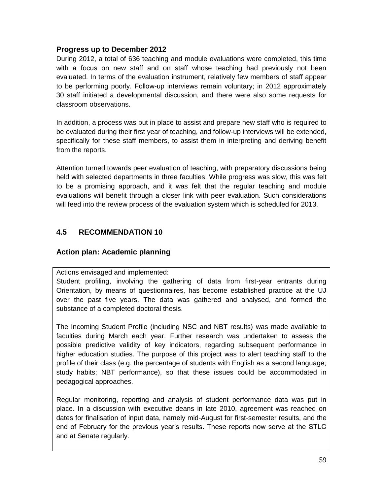#### **Progress up to December 2012**

During 2012, a total of 636 teaching and module evaluations were completed, this time with a focus on new staff and on staff whose teaching had previously not been evaluated. In terms of the evaluation instrument, relatively few members of staff appear to be performing poorly. Follow-up interviews remain voluntary; in 2012 approximately 30 staff initiated a developmental discussion, and there were also some requests for classroom observations.

In addition, a process was put in place to assist and prepare new staff who is required to be evaluated during their first year of teaching, and follow-up interviews will be extended, specifically for these staff members, to assist them in interpreting and deriving benefit from the reports.

Attention turned towards peer evaluation of teaching, with preparatory discussions being held with selected departments in three faculties. While progress was slow, this was felt to be a promising approach, and it was felt that the regular teaching and module evaluations will benefit through a closer link with peer evaluation. Such considerations will feed into the review process of the evaluation system which is scheduled for 2013.

# **4.5 RECOMMENDATION 10**

### **Action plan: Academic planning**

Actions envisaged and implemented:

Student profiling, involving the gathering of data from first-year entrants during Orientation, by means of questionnaires, has become established practice at the UJ over the past five years. The data was gathered and analysed, and formed the substance of a completed doctoral thesis.

The Incoming Student Profile (including NSC and NBT results) was made available to faculties during March each year. Further research was undertaken to assess the possible predictive validity of key indicators, regarding subsequent performance in higher education studies. The purpose of this project was to alert teaching staff to the profile of their class (e.g. the percentage of students with English as a second language; study habits; NBT performance), so that these issues could be accommodated in pedagogical approaches.

Regular monitoring, reporting and analysis of student performance data was put in place. In a discussion with executive deans in late 2010, agreement was reached on dates for finalisation of input data, namely mid-August for first-semester results, and the end of February for the previous year's results. These reports now serve at the STLC and at Senate regularly.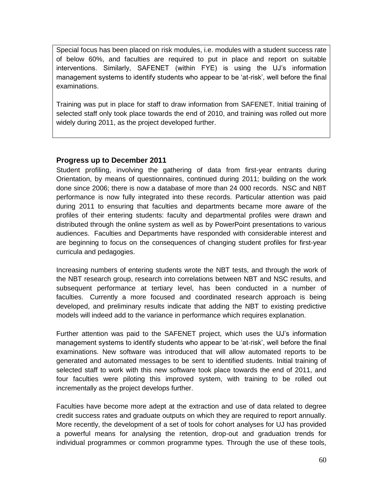Special focus has been placed on risk modules, i.e. modules with a student success rate of below 60%, and faculties are required to put in place and report on suitable interventions. Similarly, SAFENET (within FYE) is using the UJ's information management systems to identify students who appear to be 'at-risk', well before the final examinations.

Training was put in place for staff to draw information from SAFENET. Initial training of selected staff only took place towards the end of 2010, and training was rolled out more widely during 2011, as the project developed further.

## **Progress up to December 2011**

Student profiling, involving the gathering of data from first-year entrants during Orientation, by means of questionnaires, continued during 2011; building on the work done since 2006; there is now a database of more than 24 000 records. NSC and NBT performance is now fully integrated into these records. Particular attention was paid during 2011 to ensuring that faculties and departments became more aware of the profiles of their entering students: faculty and departmental profiles were drawn and distributed through the online system as well as by PowerPoint presentations to various audiences. Faculties and Departments have responded with considerable interest and are beginning to focus on the consequences of changing student profiles for first-year curricula and pedagogies.

Increasing numbers of entering students wrote the NBT tests, and through the work of the NBT research group, research into correlations between NBT and NSC results, and subsequent performance at tertiary level, has been conducted in a number of faculties. Currently a more focused and coordinated research approach is being developed, and preliminary results indicate that adding the NBT to existing predictive models will indeed add to the variance in performance which requires explanation.

Further attention was paid to the SAFENET project, which uses the UJ's information management systems to identify students who appear to be 'at-risk', well before the final examinations. New software was introduced that will allow automated reports to be generated and automated messages to be sent to identified students. Initial training of selected staff to work with this new software took place towards the end of 2011, and four faculties were piloting this improved system, with training to be rolled out incrementally as the project develops further.

Faculties have become more adept at the extraction and use of data related to degree credit success rates and graduate outputs on which they are required to report annually. More recently, the development of a set of tools for cohort analyses for UJ has provided a powerful means for analysing the retention, drop-out and graduation trends for individual programmes or common programme types. Through the use of these tools,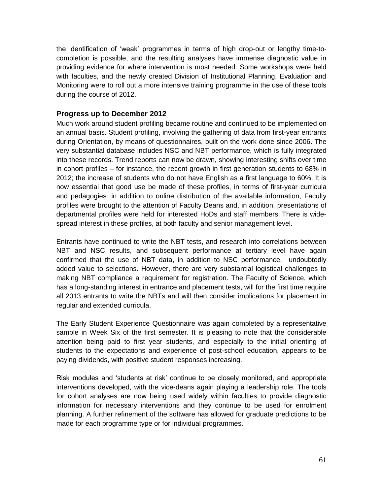the identification of 'weak' programmes in terms of high drop-out or lengthy time-tocompletion is possible, and the resulting analyses have immense diagnostic value in providing evidence for where intervention is most needed. Some workshops were held with faculties, and the newly created Division of Institutional Planning, Evaluation and Monitoring were to roll out a more intensive training programme in the use of these tools during the course of 2012.

#### **Progress up to December 2012**

Much work around student profiling became routine and continued to be implemented on an annual basis. Student profiling, involving the gathering of data from first-year entrants during Orientation, by means of questionnaires, built on the work done since 2006. The very substantial database includes NSC and NBT performance, which is fully integrated into these records. Trend reports can now be drawn, showing interesting shifts over time in cohort profiles – for instance, the recent growth in first generation students to 68% in 2012; the increase of students who do not have English as a first language to 60%. It is now essential that good use be made of these profiles, in terms of first-year curricula and pedagogies: in addition to online distribution of the available information, Faculty profiles were brought to the attention of Faculty Deans and, in addition, presentations of departmental profiles were held for interested HoDs and staff members. There is widespread interest in these profiles, at both faculty and senior management level.

Entrants have continued to write the NBT tests, and research into correlations between NBT and NSC results, and subsequent performance at tertiary level have again confirmed that the use of NBT data, in addition to NSC performance, undoubtedly added value to selections. However, there are very substantial logistical challenges to making NBT compliance a requirement for registration. The Faculty of Science, which has a long-standing interest in entrance and placement tests, will for the first time require all 2013 entrants to write the NBTs and will then consider implications for placement in regular and extended curricula.

The Early Student Experience Questionnaire was again completed by a representative sample in Week Six of the first semester. It is pleasing to note that the considerable attention being paid to first year students, and especially to the initial orienting of students to the expectations and experience of post-school education, appears to be paying dividends, with positive student responses increasing.

Risk modules and 'students at risk' continue to be closely monitored, and appropriate interventions developed, with the vice-deans again playing a leadership role. The tools for cohort analyses are now being used widely within faculties to provide diagnostic information for necessary interventions and they continue to be used for enrolment planning. A further refinement of the software has allowed for graduate predictions to be made for each programme type or for individual programmes.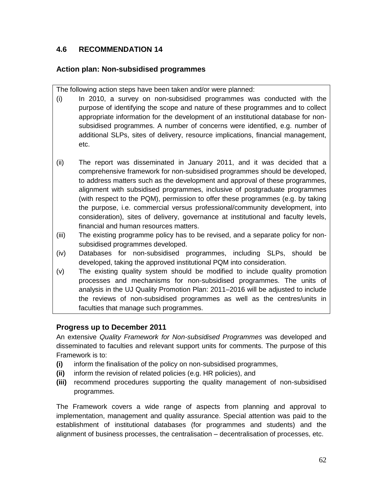# **4.6 RECOMMENDATION 14**

# **Action plan: Non-subsidised programmes**

The following action steps have been taken and/or were planned:

- (i) In 2010, a survey on non-subsidised programmes was conducted with the purpose of identifying the scope and nature of these programmes and to collect appropriate information for the development of an institutional database for nonsubsidised programmes. A number of concerns were identified, e.g. number of additional SLPs, sites of delivery, resource implications, financial management, etc.
- (ii) The report was disseminated in January 2011, and it was decided that a comprehensive framework for non-subsidised programmes should be developed, to address matters such as the development and approval of these programmes, alignment with subsidised programmes, inclusive of postgraduate programmes (with respect to the PQM), permission to offer these programmes (e.g. by taking the purpose, i.e. commercial versus professional/community development, into consideration), sites of delivery, governance at institutional and faculty levels, financial and human resources matters.
- (iii) The existing programme policy has to be revised, and a separate policy for nonsubsidised programmes developed.
- (iv) Databases for non-subsidised programmes, including SLPs, should be developed, taking the approved institutional PQM into consideration.
- (v) The existing quality system should be modified to include quality promotion processes and mechanisms for non-subsidised programmes. The units of analysis in the UJ Quality Promotion Plan: 2011–2016 will be adjusted to include the reviews of non-subsidised programmes as well as the centres/units in faculties that manage such programmes.

# **Progress up to December 2011**

An extensive *Quality Framework for Non-subsidised Programmes* was developed and disseminated to faculties and relevant support units for comments. The purpose of this Framework is to:

- **(i)** inform the finalisation of the policy on non-subsidised programmes,
- **(ii)** inform the revision of related policies (e.g. HR policies), and
- **(iii)** recommend procedures supporting the quality management of non-subsidised programmes.

The Framework covers a wide range of aspects from planning and approval to implementation, management and quality assurance. Special attention was paid to the establishment of institutional databases (for programmes and students) and the alignment of business processes, the centralisation – decentralisation of processes, etc.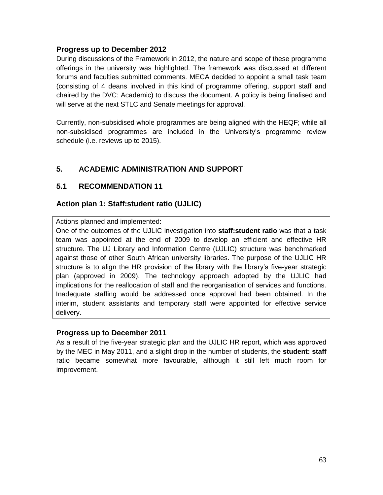### **Progress up to December 2012**

During discussions of the Framework in 2012, the nature and scope of these programme offerings in the university was highlighted. The framework was discussed at different forums and faculties submitted comments. MECA decided to appoint a small task team (consisting of 4 deans involved in this kind of programme offering, support staff and chaired by the DVC: Academic) to discuss the document. A policy is being finalised and will serve at the next STLC and Senate meetings for approval.

Currently, non-subsidised whole programmes are being aligned with the HEQF; while all non-subsidised programmes are included in the University's programme review schedule (i.e. reviews up to 2015).

# **5. ACADEMIC ADMINISTRATION AND SUPPORT**

# **5.1 RECOMMENDATION 11**

# **Action plan 1: Staff:student ratio (UJLIC)**

Actions planned and implemented:

One of the outcomes of the UJLIC investigation into **staff:student ratio** was that a task team was appointed at the end of 2009 to develop an efficient and effective HR structure. The UJ Library and Information Centre (UJLIC) structure was benchmarked against those of other South African university libraries. The purpose of the UJLIC HR structure is to align the HR provision of the library with the library's five-year strategic plan (approved in 2009). The technology approach adopted by the UJLIC had implications for the reallocation of staff and the reorganisation of services and functions. Inadequate staffing would be addressed once approval had been obtained. In the interim, student assistants and temporary staff were appointed for effective service delivery.

### **Progress up to December 2011**

As a result of the five-year strategic plan and the UJLIC HR report, which was approved by the MEC in May 2011, and a slight drop in the number of students, the **student: staff** ratio became somewhat more favourable, although it still left much room for improvement.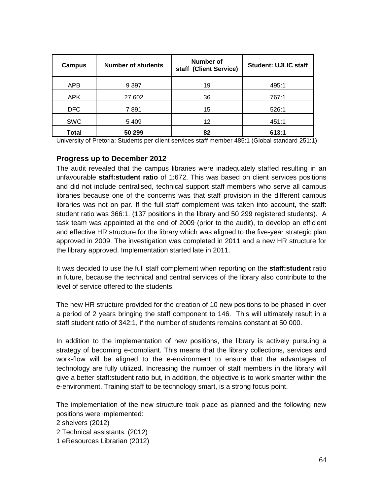| <b>Campus</b> | <b>Number of students</b> | <b>Number of</b><br>staff (Client Service) | <b>Student: UJLIC staff</b> |
|---------------|---------------------------|--------------------------------------------|-----------------------------|
| <b>APB</b>    | 9 3 9 7                   | 19                                         | 495:1                       |
| <b>APK</b>    | 27 602                    | 36                                         | 767:1                       |
| <b>DFC</b>    | 7891                      | 15                                         | 526:1                       |
| <b>SWC</b>    | 5409                      | 12                                         | 451:1                       |
| <b>Total</b>  | 50 299                    | 82                                         | 613:1                       |

University of Pretoria: Students per client services staff member 485:1 (Global standard 251:1)

### **Progress up to December 2012**

The audit revealed that the campus libraries were inadequately staffed resulting in an unfavourable **staff:student ratio** of 1:672. This was based on client services positions and did not include centralised, technical support staff members who serve all campus libraries because one of the concerns was that staff provision in the different campus libraries was not on par. If the full staff complement was taken into account, the staff: student ratio was 366:1. (137 positions in the library and 50 299 registered students). A task team was appointed at the end of 2009 (prior to the audit), to develop an efficient and effective HR structure for the library which was aligned to the five-year strategic plan approved in 2009. The investigation was completed in 2011 and a new HR structure for the library approved. Implementation started late in 2011.

It was decided to use the full staff complement when reporting on the **staff:student** ratio in future, because the technical and central services of the library also contribute to the level of service offered to the students.

The new HR structure provided for the creation of 10 new positions to be phased in over a period of 2 years bringing the staff component to 146. This will ultimately result in a staff student ratio of 342:1, if the number of students remains constant at 50 000.

In addition to the implementation of new positions, the library is actively pursuing a strategy of becoming e-compliant. This means that the library collections, services and work-flow will be aligned to the e-environment to ensure that the advantages of technology are fully utilized. Increasing the number of staff members in the library will give a better staff:student ratio but, in addition, the objective is to work smarter within the e-environment. Training staff to be technology smart, is a strong focus point.

The implementation of the new structure took place as planned and the following new positions were implemented:

2 shelvers (2012)

- 2 Technical assistants. (2012)
- 1 eResources Librarian (2012)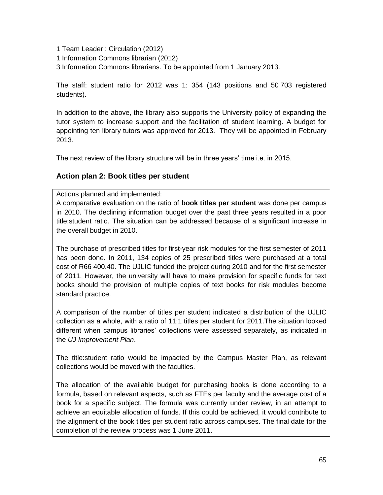1 Team Leader : Circulation (2012)

1 Information Commons librarian (2012)

3 Information Commons librarians. To be appointed from 1 January 2013.

The staff: student ratio for 2012 was 1: 354 (143 positions and 50 703 registered students).

In addition to the above, the library also supports the University policy of expanding the tutor system to increase support and the facilitation of student learning. A budget for appointing ten library tutors was approved for 2013. They will be appointed in February 2013.

The next review of the library structure will be in three years' time i.e. in 2015.

## **Action plan 2: Book titles per student**

Actions planned and implemented:

A comparative evaluation on the ratio of **book titles per student** was done per campus in 2010. The declining information budget over the past three years resulted in a poor title:student ratio. The situation can be addressed because of a significant increase in the overall budget in 2010.

The purchase of prescribed titles for first-year risk modules for the first semester of 2011 has been done. In 2011, 134 copies of 25 prescribed titles were purchased at a total cost of R66 400.40. The UJLIC funded the project during 2010 and for the first semester of 2011. However, the university will have to make provision for specific funds for text books should the provision of multiple copies of text books for risk modules become standard practice.

A comparison of the number of titles per student indicated a distribution of the UJLIC collection as a whole, with a ratio of 11:1 titles per student for 2011.The situation looked different when campus libraries' collections were assessed separately, as indicated in the *UJ Improvement Plan*.

The title:student ratio would be impacted by the Campus Master Plan, as relevant collections would be moved with the faculties.

The allocation of the available budget for purchasing books is done according to a formula, based on relevant aspects, such as FTEs per faculty and the average cost of a book for a specific subject. The formula was currently under review, in an attempt to achieve an equitable allocation of funds. If this could be achieved, it would contribute to the alignment of the book titles per student ratio across campuses. The final date for the completion of the review process was 1 June 2011.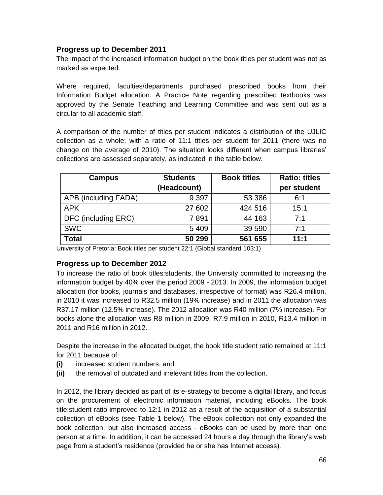## **Progress up to December 2011**

The impact of the increased information budget on the book titles per student was not as marked as expected.

Where required, faculties/departments purchased prescribed books from their Information Budget allocation. A Practice Note regarding prescribed textbooks was approved by the Senate Teaching and Learning Committee and was sent out as a circular to all academic staff.

A comparison of the number of titles per student indicates a distribution of the UJLIC collection as a whole; with a ratio of 11:1 titles per student for 2011 (there was no change on the average of 2010). The situation looks different when campus libraries' collections are assessed separately, as indicated in the table below.

| <b>Campus</b>        | <b>Students</b> | <b>Book titles</b> | <b>Ratio: titles</b> |
|----------------------|-----------------|--------------------|----------------------|
|                      | (Headcount)     |                    | per student          |
| APB (including FADA) | 9 3 9 7         | 53 386             | 6:1                  |
| <b>APK</b>           | 27 602          | 424 516            | 15:1                 |
| DFC (including ERC)  | 7891            | 44 163             | 7:1                  |
| <b>SWC</b>           | 5 4 0 9         | 39 590             | 7:1                  |
| Total                | 50 299          | 561 655            | 11:1                 |

University of Pretoria: Book titles per student 22:1 (Global standard 103:1)

### **Progress up to December 2012**

To increase the ratio of book titles:students, the University committed to increasing the information budget by 40% over the period 2009 - 2013. In 2009, the information budget allocation (for books, journals and databases, irrespective of format) was R26.4 million, in 2010 it was increased to R32.5 million (19% increase) and in 2011 the allocation was R37.17 million (12.5% increase). The 2012 allocation was R40 million (7% increase). For books alone the allocation was R8 million in 2009, R7.9 million in 2010, R13.4 million in 2011 and R16 million in 2012.

Despite the increase in the allocated budget, the book title:student ratio remained at 11:1 for 2011 because of:

- **(i)** increased student numbers, and
- **(ii)** the removal of outdated and irrelevant titles from the collection.

In 2012, the library decided as part of its e-strategy to become a digital library, and focus on the procurement of electronic information material, including eBooks. The book title:student ratio improved to 12:1 in 2012 as a result of the acquisition of a substantial collection of eBooks (see Table 1 below). The eBook collection not only expanded the book collection, but also increased access - eBooks can be used by more than one person at a time. In addition, it can be accessed 24 hours a day through the library's web page from a student's residence (provided he or she has Internet access).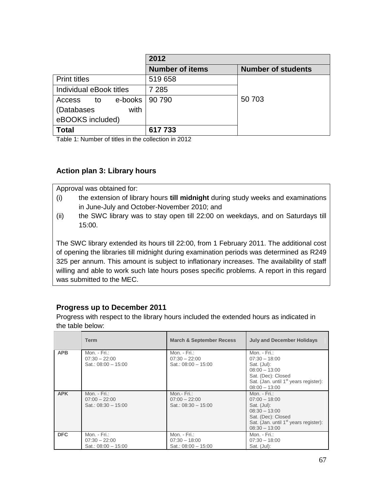|                         | 2012                   |                           |
|-------------------------|------------------------|---------------------------|
|                         | <b>Number of items</b> | <b>Number of students</b> |
| <b>Print titles</b>     | 519 658                |                           |
| Individual eBook titles | 7 2 8 5                |                           |
| e-books<br>Access<br>to | 90 790                 | 50 703                    |
| with<br>(Databases      |                        |                           |
| eBOOKS included)        |                        |                           |
| <b>Total</b>            | 617733                 |                           |

Table 1: Number of titles in the collection in 2012

## **Action plan 3: Library hours**

Approval was obtained for:

- (i) the extension of library hours **till midnight** during study weeks and examinations in June-July and October-November 2010; and
- (ii) the SWC library was to stay open till 22:00 on weekdays, and on Saturdays till 15:00.

The SWC library extended its hours till 22:00, from 1 February 2011. The additional cost of opening the libraries till midnight during examination periods was determined as R249 325 per annum. This amount is subject to inflationary increases. The availability of staff willing and able to work such late hours poses specific problems. A report in this regard was submitted to the MEC.

# **Progress up to December 2011**

Progress with respect to the library hours included the extended hours as indicated in the table below:

|            | <b>Term</b>                                                 | <b>March &amp; September Recess</b>                      | <b>July and December Holidays</b>                                                                                                                                 |
|------------|-------------------------------------------------------------|----------------------------------------------------------|-------------------------------------------------------------------------------------------------------------------------------------------------------------------|
| <b>APB</b> | Mon. - $Fit$ .:<br>$07:30 - 22:00$<br>Sat.: $08:00 - 15:00$ | Mon. - Fri.:<br>$07:30 - 22:00$<br>Sat.: $08:00 - 15:00$ | Mon. - Fri.:<br>$07:30 - 18:00$<br>Sat. (Jul):<br>$08:00 - 13:00$<br>Sat. (Dec): Closed<br>Sat. (Jan. until 1 <sup>st</sup> years register):<br>$08:00 - 13:00$   |
| <b>APK</b> | Mon. - Fri.:<br>$07:00 - 22:00$<br>Sat.: $08:30 - 15:00$    | Mon.- Fri.:<br>$07:00 - 22:00$<br>Sat.: $08:30 - 15:00$  | Mon. - $Fit.:$<br>$07:00 - 18:00$<br>Sat. (Jul):<br>$08:30 - 13:00$<br>Sat. (Dec): Closed<br>Sat. (Jan. until 1 <sup>st</sup> years register):<br>$08:30 - 13:00$ |
| <b>DFC</b> | Mon. - Fri.:<br>$07:30 - 22:00$<br>Sat.: $08:00 - 15:00$    | Mon. - Fri.:<br>$07:30 - 18:00$<br>Sat.: $08:00 - 15:00$ | Mon. - Fri.:<br>$07:30 - 18:00$<br>Sat. (Jul):                                                                                                                    |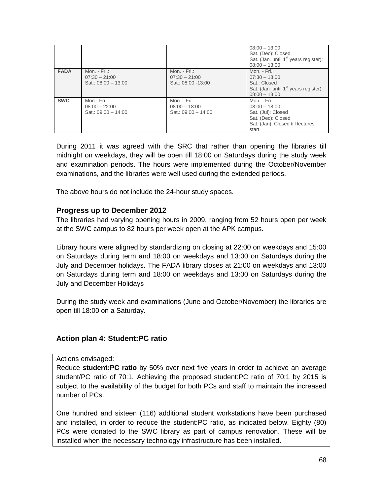|             |                                                            |                                                          | $08:00 - 13:00$<br>Sat. (Dec): Closed<br>Sat. (Jan. until 1 <sup>st</sup> years register):<br>$08:00 - 13:00$              |
|-------------|------------------------------------------------------------|----------------------------------------------------------|----------------------------------------------------------------------------------------------------------------------------|
| <b>FADA</b> | Mon. - $Fit.:$<br>$07:30 - 21:00$<br>Sat.: $08:00 - 13:00$ | Mon. - $Fit.:$<br>$07:30 - 21:00$<br>Sat.: 08:00 -13:00  | Mon. - $Fit$ .:<br>$07:30 - 18:00$<br>Sat.: Closed<br>Sat. (Jan. until 1 <sup>st</sup> years register):<br>$08:00 - 13:00$ |
| <b>SWC</b>  | Mon.- Fri.:<br>$08:00 - 22:00$<br>Sat.: $09:00 - 14:00$    | Mon. - Fri.:<br>$08:00 - 18:00$<br>Sat.: $09:00 - 14:00$ | Mon. - $Fit.:$<br>$08:00 - 18:00$<br>Sat. (Jul): Closed<br>Sat. (Dec): Closed<br>Sat. (Jan): Closed till lectures<br>start |

During 2011 it was agreed with the SRC that rather than opening the libraries till midnight on weekdays, they will be open till 18:00 on Saturdays during the study week and examination periods. The hours were implemented during the October/November examinations, and the libraries were well used during the extended periods.

The above hours do not include the 24-hour study spaces.

#### **Progress up to December 2012**

The libraries had varying opening hours in 2009, ranging from 52 hours open per week at the SWC campus to 82 hours per week open at the APK campus.

Library hours were aligned by standardizing on closing at 22:00 on weekdays and 15:00 on Saturdays during term and 18:00 on weekdays and 13:00 on Saturdays during the July and December holidays. The FADA library closes at 21:00 on weekdays and 13:00 on Saturdays during term and 18:00 on weekdays and 13:00 on Saturdays during the July and December Holidays

During the study week and examinations (June and October/November) the libraries are open till 18:00 on a Saturday.

### **Action plan 4: Student:PC ratio**

Actions envisaged:

Reduce **student:PC ratio** by 50% over next five years in order to achieve an average student/PC ratio of 70:1. Achieving the proposed student:PC ratio of 70:1 by 2015 is subject to the availability of the budget for both PCs and staff to maintain the increased number of PCs.

One hundred and sixteen (116) additional student workstations have been purchased and installed, in order to reduce the student:PC ratio, as indicated below. Eighty (80) PCs were donated to the SWC library as part of campus renovation. These will be installed when the necessary technology infrastructure has been installed.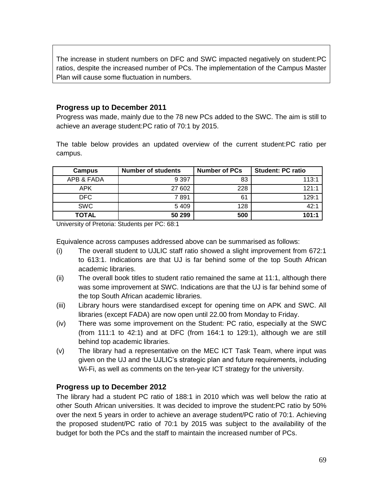The increase in student numbers on DFC and SWC impacted negatively on student:PC ratios, despite the increased number of PCs. The implementation of the Campus Master Plan will cause some fluctuation in numbers.

### **Progress up to December 2011**

Progress was made, mainly due to the 78 new PCs added to the SWC. The aim is still to achieve an average student:PC ratio of 70:1 by 2015.

The table below provides an updated overview of the current student:PC ratio per campus.

| <b>Campus</b> | <b>Number of students</b> | <b>Number of PCs</b> | <b>Student: PC ratio</b> |
|---------------|---------------------------|----------------------|--------------------------|
| APB & FADA    | 9 3 9 7                   | 83                   | 113:1                    |
| APK           | 27 602                    | 228                  | 121:1                    |
| <b>DFC</b>    | 7891                      | 61                   | 129:1                    |
| <b>SWC</b>    | 5 4 0 9                   | 128                  | 42:1                     |
| <b>TOTAL</b>  | 50 299                    | 500                  | 101:1                    |

University of Pretoria: Students per PC: 68:1

Equivalence across campuses addressed above can be summarised as follows:

- (i) The overall student to UJLIC staff ratio showed a slight improvement from 672:1 to 613:1. Indications are that UJ is far behind some of the top South African academic libraries.
- (ii) The overall book titles to student ratio remained the same at 11:1, although there was some improvement at SWC. Indications are that the UJ is far behind some of the top South African academic libraries.
- (iii) Library hours were standardised except for opening time on APK and SWC. All libraries (except FADA) are now open until 22.00 from Monday to Friday.
- (iv) There was some improvement on the Student: PC ratio, especially at the SWC (from 111:1 to 42:1) and at DFC (from 164:1 to 129:1), although we are still behind top academic libraries.
- (v) The library had a representative on the MEC ICT Task Team, where input was given on the UJ and the UJLIC's strategic plan and future requirements, including Wi-Fi, as well as comments on the ten-year ICT strategy for the university.

### **Progress up to December 2012**

The library had a student PC ratio of 188:1 in 2010 which was well below the ratio at other South African universities. It was decided to improve the student:PC ratio by 50% over the next 5 years in order to achieve an average student/PC ratio of 70:1. Achieving the proposed student/PC ratio of 70:1 by 2015 was subject to the availability of the budget for both the PCs and the staff to maintain the increased number of PCs.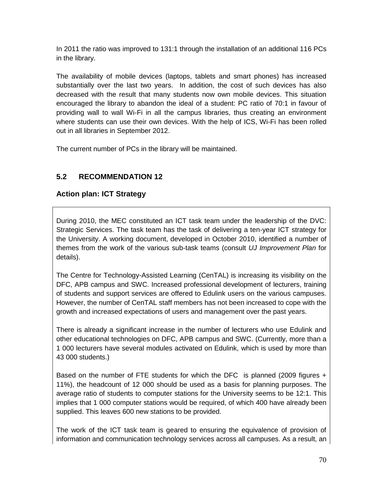In 2011 the ratio was improved to 131:1 through the installation of an additional 116 PCs in the library.

The availability of mobile devices (laptops, tablets and smart phones) has increased substantially over the last two years. In addition, the cost of such devices has also decreased with the result that many students now own mobile devices. This situation encouraged the library to abandon the ideal of a student: PC ratio of 70:1 in favour of providing wall to wall Wi-Fi in all the campus libraries, thus creating an environment where students can use their own devices. With the help of ICS, Wi-Fi has been rolled out in all libraries in September 2012.

The current number of PCs in the library will be maintained.

# **5.2 RECOMMENDATION 12**

## **Action plan: ICT Strategy**

During 2010, the MEC constituted an ICT task team under the leadership of the DVC: Strategic Services. The task team has the task of delivering a ten-year ICT strategy for the University. A working document, developed in October 2010, identified a number of themes from the work of the various sub-task teams (consult *UJ Improvement Plan* for details).

The Centre for Technology-Assisted Learning (CenTAL) is increasing its visibility on the DFC, APB campus and SWC. Increased professional development of lecturers, training of students and support services are offered to Edulink users on the various campuses. However, the number of CenTAL staff members has not been increased to cope with the growth and increased expectations of users and management over the past years.

There is already a significant increase in the number of lecturers who use Edulink and other educational technologies on DFC, APB campus and SWC. (Currently, more than a 1 000 lecturers have several modules activated on Edulink, which is used by more than 43 000 students.)

Based on the number of FTE students for which the DFC is planned (2009 figures + 11%), the headcount of 12 000 should be used as a basis for planning purposes. The average ratio of students to computer stations for the University seems to be 12:1. This implies that 1 000 computer stations would be required, of which 400 have already been supplied. This leaves 600 new stations to be provided.

The work of the ICT task team is geared to ensuring the equivalence of provision of information and communication technology services across all campuses. As a result, an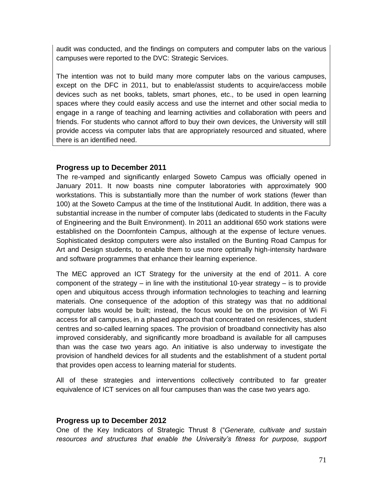audit was conducted, and the findings on computers and computer labs on the various campuses were reported to the DVC: Strategic Services.

The intention was not to build many more computer labs on the various campuses, except on the DFC in 2011, but to enable/assist students to acquire/access mobile devices such as net books, tablets, smart phones, etc., to be used in open learning spaces where they could easily access and use the internet and other social media to engage in a range of teaching and learning activities and collaboration with peers and friends. For students who cannot afford to buy their own devices, the University will still provide access via computer labs that are appropriately resourced and situated, where there is an identified need.

### **Progress up to December 2011**

The re-vamped and significantly enlarged Soweto Campus was officially opened in January 2011. It now boasts nine computer laboratories with approximately 900 workstations. This is substantially more than the number of work stations (fewer than 100) at the Soweto Campus at the time of the Institutional Audit. In addition, there was a substantial increase in the number of computer labs (dedicated to students in the Faculty of Engineering and the Built Environment). In 2011 an additional 650 work stations were established on the Doornfontein Campus, although at the expense of lecture venues. Sophisticated desktop computers were also installed on the Bunting Road Campus for Art and Design students, to enable them to use more optimally high-intensity hardware and software programmes that enhance their learning experience.

The MEC approved an ICT Strategy for the university at the end of 2011. A core component of the strategy  $-$  in line with the institutional 10-year strategy  $-$  is to provide open and ubiquitous access through information technologies to teaching and learning materials. One consequence of the adoption of this strategy was that no additional computer labs would be built; instead, the focus would be on the provision of Wi Fi access for all campuses, in a phased approach that concentrated on residences, student centres and so-called learning spaces. The provision of broadband connectivity has also improved considerably, and significantly more broadband is available for all campuses than was the case two years ago. An initiative is also underway to investigate the provision of handheld devices for all students and the establishment of a student portal that provides open access to learning material for students.

All of these strategies and interventions collectively contributed to far greater equivalence of ICT services on all four campuses than was the case two years ago.

### **Progress up to December 2012**

One of the Key Indicators of Strategic Thrust 8 ("*Generate, cultivate and sustain resources and structures that enable the University's fitness for purpose, support*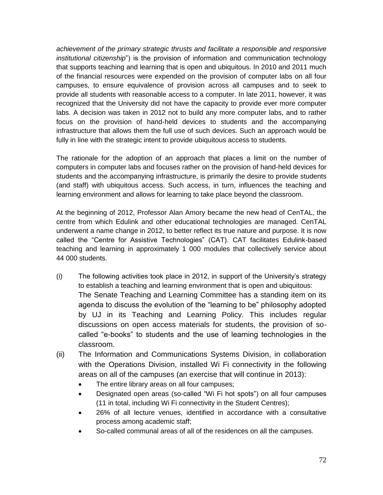*achievement of the primary strategic thrusts and facilitate a responsible and responsive institutional citizenship*") is the provision of information and communication technology that supports teaching and learning that is open and ubiquitous. In 2010 and 2011 much of the financial resources were expended on the provision of computer labs on all four campuses, to ensure equivalence of provision across all campuses and to seek to provide all students with reasonable access to a computer. In late 2011, however, it was recognized that the University did not have the capacity to provide ever more computer labs. A decision was taken in 2012 not to build any more computer labs, and to rather focus on the provision of hand-held devices to students and the accompanying infrastructure that allows them the full use of such devices. Such an approach would be fully in line with the strategic intent to provide ubiquitous access to students.

The rationale for the adoption of an approach that places a limit on the number of computers in computer labs and focuses rather on the provision of hand-held devices for students and the accompanying infrastructure, is primarily the desire to provide students (and staff) with ubiquitous access. Such access, in turn, influences the teaching and learning environment and allows for learning to take place beyond the classroom.

At the beginning of 2012, Professor Alan Amory became the new head of CenTAL, the centre from which Edulink and other educational technologies are managed. CenTAL underwent a name change in 2012, to better reflect its true nature and purpose. It is now called the "Centre for Assistive Technologies" (CAT). CAT facilitates Edulink-based teaching and learning in approximately 1 000 modules that collectively service about 44 000 students.

- (i) The following activities took place in 2012, in support of the University's strategy to establish a teaching and learning environment that is open and ubiquitous: The Senate Teaching and Learning Committee has a standing item on its agenda to discuss the evolution of the "learning to be" philosophy adopted by UJ in its Teaching and Learning Policy. This includes regular discussions on open access materials for students, the provision of socalled "e-books" to students and the use of learning technologies in the classroom.
- (ii) The Information and Communications Systems Division, in collaboration with the Operations Division, installed Wi Fi connectivity in the following areas on all of the campuses (an exercise that will continue in 2013):
	- The entire library areas on all four campuses;
	- Designated open areas (so-called "Wi Fi hot spots") on all four campuses (11 in total, including Wi Fi connectivity in the Student Centres);
	- 26% of all lecture venues, identified in accordance with a consultative process among academic staff;
	- So-called communal areas of all of the residences on all the campuses.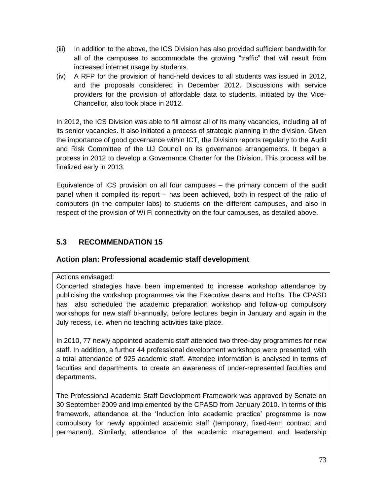- (iii) In addition to the above, the ICS Division has also provided sufficient bandwidth for all of the campuses to accommodate the growing "traffic" that will result from increased internet usage by students.
- (iv) A RFP for the provision of hand-held devices to all students was issued in 2012, and the proposals considered in December 2012. Discussions with service providers for the provision of affordable data to students, initiated by the Vice-Chancellor, also took place in 2012.

In 2012, the ICS Division was able to fill almost all of its many vacancies, including all of its senior vacancies. It also initiated a process of strategic planning in the division. Given the importance of good governance within ICT, the Division reports regularly to the Audit and Risk Committee of the UJ Council on its governance arrangements. It began a process in 2012 to develop a Governance Charter for the Division. This process will be finalized early in 2013.

Equivalence of ICS provision on all four campuses – the primary concern of the audit panel when it compiled its report – has been achieved, both in respect of the ratio of computers (in the computer labs) to students on the different campuses, and also in respect of the provision of Wi Fi connectivity on the four campuses, as detailed above.

# **5.3 RECOMMENDATION 15**

#### **Action plan: Professional academic staff development**

#### Actions envisaged:

Concerted strategies have been implemented to increase workshop attendance by publicising the workshop programmes via the Executive deans and HoDs. The CPASD has also scheduled the academic preparation workshop and follow-up compulsory workshops for new staff bi-annually, before lectures begin in January and again in the July recess, i.e. when no teaching activities take place.

In 2010, 77 newly appointed academic staff attended two three-day programmes for new staff. In addition, a further 44 professional development workshops were presented, with a total attendance of 925 academic staff. Attendee information is analysed in terms of faculties and departments, to create an awareness of under-represented faculties and departments.

The Professional Academic Staff Development Framework was approved by Senate on 30 September 2009 and implemented by the CPASD from January 2010. In terms of this framework, attendance at the 'Induction into academic practice' programme is now compulsory for newly appointed academic staff (temporary, fixed-term contract and permanent). Similarly, attendance of the academic management and leadership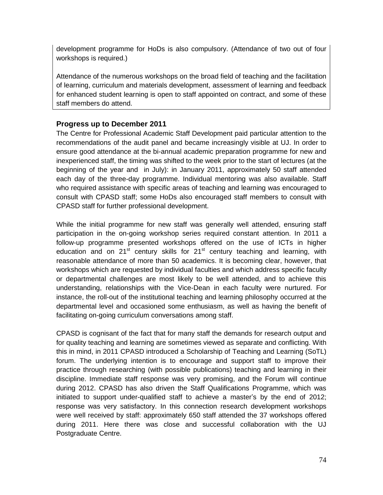development programme for HoDs is also compulsory. (Attendance of two out of four workshops is required.)

Attendance of the numerous workshops on the broad field of teaching and the facilitation of learning, curriculum and materials development, assessment of learning and feedback for enhanced student learning is open to staff appointed on contract, and some of these staff members do attend.

# **Progress up to December 2011**

The Centre for Professional Academic Staff Development paid particular attention to the recommendations of the audit panel and became increasingly visible at UJ. In order to ensure good attendance at the bi-annual academic preparation programme for new and inexperienced staff, the timing was shifted to the week prior to the start of lectures (at the beginning of the year and in July): in January 2011, approximately 50 staff attended each day of the three-day programme. Individual mentoring was also available. Staff who required assistance with specific areas of teaching and learning was encouraged to consult with CPASD staff; some HoDs also encouraged staff members to consult with CPASD staff for further professional development.

While the initial programme for new staff was generally well attended, ensuring staff participation in the on-going workshop series required constant attention. In 2011 a follow-up programme presented workshops offered on the use of ICTs in higher education and on  $21<sup>st</sup>$  century skills for  $21<sup>st</sup>$  century teaching and learning, with reasonable attendance of more than 50 academics. It is becoming clear, however, that workshops which are requested by individual faculties and which address specific faculty or departmental challenges are most likely to be well attended, and to achieve this understanding, relationships with the Vice-Dean in each faculty were nurtured. For instance, the roll-out of the institutional teaching and learning philosophy occurred at the departmental level and occasioned some enthusiasm, as well as having the benefit of facilitating on-going curriculum conversations among staff.

CPASD is cognisant of the fact that for many staff the demands for research output and for quality teaching and learning are sometimes viewed as separate and conflicting. With this in mind, in 2011 CPASD introduced a Scholarship of Teaching and Learning (SoTL) forum. The underlying intention is to encourage and support staff to improve their practice through researching (with possible publications) teaching and learning in their discipline. Immediate staff response was very promising, and the Forum will continue during 2012. CPASD has also driven the Staff Qualifications Programme, which was initiated to support under-qualified staff to achieve a master's by the end of 2012; response was very satisfactory. In this connection research development workshops were well received by staff: approximately 650 staff attended the 37 workshops offered during 2011. Here there was close and successful collaboration with the UJ Postgraduate Centre.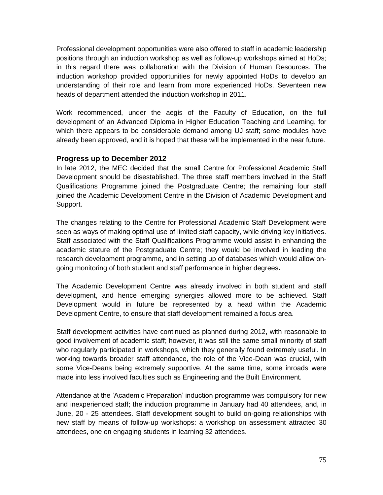Professional development opportunities were also offered to staff in academic leadership positions through an induction workshop as well as follow-up workshops aimed at HoDs; in this regard there was collaboration with the Division of Human Resources. The induction workshop provided opportunities for newly appointed HoDs to develop an understanding of their role and learn from more experienced HoDs. Seventeen new heads of department attended the induction workshop in 2011.

Work recommenced, under the aegis of the Faculty of Education, on the full development of an Advanced Diploma in Higher Education Teaching and Learning, for which there appears to be considerable demand among UJ staff; some modules have already been approved, and it is hoped that these will be implemented in the near future.

#### **Progress up to December 2012**

In late 2012, the MEC decided that the small Centre for Professional Academic Staff Development should be disestablished. The three staff members involved in the Staff Qualifications Programme joined the Postgraduate Centre; the remaining four staff joined the Academic Development Centre in the Division of Academic Development and Support.

The changes relating to the Centre for Professional Academic Staff Development were seen as ways of making optimal use of limited staff capacity, while driving key initiatives. Staff associated with the Staff Qualifications Programme would assist in enhancing the academic stature of the Postgraduate Centre; they would be involved in leading the research development programme, and in setting up of databases which would allow ongoing monitoring of both student and staff performance in higher degrees**.**

The Academic Development Centre was already involved in both student and staff development, and hence emerging synergies allowed more to be achieved. Staff Development would in future be represented by a head within the Academic Development Centre, to ensure that staff development remained a focus area.

Staff development activities have continued as planned during 2012, with reasonable to good involvement of academic staff; however, it was still the same small minority of staff who regularly participated in workshops, which they generally found extremely useful. In working towards broader staff attendance, the role of the Vice-Dean was crucial, with some Vice-Deans being extremely supportive. At the same time, some inroads were made into less involved faculties such as Engineering and the Built Environment.

Attendance at the 'Academic Preparation' induction programme was compulsory for new and inexperienced staff; the induction programme in January had 40 attendees, and, in June, 20 - 25 attendees. Staff development sought to build on-going relationships with new staff by means of follow-up workshops: a workshop on assessment attracted 30 attendees, one on engaging students in learning 32 attendees.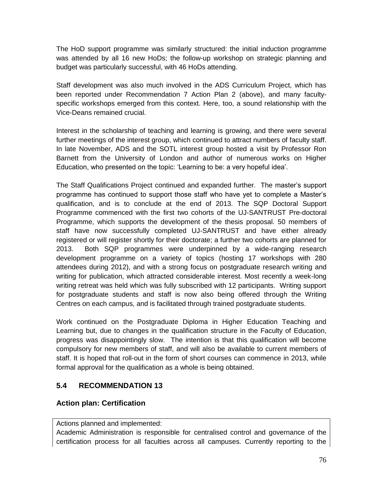The HoD support programme was similarly structured: the initial induction programme was attended by all 16 new HoDs; the follow-up workshop on strategic planning and budget was particularly successful, with 46 HoDs attending.

Staff development was also much involved in the ADS Curriculum Project, which has been reported under Recommendation 7 Action Plan 2 (above), and many facultyspecific workshops emerged from this context. Here, too, a sound relationship with the Vice-Deans remained crucial.

Interest in the scholarship of teaching and learning is growing, and there were several further meetings of the interest group, which continued to attract numbers of faculty staff. In late November, ADS and the SOTL interest group hosted a visit by Professor Ron Barnett from the University of London and author of numerous works on Higher Education, who presented on the topic: 'Learning to be: a very hopeful idea'.

The Staff Qualifications Project continued and expanded further. The master's support programme has continued to support those staff who have yet to complete a Master's qualification, and is to conclude at the end of 2013. The SQP Doctoral Support Programme commenced with the first two cohorts of the UJ-SANTRUST Pre-doctoral Programme, which supports the development of the thesis proposal. 50 members of staff have now successfully completed UJ-SANTRUST and have either already registered or will register shortly for their doctorate; a further two cohorts are planned for 2013. Both SQP programmes were underpinned by a wide-ranging research development programme on a variety of topics (hosting 17 workshops with 280 attendees during 2012), and with a strong focus on postgraduate research writing and writing for publication, which attracted considerable interest. Most recently a week-long writing retreat was held which was fully subscribed with 12 participants. Writing support for postgraduate students and staff is now also being offered through the Writing Centres on each campus, and is facilitated through trained postgraduate students.

Work continued on the Postgraduate Diploma in Higher Education Teaching and Learning but, due to changes in the qualification structure in the Faculty of Education, progress was disappointingly slow. The intention is that this qualification will become compulsory for new members of staff, and will also be available to current members of staff. It is hoped that roll-out in the form of short courses can commence in 2013, while formal approval for the qualification as a whole is being obtained.

# **5.4 RECOMMENDATION 13**

# **Action plan: Certification**

Actions planned and implemented:

Academic Administration is responsible for centralised control and governance of the certification process for all faculties across all campuses. Currently reporting to the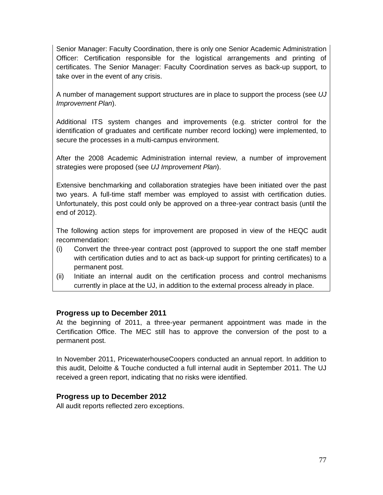Senior Manager: Faculty Coordination, there is only one Senior Academic Administration Officer: Certification responsible for the logistical arrangements and printing of certificates. The Senior Manager: Faculty Coordination serves as back-up support, to take over in the event of any crisis.

A number of management support structures are in place to support the process (see *UJ Improvement Plan*).

Additional ITS system changes and improvements (e.g. stricter control for the identification of graduates and certificate number record locking) were implemented, to secure the processes in a multi-campus environment.

After the 2008 Academic Administration internal review, a number of improvement strategies were proposed (see *UJ Improvement Plan*).

Extensive benchmarking and collaboration strategies have been initiated over the past two years. A full-time staff member was employed to assist with certification duties. Unfortunately, this post could only be approved on a three-year contract basis (until the end of 2012).

The following action steps for improvement are proposed in view of the HEQC audit recommendation:

- (i) Convert the three-year contract post (approved to support the one staff member with certification duties and to act as back-up support for printing certificates) to a permanent post.
- (ii) Initiate an internal audit on the certification process and control mechanisms currently in place at the UJ, in addition to the external process already in place.

#### **Progress up to December 2011**

At the beginning of 2011, a three-year permanent appointment was made in the Certification Office. The MEC still has to approve the conversion of the post to a permanent post.

In November 2011, PricewaterhouseCoopers conducted an annual report. In addition to this audit, Deloitte & Touche conducted a full internal audit in September 2011. The UJ received a green report, indicating that no risks were identified.

#### **Progress up to December 2012**

All audit reports reflected zero exceptions.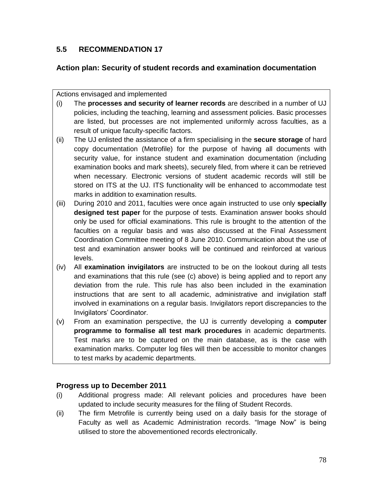# **5.5 RECOMMENDATION 17**

### **Action plan: Security of student records and examination documentation**

Actions envisaged and implemented

- (i) The **processes and security of learner records** are described in a number of UJ policies, including the teaching, learning and assessment policies. Basic processes are listed, but processes are not implemented uniformly across faculties, as a result of unique faculty-specific factors.
- (ii) The UJ enlisted the assistance of a firm specialising in the **secure storage** of hard copy documentation (Metrofile) for the purpose of having all documents with security value, for instance student and examination documentation (including examination books and mark sheets), securely filed, from where it can be retrieved when necessary. Electronic versions of student academic records will still be stored on ITS at the UJ. ITS functionality will be enhanced to accommodate test marks in addition to examination results.
- (iii) During 2010 and 2011, faculties were once again instructed to use only **specially designed test paper** for the purpose of tests. Examination answer books should only be used for official examinations. This rule is brought to the attention of the faculties on a regular basis and was also discussed at the Final Assessment Coordination Committee meeting of 8 June 2010. Communication about the use of test and examination answer books will be continued and reinforced at various levels.
- (iv) All **examination invigilators** are instructed to be on the lookout during all tests and examinations that this rule (see (c) above) is being applied and to report any deviation from the rule. This rule has also been included in the examination instructions that are sent to all academic, administrative and invigilation staff involved in examinations on a regular basis. Invigilators report discrepancies to the Invigilators' Coordinator.
- (v) From an examination perspective, the UJ is currently developing a **computer programme to formalise all test mark procedures** in academic departments. Test marks are to be captured on the main database, as is the case with examination marks. Computer log files will then be accessible to monitor changes to test marks by academic departments.

#### **Progress up to December 2011**

- (i) Additional progress made: All relevant policies and procedures have been updated to include security measures for the filing of Student Records.
- (ii) The firm Metrofile is currently being used on a daily basis for the storage of Faculty as well as Academic Administration records. "Image Now" is being utilised to store the abovementioned records electronically.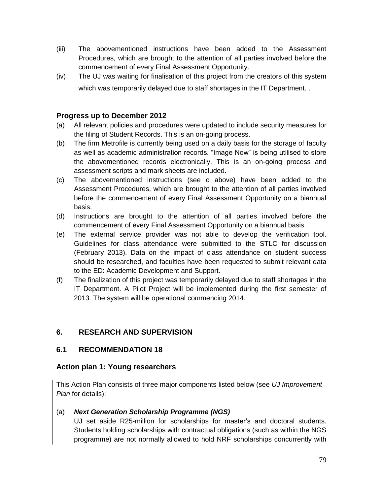- (iii) The abovementioned instructions have been added to the Assessment Procedures, which are brought to the attention of all parties involved before the commencement of every Final Assessment Opportunity.
- (iv) The UJ was waiting for finalisation of this project from the creators of this system which was temporarily delayed due to staff shortages in the IT Department. .

# **Progress up to December 2012**

- (a) All relevant policies and procedures were updated to include security measures for the filing of Student Records. This is an on-going process.
- (b) The firm Metrofile is currently being used on a daily basis for the storage of faculty as well as academic administration records. "Image Now" is being utilised to store the abovementioned records electronically. This is an on-going process and assessment scripts and mark sheets are included.
- (c) The abovementioned instructions (see c above) have been added to the Assessment Procedures, which are brought to the attention of all parties involved before the commencement of every Final Assessment Opportunity on a biannual basis.
- (d) Instructions are brought to the attention of all parties involved before the commencement of every Final Assessment Opportunity on a biannual basis.
- (e) The external service provider was not able to develop the verification tool. Guidelines for class attendance were submitted to the STLC for discussion (February 2013). Data on the impact of class attendance on student success should be researched, and faculties have been requested to submit relevant data to the ED: Academic Development and Support.
- (f) The finalization of this project was temporarily delayed due to staff shortages in the IT Department. A Pilot Project will be implemented during the first semester of 2013. The system will be operational commencing 2014.

# **6. RESEARCH AND SUPERVISION**

#### **6.1 RECOMMENDATION 18**

#### **Action plan 1: Young researchers**

This Action Plan consists of three major components listed below (see *UJ Improvement Plan* for details):

#### (a) *Next Generation Scholarship Programme (NGS)*

UJ set aside R25-million for scholarships for master's and doctoral students. Students holding scholarships with contractual obligations (such as within the NGS programme) are not normally allowed to hold NRF scholarships concurrently with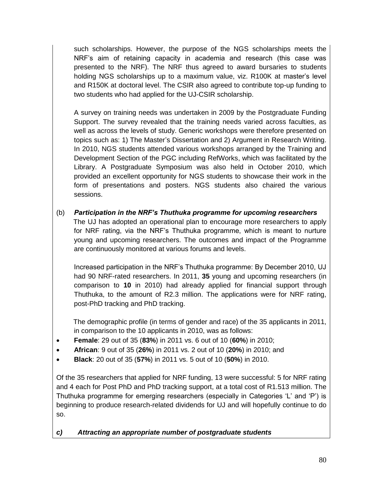such scholarships. However, the purpose of the NGS scholarships meets the NRF's aim of retaining capacity in academia and research (this case was presented to the NRF). The NRF thus agreed to award bursaries to students holding NGS scholarships up to a maximum value, viz. R100K at master's level and R150K at doctoral level. The CSIR also agreed to contribute top-up funding to two students who had applied for the UJ-CSIR scholarship.

A survey on training needs was undertaken in 2009 by the Postgraduate Funding Support. The survey revealed that the training needs varied across faculties, as well as across the levels of study. Generic workshops were therefore presented on topics such as: 1) The Master's Dissertation and 2) Argument in Research Writing. In 2010, NGS students attended various workshops arranged by the Training and Development Section of the PGC including RefWorks, which was facilitated by the Library. A Postgraduate Symposium was also held in October 2010, which provided an excellent opportunity for NGS students to showcase their work in the form of presentations and posters. NGS students also chaired the various sessions.

(b) *Participation in the NRF's Thuthuka programme for upcoming researchers* The UJ has adopted an operational plan to encourage more researchers to apply for NRF rating, via the NRF's Thuthuka programme, which is meant to nurture young and upcoming researchers. The outcomes and impact of the Programme are continuously monitored at various forums and levels.

Increased participation in the NRF's Thuthuka programme: By December 2010, UJ had 90 NRF-rated researchers. In 2011, **35** young and upcoming researchers (in comparison to **10** in 2010) had already applied for financial support through Thuthuka, to the amount of R2.3 million. The applications were for NRF rating, post-PhD tracking and PhD tracking.

 The demographic profile (in terms of gender and race) of the 35 applicants in 2011, in comparison to the 10 applicants in 2010, was as follows:

- **Female**: 29 out of 35 (**83%**) in 2011 vs. 6 out of 10 (**60%**) in 2010;
- **African**: 9 out of 35 (**26%**) in 2011 vs. 2 out of 10 (**20%**) in 2010; and
- **Black**: 20 out of 35 (**57%**) in 2011 vs. 5 out of 10 (**50%**) in 2010.

Of the 35 researchers that applied for NRF funding, 13 were successful: 5 for NRF rating and 4 each for Post PhD and PhD tracking support, at a total cost of R1.513 million. The Thuthuka programme for emerging researchers (especially in Categories 'L' and 'P') is beginning to produce research-related dividends for UJ and will hopefully continue to do so.

*c) Attracting an appropriate number of postgraduate students*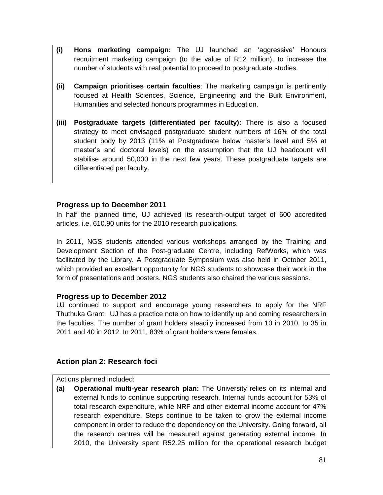- **(i) Hons marketing campaign:** The UJ launched an 'aggressive' Honours recruitment marketing campaign (to the value of R12 million), to increase the number of students with real potential to proceed to postgraduate studies.
- **(ii) Campaign prioritises certain faculties**: The marketing campaign is pertinently focused at Health Sciences, Science, Engineering and the Built Environment, Humanities and selected honours programmes in Education.
- **(iii) Postgraduate targets (differentiated per faculty):** There is also a focused strategy to meet envisaged postgraduate student numbers of 16% of the total student body by 2013 (11% at Postgraduate below master's level and 5% at master's and doctoral levels) on the assumption that the UJ headcount will stabilise around 50,000 in the next few years. These postgraduate targets are differentiated per faculty.

# **Progress up to December 2011**

In half the planned time, UJ achieved its research-output target of 600 accredited articles, i.e. 610.90 units for the 2010 research publications.

In 2011, NGS students attended various workshops arranged by the Training and Development Section of the Post-graduate Centre, including RefWorks, which was facilitated by the Library. A Postgraduate Symposium was also held in October 2011, which provided an excellent opportunity for NGS students to showcase their work in the form of presentations and posters. NGS students also chaired the various sessions.

#### **Progress up to December 2012**

UJ continued to support and encourage young researchers to apply for the NRF Thuthuka Grant. UJ has a practice note on how to identify up and coming researchers in the faculties. The number of grant holders steadily increased from 10 in 2010, to 35 in 2011 and 40 in 2012. In 2011, 83% of grant holders were females.

# **Action plan 2: Research foci**

Actions planned included:

**(a) Operational multi-year research plan:** The University relies on its internal and external funds to continue supporting research. Internal funds account for 53% of total research expenditure, while NRF and other external income account for 47% research expenditure. Steps continue to be taken to grow the external income component in order to reduce the dependency on the University. Going forward, all the research centres will be measured against generating external income. In 2010, the University spent R52.25 million for the operational research budget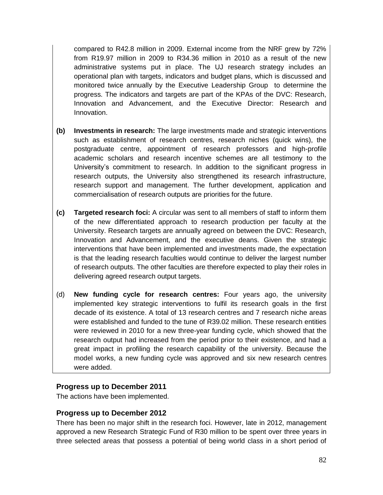compared to R42.8 million in 2009. External income from the NRF grew by 72% from R19.97 million in 2009 to R34.36 million in 2010 as a result of the new administrative systems put in place. The UJ research strategy includes an operational plan with targets, indicators and budget plans, which is discussed and monitored twice annually by the Executive Leadership Group to determine the progress. The indicators and targets are part of the KPAs of the DVC: Research, Innovation and Advancement, and the Executive Director: Research and Innovation.

- **(b) Investments in research:** The large investments made and strategic interventions such as establishment of research centres, research niches (quick wins), the postgraduate centre, appointment of research professors and high-profile academic scholars and research incentive schemes are all testimony to the University's commitment to research. In addition to the significant progress in research outputs, the University also strengthened its research infrastructure, research support and management. The further development, application and commercialisation of research outputs are priorities for the future.
- **(c) Targeted research foci:** A circular was sent to all members of staff to inform them of the new differentiated approach to research production per faculty at the University. Research targets are annually agreed on between the DVC: Research, Innovation and Advancement, and the executive deans. Given the strategic interventions that have been implemented and investments made, the expectation is that the leading research faculties would continue to deliver the largest number of research outputs. The other faculties are therefore expected to play their roles in delivering agreed research output targets.
- (d) **New funding cycle for research centres:** Four years ago, the university implemented key strategic interventions to fulfil its research goals in the first decade of its existence. A total of 13 research centres and 7 research niche areas were established and funded to the tune of R39.02 million. These research entities were reviewed in 2010 for a new three-year funding cycle, which showed that the research output had increased from the period prior to their existence, and had a great impact in profiling the research capability of the university. Because the model works, a new funding cycle was approved and six new research centres were added.

#### **Progress up to December 2011**

The actions have been implemented.

#### **Progress up to December 2012**

There has been no major shift in the research foci. However, late in 2012, management approved a new Research Strategic Fund of R30 million to be spent over three years in three selected areas that possess a potential of being world class in a short period of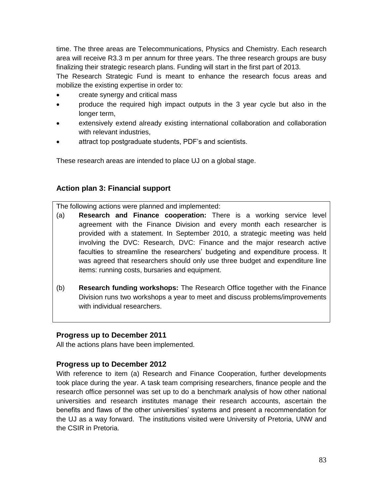time. The three areas are Telecommunications, Physics and Chemistry. Each research area will receive R3.3 m per annum for three years. The three research groups are busy finalizing their strategic research plans. Funding will start in the first part of 2013.

The Research Strategic Fund is meant to enhance the research focus areas and mobilize the existing expertise in order to:

- create synergy and critical mass
- produce the required high impact outputs in the 3 year cycle but also in the longer term,
- extensively extend already existing international collaboration and collaboration with relevant industries,
- attract top postgraduate students, PDF's and scientists.

These research areas are intended to place UJ on a global stage.

# **Action plan 3: Financial support**

The following actions were planned and implemented:

- (a) **Research and Finance cooperation:** There is a working service level agreement with the Finance Division and every month each researcher is provided with a statement. In September 2010, a strategic meeting was held involving the DVC: Research, DVC: Finance and the major research active faculties to streamline the researchers' budgeting and expenditure process. It was agreed that researchers should only use three budget and expenditure line items: running costs, bursaries and equipment.
- (b) **Research funding workshops:** The Research Office together with the Finance Division runs two workshops a year to meet and discuss problems/improvements with individual researchers.

#### **Progress up to December 2011**

All the actions plans have been implemented.

#### **Progress up to December 2012**

With reference to item (a) Research and Finance Cooperation, further developments took place during the year. A task team comprising researchers, finance people and the research office personnel was set up to do a benchmark analysis of how other national universities and research institutes manage their research accounts, ascertain the benefits and flaws of the other universities' systems and present a recommendation for the UJ as a way forward. The institutions visited were University of Pretoria, UNW and the CSIR in Pretoria.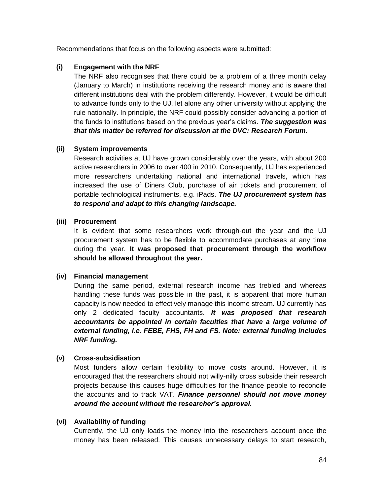Recommendations that focus on the following aspects were submitted:

#### **(i) Engagement with the NRF**

The NRF also recognises that there could be a problem of a three month delay (January to March) in institutions receiving the research money and is aware that different institutions deal with the problem differently. However, it would be difficult to advance funds only to the UJ, let alone any other university without applying the rule nationally. In principle, the NRF could possibly consider advancing a portion of the funds to institutions based on the previous year's claims. *The suggestion was that this matter be referred for discussion at the DVC: Research Forum.*

#### **(ii) System improvements**

Research activities at UJ have grown considerably over the years, with about 200 active researchers in 2006 to over 400 in 2010. Consequently, UJ has experienced more researchers undertaking national and international travels, which has increased the use of Diners Club, purchase of air tickets and procurement of portable technological instruments, e.g. iPads. *The UJ procurement system has to respond and adapt to this changing landscape.* 

#### **(iii) Procurement**

It is evident that some researchers work through-out the year and the UJ procurement system has to be flexible to accommodate purchases at any time during the year. **It was proposed that procurement through the workflow should be allowed throughout the year.** 

#### **(iv) Financial management**

During the same period, external research income has trebled and whereas handling these funds was possible in the past, it is apparent that more human capacity is now needed to effectively manage this income stream. UJ currently has only 2 dedicated faculty accountants. *It was proposed that research*  accountants be appointed in certain faculties that have a large volume of *external funding, i.e. FEBE, FHS, FH and FS. Note: external funding includes NRF funding.*

#### **(v) Cross-subsidisation**

Most funders allow certain flexibility to move costs around. However, it is encouraged that the researchers should not willy-nilly cross subside their research projects because this causes huge difficulties for the finance people to reconcile the accounts and to track VAT. *Finance personnel should not move money around the account without the researcher's approval.*

#### **(vi) Availability of funding**

Currently, the UJ only loads the money into the researchers account once the money has been released. This causes unnecessary delays to start research,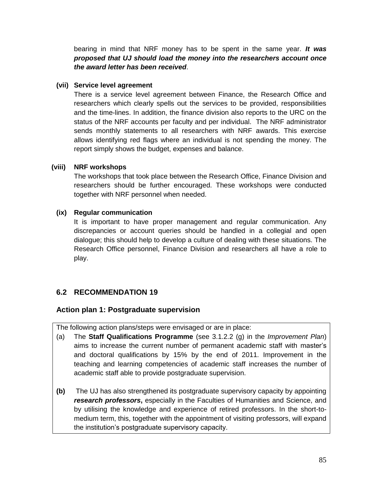bearing in mind that NRF money has to be spent in the same year. *It was proposed that UJ should load the money into the researchers account once the award letter has been received*.

#### **(vii) Service level agreement**

There is a service level agreement between Finance, the Research Office and researchers which clearly spells out the services to be provided, responsibilities and the time-lines. In addition, the finance division also reports to the URC on the status of the NRF accounts per faculty and per individual. The NRF administrator sends monthly statements to all researchers with NRF awards. This exercise allows identifying red flags where an individual is not spending the money. The report simply shows the budget, expenses and balance.

#### **(viii) NRF workshops**

The workshops that took place between the Research Office, Finance Division and researchers should be further encouraged. These workshops were conducted together with NRF personnel when needed.

#### **(ix) Regular communication**

It is important to have proper management and regular communication. Any discrepancies or account queries should be handled in a collegial and open dialogue; this should help to develop a culture of dealing with these situations. The Research Office personnel, Finance Division and researchers all have a role to play.

# **6.2 RECOMMENDATION 19**

#### **Action plan 1: Postgraduate supervision**

The following action plans/steps were envisaged or are in place:

- (a) The **Staff Qualifications Programme** (see 3.1.2.2 (g) in the *Improvement Plan*) aims to increase the current number of permanent academic staff with master's and doctoral qualifications by 15% by the end of 2011. Improvement in the teaching and learning competencies of academic staff increases the number of academic staff able to provide postgraduate supervision.
- **(b)** The UJ has also strengthened its postgraduate supervisory capacity by appointing *research professors***,** especially in the Faculties of Humanities and Science, and by utilising the knowledge and experience of retired professors. In the short-tomedium term, this, together with the appointment of visiting professors, will expand the institution's postgraduate supervisory capacity.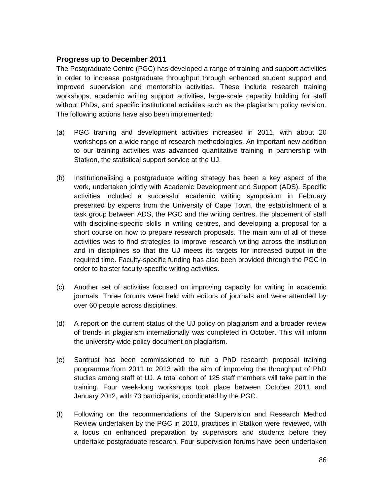#### **Progress up to December 2011**

The Postgraduate Centre (PGC) has developed a range of training and support activities in order to increase postgraduate throughput through enhanced student support and improved supervision and mentorship activities. These include research training workshops, academic writing support activities, large-scale capacity building for staff without PhDs, and specific institutional activities such as the plagiarism policy revision. The following actions have also been implemented:

- (a) PGC training and development activities increased in 2011, with about 20 workshops on a wide range of research methodologies. An important new addition to our training activities was advanced quantitative training in partnership with Statkon, the statistical support service at the UJ.
- (b) Institutionalising a postgraduate writing strategy has been a key aspect of the work, undertaken jointly with Academic Development and Support (ADS). Specific activities included a successful academic writing symposium in February presented by experts from the University of Cape Town, the establishment of a task group between ADS, the PGC and the writing centres, the placement of staff with discipline-specific skills in writing centres, and developing a proposal for a short course on how to prepare research proposals. The main aim of all of these activities was to find strategies to improve research writing across the institution and in disciplines so that the UJ meets its targets for increased output in the required time. Faculty-specific funding has also been provided through the PGC in order to bolster faculty-specific writing activities.
- (c) Another set of activities focused on improving capacity for writing in academic journals. Three forums were held with editors of journals and were attended by over 60 people across disciplines.
- (d) A report on the current status of the UJ policy on plagiarism and a broader review of trends in plagiarism internationally was completed in October. This will inform the university-wide policy document on plagiarism.
- (e) Santrust has been commissioned to run a PhD research proposal training programme from 2011 to 2013 with the aim of improving the throughput of PhD studies among staff at UJ. A total cohort of 125 staff members will take part in the training. Four week-long workshops took place between October 2011 and January 2012, with 73 participants, coordinated by the PGC.
- (f) Following on the recommendations of the Supervision and Research Method Review undertaken by the PGC in 2010, practices in Statkon were reviewed, with a focus on enhanced preparation by supervisors and students before they undertake postgraduate research. Four supervision forums have been undertaken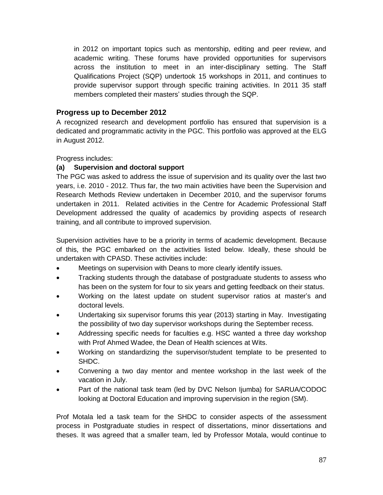in 2012 on important topics such as mentorship, editing and peer review, and academic writing. These forums have provided opportunities for supervisors across the institution to meet in an inter-disciplinary setting. The Staff Qualifications Project (SQP) undertook 15 workshops in 2011, and continues to provide supervisor support through specific training activities. In 2011 35 staff members completed their masters' studies through the SQP.

### **Progress up to December 2012**

A recognized research and development portfolio has ensured that supervision is a dedicated and programmatic activity in the PGC. This portfolio was approved at the ELG in August 2012.

Progress includes:

#### **(a) Supervision and doctoral support**

The PGC was asked to address the issue of supervision and its quality over the last two years, i.e. 2010 - 2012. Thus far, the two main activities have been the Supervision and Research Methods Review undertaken in December 2010, and the supervisor forums undertaken in 2011. Related activities in the Centre for Academic Professional Staff Development addressed the quality of academics by providing aspects of research training, and all contribute to improved supervision.

Supervision activities have to be a priority in terms of academic development. Because of this, the PGC embarked on the activities listed below. Ideally, these should be undertaken with CPASD. These activities include:

- Meetings on supervision with Deans to more clearly identify issues.
- Tracking students through the database of postgraduate students to assess who has been on the system for four to six years and getting feedback on their status.
- Working on the latest update on student supervisor ratios at master's and doctoral levels.
- Undertaking six supervisor forums this year (2013) starting in May. Investigating the possibility of two day supervisor workshops during the September recess.
- Addressing specific needs for faculties e.g. HSC wanted a three day workshop with Prof Ahmed Wadee, the Dean of Health sciences at Wits.
- Working on standardizing the supervisor/student template to be presented to SHDC.
- Convening a two day mentor and mentee workshop in the last week of the vacation in July.
- Part of the national task team (led by DVC Nelson Ijumba) for SARUA/CODOC looking at Doctoral Education and improving supervision in the region (SM).

Prof Motala led a task team for the SHDC to consider aspects of the assessment process in Postgraduate studies in respect of dissertations, minor dissertations and theses. It was agreed that a smaller team, led by Professor Motala, would continue to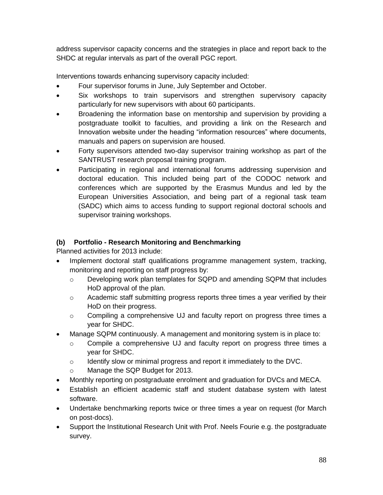address supervisor capacity concerns and the strategies in place and report back to the SHDC at regular intervals as part of the overall PGC report.

Interventions towards enhancing supervisory capacity included:

- Four supervisor forums in June, July September and October.
- Six workshops to train supervisors and strengthen supervisory capacity particularly for new supervisors with about 60 participants.
- Broadening the information base on mentorship and supervision by providing a postgraduate toolkit to faculties, and providing a link on the Research and Innovation website under the heading "information resources" where documents, manuals and papers on supervision are housed.
- Forty supervisors attended two-day supervisor training workshop as part of the SANTRUST research proposal training program.
- Participating in regional and international forums addressing supervision and doctoral education. This included being part of the CODOC network and conferences which are supported by the Erasmus Mundus and led by the European Universities Association, and being part of a regional task team (SADC) which aims to access funding to support regional doctoral schools and supervisor training workshops.

#### **(b) Portfolio - Research Monitoring and Benchmarking**

Planned activities for 2013 include:

- Implement doctoral staff qualifications programme management system, tracking, monitoring and reporting on staff progress by:
	- o Developing work plan templates for SQPD and amending SQPM that includes HoD approval of the plan.
	- $\circ$  Academic staff submitting progress reports three times a year verified by their HoD on their progress.
	- o Compiling a comprehensive UJ and faculty report on progress three times a year for SHDC.
- Manage SQPM continuously. A management and monitoring system is in place to:
	- o Compile a comprehensive UJ and faculty report on progress three times a year for SHDC.
	- o Identify slow or minimal progress and report it immediately to the DVC.
	- o Manage the SQP Budget for 2013.
- Monthly reporting on postgraduate enrolment and graduation for DVCs and MECA.
- Establish an efficient academic staff and student database system with latest software.
- Undertake benchmarking reports twice or three times a year on request (for March on post-docs).
- Support the Institutional Research Unit with Prof. Neels Fourie e.g. the postgraduate survey.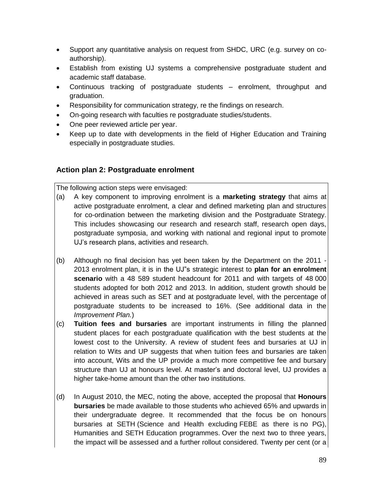- Support any quantitative analysis on request from SHDC, URC (e.g. survey on coauthorship).
- Establish from existing UJ systems a comprehensive postgraduate student and academic staff database.
- Continuous tracking of postgraduate students enrolment, throughput and graduation.
- Responsibility for communication strategy, re the findings on research.
- On-going research with faculties re postgraduate studies/students.
- One peer reviewed article per year.
- Keep up to date with developments in the field of Higher Education and Training especially in postgraduate studies.

# **Action plan 2: Postgraduate enrolment**

The following action steps were envisaged:

- (a) A key component to improving enrolment is a **marketing strategy** that aims at active postgraduate enrolment, a clear and defined marketing plan and structures for co-ordination between the marketing division and the Postgraduate Strategy. This includes showcasing our research and research staff, research open days, postgraduate symposia, and working with national and regional input to promote UJ's research plans, activities and research.
- (b) Although no final decision has yet been taken by the Department on the 2011 2013 enrolment plan, it is in the UJ"s strategic interest to **plan for an enrolment scenario** with a 48 589 student headcount for 2011 and with targets of 48 000 students adopted for both 2012 and 2013. In addition, student growth should be achieved in areas such as SET and at postgraduate level, with the percentage of postgraduate students to be increased to 16%. (See additional data in the *Improvement Plan.*)
- (c) **Tuition fees and bursaries** are important instruments in filling the planned student places for each postgraduate qualification with the best students at the lowest cost to the University. A review of student fees and bursaries at UJ in relation to Wits and UP suggests that when tuition fees and bursaries are taken into account, Wits and the UP provide a much more competitive fee and bursary structure than UJ at honours level. At master's and doctoral level, UJ provides a higher take-home amount than the other two institutions.
- (d) In August 2010, the MEC, noting the above, accepted the proposal that **Honours bursaries** be made available to those students who achieved 65% and upwards in their undergraduate degree. It recommended that the focus be on honours bursaries at SETH (Science and Health excluding FEBE as there is no PG), Humanities and SETH Education programmes. Over the next two to three years, the impact will be assessed and a further rollout considered. Twenty per cent (or a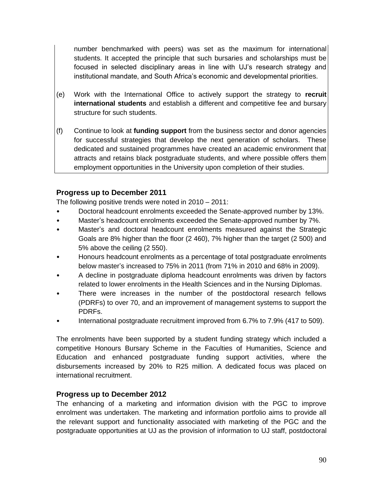number benchmarked with peers) was set as the maximum for international students. It accepted the principle that such bursaries and scholarships must be focused in selected disciplinary areas in line with UJ's research strategy and institutional mandate, and South Africa's economic and developmental priorities.

- (e) Work with the International Office to actively support the strategy to **recruit international students** and establish a different and competitive fee and bursary structure for such students.
- (f) Continue to look at **funding support** from the business sector and donor agencies for successful strategies that develop the next generation of scholars. These dedicated and sustained programmes have created an academic environment that attracts and retains black postgraduate students, and where possible offers them employment opportunities in the University upon completion of their studies.

# **Progress up to December 2011**

The following positive trends were noted in 2010 – 2011:

- Doctoral headcount enrolments exceeded the Senate-approved number by 13%.
- Master's headcount enrolments exceeded the Senate-approved number by 7%.
- Master's and doctoral headcount enrolments measured against the Strategic Goals are 8% higher than the floor (2 460), 7% higher than the target (2 500) and 5% above the ceiling (2 550).
- Honours headcount enrolments as a percentage of total postgraduate enrolments below master's increased to 75% in 2011 (from 71% in 2010 and 68% in 2009).
- A decline in postgraduate diploma headcount enrolments was driven by factors related to lower enrolments in the Health Sciences and in the Nursing Diplomas.
- There were increases in the number of the postdoctoral research fellows (PDRFs) to over 70, and an improvement of management systems to support the PDRFs.
- International postgraduate recruitment improved from 6.7% to 7.9% (417 to 509).

The enrolments have been supported by a student funding strategy which included a competitive Honours Bursary Scheme in the Faculties of Humanities, Science and Education and enhanced postgraduate funding support activities, where the disbursements increased by 20% to R25 million. A dedicated focus was placed on international recruitment.

#### **Progress up to December 2012**

The enhancing of a marketing and information division with the PGC to improve enrolment was undertaken. The marketing and information portfolio aims to provide all the relevant support and functionality associated with marketing of the PGC and the postgraduate opportunities at UJ as the provision of information to UJ staff, postdoctoral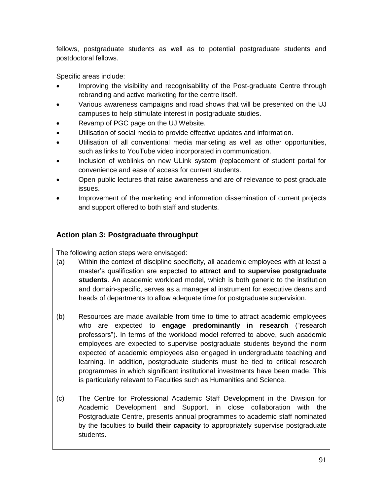fellows, postgraduate students as well as to potential postgraduate students and postdoctoral fellows.

Specific areas include:

- Improving the visibility and recognisability of the Post-graduate Centre through rebranding and active marketing for the centre itself.
- Various awareness campaigns and road shows that will be presented on the UJ campuses to help stimulate interest in postgraduate studies.
- Revamp of PGC page on the UJ Website.
- Utilisation of social media to provide effective updates and information.
- Utilisation of all conventional media marketing as well as other opportunities, such as links to YouTube video incorporated in communication.
- Inclusion of weblinks on new ULink system (replacement of student portal for convenience and ease of access for current students.
- Open public lectures that raise awareness and are of relevance to post graduate issues.
- Improvement of the marketing and information dissemination of current projects and support offered to both staff and students.

# **Action plan 3: Postgraduate throughput**

The following action steps were envisaged:

- (a) Within the context of discipline specificity, all academic employees with at least a master's qualification are expected **to attract and to supervise postgraduate students**. An academic workload model, which is both generic to the institution and domain-specific, serves as a managerial instrument for executive deans and heads of departments to allow adequate time for postgraduate supervision.
- (b) Resources are made available from time to time to attract academic employees who are expected to **engage predominantly in research** ("research professors"). In terms of the workload model referred to above, such academic employees are expected to supervise postgraduate students beyond the norm expected of academic employees also engaged in undergraduate teaching and learning. In addition, postgraduate students must be tied to critical research programmes in which significant institutional investments have been made. This is particularly relevant to Faculties such as Humanities and Science.
- (c) The Centre for Professional Academic Staff Development in the Division for Academic Development and Support, in close collaboration with the Postgraduate Centre, presents annual programmes to academic staff nominated by the faculties to **build their capacity** to appropriately supervise postgraduate students.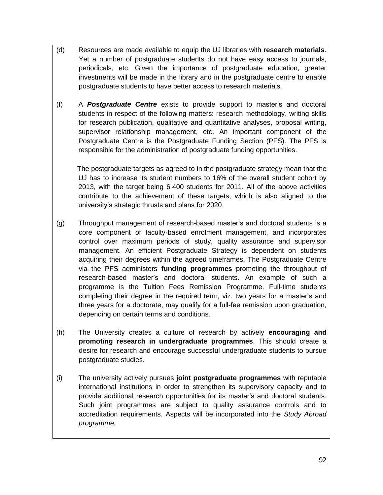- (d) Resources are made available to equip the UJ libraries with **research materials**. Yet a number of postgraduate students do not have easy access to journals, periodicals, etc. Given the importance of postgraduate education, greater investments will be made in the library and in the postgraduate centre to enable postgraduate students to have better access to research materials.
- (f) A *Postgraduate Centre* exists to provide support to master's and doctoral students in respect of the following matters: research methodology, writing skills for research publication, qualitative and quantitative analyses, proposal writing, supervisor relationship management, etc. An important component of the Postgraduate Centre is the Postgraduate Funding Section (PFS). The PFS is responsible for the administration of postgraduate funding opportunities.

 The postgraduate targets as agreed to in the postgraduate strategy mean that the UJ has to increase its student numbers to 16% of the overall student cohort by 2013, with the target being 6 400 students for 2011. All of the above activities contribute to the achievement of these targets, which is also aligned to the university's strategic thrusts and plans for 2020.

- (g) Throughput management of research-based master's and doctoral students is a core component of faculty-based enrolment management, and incorporates control over maximum periods of study, quality assurance and supervisor management. An efficient Postgraduate Strategy is dependent on students acquiring their degrees within the agreed timeframes. The Postgraduate Centre via the PFS administers **funding programmes** promoting the throughput of research-based master's and doctoral students. An example of such a programme is the Tuition Fees Remission Programme. Full-time students completing their degree in the required term, viz. two years for a master's and three years for a doctorate, may qualify for a full-fee remission upon graduation, depending on certain terms and conditions.
- (h) The University creates a culture of research by actively **encouraging and promoting research in undergraduate programmes**. This should create a desire for research and encourage successful undergraduate students to pursue postgraduate studies.
- (i) The university actively pursues **joint postgraduate programmes** with reputable international institutions in order to strengthen its supervisory capacity and to provide additional research opportunities for its master's and doctoral students. Such joint programmes are subject to quality assurance controls and to accreditation requirements. Aspects will be incorporated into the *Study Abroad programme.*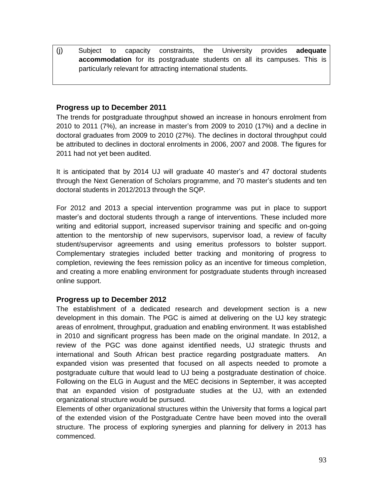(j) Subject to capacity constraints, the University provides **adequate accommodation** for its postgraduate students on all its campuses. This is particularly relevant for attracting international students.

#### **Progress up to December 2011**

The trends for postgraduate throughput showed an increase in honours enrolment from 2010 to 2011 (7%), an increase in master's from 2009 to 2010 (17%) and a decline in doctoral graduates from 2009 to 2010 (27%). The declines in doctoral throughput could be attributed to declines in doctoral enrolments in 2006, 2007 and 2008. The figures for 2011 had not yet been audited.

It is anticipated that by 2014 UJ will graduate 40 master's and 47 doctoral students through the Next Generation of Scholars programme, and 70 master's students and ten doctoral students in 2012/2013 through the SQP.

For 2012 and 2013 a special intervention programme was put in place to support master's and doctoral students through a range of interventions. These included more writing and editorial support, increased supervisor training and specific and on-going attention to the mentorship of new supervisors, supervisor load, a review of faculty student/supervisor agreements and using emeritus professors to bolster support. Complementary strategies included better tracking and monitoring of progress to completion, reviewing the fees remission policy as an incentive for timeous completion, and creating a more enabling environment for postgraduate students through increased online support.

#### **Progress up to December 2012**

The establishment of a dedicated research and development section is a new development in this domain. The PGC is aimed at delivering on the UJ key strategic areas of enrolment, throughput, graduation and enabling environment. It was established in 2010 and significant progress has been made on the original mandate. In 2012, a review of the PGC was done against identified needs, UJ strategic thrusts and international and South African best practice regarding postgraduate matters. An expanded vision was presented that focused on all aspects needed to promote a postgraduate culture that would lead to UJ being a postgraduate destination of choice. Following on the ELG in August and the MEC decisions in September, it was accepted that an expanded vision of postgraduate studies at the UJ, with an extended organizational structure would be pursued.

Elements of other organizational structures within the University that forms a logical part of the extended vision of the Postgraduate Centre have been moved into the overall structure. The process of exploring synergies and planning for delivery in 2013 has commenced.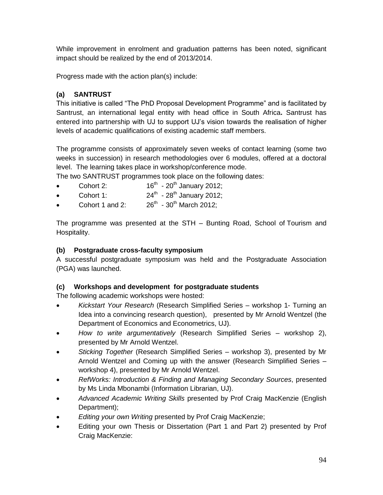While improvement in enrolment and graduation patterns has been noted, significant impact should be realized by the end of 2013/2014.

Progress made with the action plan(s) include:

### **(a) SANTRUST**

This initiative is called "The PhD Proposal Development Programme" and is facilitated by Santrust, an international legal entity with head office in South Africa**.** Santrust has entered into partnership with UJ to support UJ's vision towards the realisation of higher levels of academic qualifications of existing academic staff members.

The programme consists of approximately seven weeks of contact learning (some two weeks in succession) in research methodologies over 6 modules, offered at a doctoral level. The learning takes place in workshop/conference mode.

The two SANTRUST programmes took place on the following dates:

- Cohort 2:  $16^{th}$  - 20<sup>th</sup> January 2012;
- $\bullet$  Cohort 1:  $24^{th}$  - 28<sup>th</sup> January 2012;
- Cohort 1 and  $2<sup>6</sup>$  $26^{th}$  - 30<sup>th</sup> March 2012:

The programme was presented at the STH – Bunting Road, School of Tourism and Hospitality.

### **(b) Postgraduate cross-faculty symposium**

A successful postgraduate symposium was held and the Postgraduate Association (PGA) was launched.

#### **(c) Workshops and development for postgraduate students**

The following academic workshops were hosted:

- *Kickstart Your Research* (Research Simplified Series workshop 1- Turning an Idea into a convincing research question), presented by Mr Arnold Wentzel (the Department of Economics and Econometrics, UJ).
- *How to write argumentatively* (Research Simplified Series workshop 2), presented by Mr Arnold Wentzel.
- *Sticking Together* (Research Simplified Series workshop 3), presented by Mr Arnold Wentzel and Coming up with the answer (Research Simplified Series – workshop 4), presented by Mr Arnold Wentzel.
- *RefWorks: Introduction & Finding and Managing Secondary Sources*, presented by Ms Linda Mbonambi (Information Librarian, UJ).
- *Advanced Academic Writing Skills* presented by Prof Craig MacKenzie (English Department);
- *Editing your own Writing* presented by Prof Craig MacKenzie;
- Editing your own Thesis or Dissertation (Part 1 and Part 2) presented by Prof Craig MacKenzie: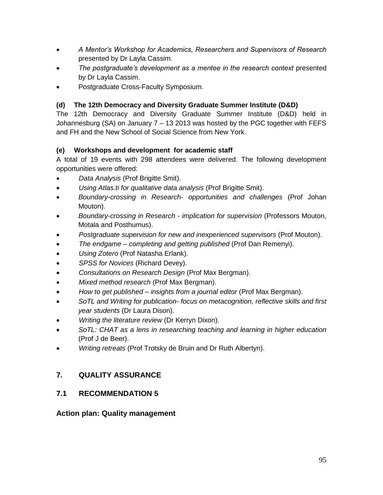- *A Mentor's Workshop for Academics, Researchers and Supervisors of Research* presented by Dr Layla Cassim.
- *The postgraduate's development as a mentee in the research context* presented by Dr Layla Cassim.
- Postgraduate Cross-Faculty Symposium.

# **(d) The 12th Democracy and Diversity Graduate Summer Institute (D&D)**

The 12th Democracy and Diversity Graduate Summer Institute (D&D) held in Johannesburg (SA) on January 7 – 13 2013 was hosted by the PGC together with FEFS and FH and the New School of Social Science from New York.

# **(e) Workshops and development for academic staff**

A total of 19 events with 298 attendees were delivered. The following development opportunities were offered:

- *Data Analysis* (Prof Brigitte Smit).
- *Using Atlas.ti for qualitative data analysis* (Prof Brigitte Smit).
- *Boundary-crossing in Research- opportunities and challenges* (Prof Johan Mouton).
- *Boundary-crossing in Research - implication for supervision* (Professors Mouton, Motala and Posthumus).
- *Postgraduate supervision for new and inexperienced supervisors* (Prof Mouton).
- *The endgame – completing and getting published* (Prof Dan Remenyi).
- *Using Zotero* (Prof Natasha Erlank).
- *SPSS for Novices* (Richard Devey).
- *Consultations on Research Design* (Prof Max Bergman).
- *Mixed method research* (Prof Max Bergman).
- *How to get published – insights from a journal editor* (Prof Max Bergman).
- *SoTL and Writing for publication- focus on metacognition, reflective skills and first year students* (Dr Laura Dison).
- *Writing the literature review* (Dr Kerryn Dixon).
- *SoTL: CHAT as a lens in researching teaching and learning in higher education* (Prof J de Beer).
- *Writing retreats* (Prof Trotsky de Bruin and Dr Ruth Albertyn).

# **7. QUALITY ASSURANCE**

# **7.1 RECOMMENDATION 5**

#### **Action plan: Quality management**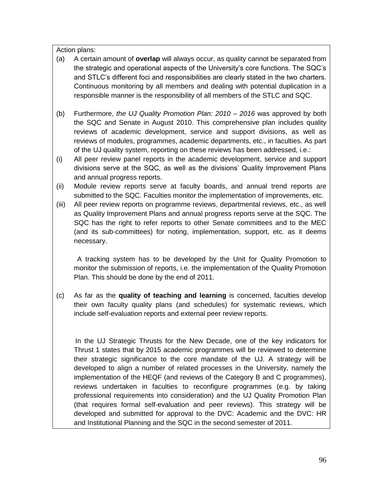Action plans:

- (a) A certain amount of **overlap** will always occur, as quality cannot be separated from the strategic and operational aspects of the University's core functions. The SQC's and STLC's different foci and responsibilities are clearly stated in the two charters. Continuous monitoring by all members and dealing with potential duplication in a responsible manner is the responsibility of all members of the STLC and SQC.
- (b) Furthermore, *the UJ Quality Promotion Plan: 2010 – 2016* was approved by both the SQC and Senate in August 2010. This comprehensive plan includes quality reviews of academic development, service and support divisions, as well as reviews of modules, programmes, academic departments, etc., in faculties. As part of the UJ quality system, reporting on these reviews has been addressed, i.e.:
- (i) All peer review panel reports in the academic development, service and support divisions serve at the SQC, as well as the divisions' Quality Improvement Plans and annual progress reports.
- (ii) Module review reports serve at faculty boards, and annual trend reports are submitted to the SQC. Faculties monitor the implementation of improvements, etc.
- (iii) All peer review reports on programme reviews, departmental reviews, etc., as well as Quality Improvement Plans and annual progress reports serve at the SQC. The SQC has the right to refer reports to other Senate committees and to the MEC (and its sub-committees) for noting, implementation, support, etc. as it deems necessary.

 A tracking system has to be developed by the Unit for Quality Promotion to monitor the submission of reports, i.e. the implementation of the Quality Promotion Plan. This should be done by the end of 2011.

(c) As far as the **quality of teaching and learning** is concerned, faculties develop their own faculty quality plans (and schedules) for systematic reviews, which include self-evaluation reports and external peer review reports.

 In the UJ Strategic Thrusts for the New Decade, one of the key indicators for Thrust 1 states that by 2015 academic programmes will be reviewed to determine their strategic significance to the core mandate of the UJ. A strategy will be developed to align a number of related processes in the University, namely the implementation of the HEQF (and reviews of the Category B and C programmes), reviews undertaken in faculties to reconfigure programmes (e.g. by taking professional requirements into consideration) and the UJ Quality Promotion Plan (that requires formal self-evaluation and peer reviews). This strategy will be developed and submitted for approval to the DVC: Academic and the DVC: HR and Institutional Planning and the SQC in the second semester of 2011.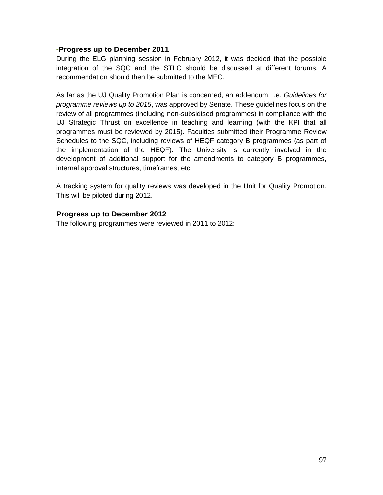#### **-Progress up to December 2011**

During the ELG planning session in February 2012, it was decided that the possible integration of the SQC and the STLC should be discussed at different forums. A recommendation should then be submitted to the MEC.

As far as the UJ Quality Promotion Plan is concerned, an addendum, i.e. *Guidelines for programme reviews up to 2015*, was approved by Senate. These guidelines focus on the review of all programmes (including non-subsidised programmes) in compliance with the UJ Strategic Thrust on excellence in teaching and learning (with the KPI that all programmes must be reviewed by 2015). Faculties submitted their Programme Review Schedules to the SQC, including reviews of HEQF category B programmes (as part of the implementation of the HEQF). The University is currently involved in the development of additional support for the amendments to category B programmes, internal approval structures, timeframes, etc.

A tracking system for quality reviews was developed in the Unit for Quality Promotion. This will be piloted during 2012.

#### **Progress up to December 2012**

The following programmes were reviewed in 2011 to 2012: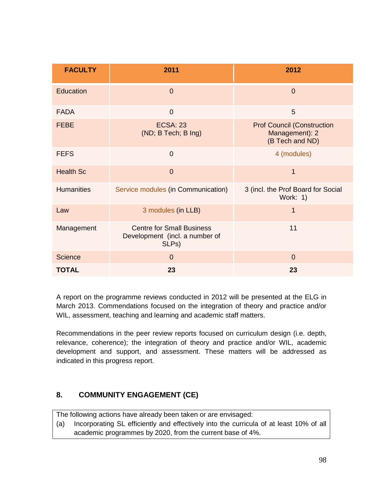| <b>FACULTY</b>    | 2011                                                                        | 2012                                                                   |  |
|-------------------|-----------------------------------------------------------------------------|------------------------------------------------------------------------|--|
| Education         | $\overline{0}$                                                              | $\overline{0}$                                                         |  |
| <b>FADA</b>       | $\overline{0}$                                                              | 5                                                                      |  |
| <b>FEBE</b>       | <b>ECSA: 23</b><br>(ND; B Tech; B Ing)                                      | <b>Prof Council (Construction</b><br>Management): 2<br>(B Tech and ND) |  |
| <b>FEFS</b>       | $\overline{0}$                                                              | 4 (modules)                                                            |  |
| <b>Health Sc</b>  | $\overline{0}$                                                              | 1                                                                      |  |
| <b>Humanities</b> | Service modules (in Communication)                                          | 3 (incl. the Prof Board for Social<br>Work: 1)                         |  |
| Law               | 3 modules (in LLB)                                                          | 1                                                                      |  |
| Management        | <b>Centre for Small Business</b><br>Development (incl. a number of<br>SLPs) | 11                                                                     |  |
| <b>Science</b>    | $\overline{0}$                                                              | $\overline{0}$                                                         |  |
| <b>TOTAL</b>      | 23                                                                          | 23                                                                     |  |

A report on the programme reviews conducted in 2012 will be presented at the ELG in March 2013. Commendations focused on the integration of theory and practice and/or WIL, assessment, teaching and learning and academic staff matters.

Recommendations in the peer review reports focused on curriculum design (i.e. depth, relevance, coherence); the integration of theory and practice and/or WIL, academic development and support, and assessment. These matters will be addressed as indicated in this progress report.

# **8. COMMUNITY ENGAGEMENT (CE)**

The following actions have already been taken or are envisaged:

(a) Incorporating SL efficiently and effectively into the curricula of at least 10% of all academic programmes by 2020, from the current base of 4%.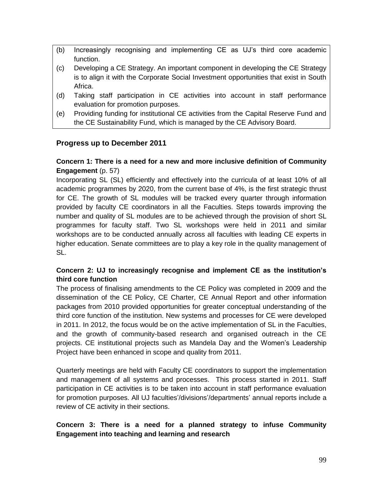- (b) Increasingly recognising and implementing CE as UJ's third core academic function.
- (c) Developing a CE Strategy. An important component in developing the CE Strategy is to align it with the Corporate Social Investment opportunities that exist in South Africa.
- (d) Taking staff participation in CE activities into account in staff performance evaluation for promotion purposes.
- (e) Providing funding for institutional CE activities from the Capital Reserve Fund and the CE Sustainability Fund, which is managed by the CE Advisory Board.

# **Progress up to December 2011**

#### **Concern 1: There is a need for a new and more inclusive definition of Community Engagement** (p. 57)

Incorporating SL (SL) efficiently and effectively into the curricula of at least 10% of all academic programmes by 2020, from the current base of 4%, is the first strategic thrust for CE. The growth of SL modules will be tracked every quarter through information provided by faculty CE coordinators in all the Faculties. Steps towards improving the number and quality of SL modules are to be achieved through the provision of short SL programmes for faculty staff. Two SL workshops were held in 2011 and similar workshops are to be conducted annually across all faculties with leading CE experts in higher education. Senate committees are to play a key role in the quality management of SL.

#### **Concern 2: UJ to increasingly recognise and implement CE as the institution's third core function**

The process of finalising amendments to the CE Policy was completed in 2009 and the dissemination of the CE Policy, CE Charter, CE Annual Report and other information packages from 2010 provided opportunities for greater conceptual understanding of the third core function of the institution. New systems and processes for CE were developed in 2011. In 2012, the focus would be on the active implementation of SL in the Faculties, and the growth of community-based research and organised outreach in the CE projects. CE institutional projects such as Mandela Day and the Women's Leadership Project have been enhanced in scope and quality from 2011.

Quarterly meetings are held with Faculty CE coordinators to support the implementation and management of all systems and processes. This process started in 2011. Staff participation in CE activities is to be taken into account in staff performance evaluation for promotion purposes. All UJ faculties'/divisions'/departments' annual reports include a review of CE activity in their sections.

#### **Concern 3: There is a need for a planned strategy to infuse Community Engagement into teaching and learning and research**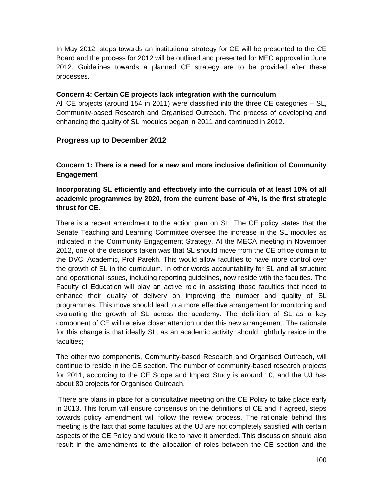In May 2012, steps towards an institutional strategy for CE will be presented to the CE Board and the process for 2012 will be outlined and presented for MEC approval in June 2012. Guidelines towards a planned CE strategy are to be provided after these processes.

#### **Concern 4: Certain CE projects lack integration with the curriculum**

All CE projects (around 154 in 2011) were classified into the three CE categories – SL, Community-based Research and Organised Outreach. The process of developing and enhancing the quality of SL modules began in 2011 and continued in 2012.

# **Progress up to December 2012**

**Concern 1: There is a need for a new and more inclusive definition of Community Engagement**

**Incorporating SL efficiently and effectively into the curricula of at least 10% of all academic programmes by 2020, from the current base of 4%, is the first strategic thrust for CE.** 

There is a recent amendment to the action plan on SL. The CE policy states that the Senate Teaching and Learning Committee oversee the increase in the SL modules as indicated in the Community Engagement Strategy. At the MECA meeting in November 2012, one of the decisions taken was that SL should move from the CE office domain to the DVC: Academic, Prof Parekh. This would allow faculties to have more control over the growth of SL in the curriculum. In other words accountability for SL and all structure and operational issues, including reporting guidelines, now reside with the faculties. The Faculty of Education will play an active role in assisting those faculties that need to enhance their quality of delivery on improving the number and quality of SL programmes. This move should lead to a more effective arrangement for monitoring and evaluating the growth of SL across the academy. The definition of SL as a key component of CE will receive closer attention under this new arrangement. The rationale for this change is that ideally SL, as an academic activity, should rightfully reside in the faculties;

The other two components, Community-based Research and Organised Outreach, will continue to reside in the CE section. The number of community-based research projects for 2011, according to the CE Scope and Impact Study is around 10, and the UJ has about 80 projects for Organised Outreach.

There are plans in place for a consultative meeting on the CE Policy to take place early in 2013. This forum will ensure consensus on the definitions of CE and if agreed, steps towards policy amendment will follow the review process. The rationale behind this meeting is the fact that some faculties at the UJ are not completely satisfied with certain aspects of the CE Policy and would like to have it amended. This discussion should also result in the amendments to the allocation of roles between the CE section and the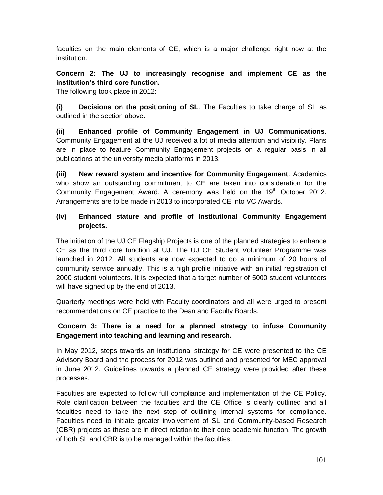faculties on the main elements of CE, which is a major challenge right now at the institution.

# **Concern 2: The UJ to increasingly recognise and implement CE as the institution's third core function.**

The following took place in 2012:

**(i) Decisions on the positioning of SL**. The Faculties to take charge of SL as outlined in the section above.

**(ii) Enhanced profile of Community Engagement in UJ Communications**. Community Engagement at the UJ received a lot of media attention and visibility. Plans are in place to feature Community Engagement projects on a regular basis in all publications at the university media platforms in 2013.

**(iii) New reward system and incentive for Community Engagement**. Academics who show an outstanding commitment to CE are taken into consideration for the Community Engagement Award. A ceremony was held on the  $19<sup>th</sup>$  October 2012. Arrangements are to be made in 2013 to incorporated CE into VC Awards.

### **(iv) Enhanced stature and profile of Institutional Community Engagement projects.**

The initiation of the UJ CE Flagship Projects is one of the planned strategies to enhance CE as the third core function at UJ. The UJ CE Student Volunteer Programme was launched in 2012. All students are now expected to do a minimum of 20 hours of community service annually. This is a high profile initiative with an initial registration of 2000 student volunteers. It is expected that a target number of 5000 student volunteers will have signed up by the end of 2013.

Quarterly meetings were held with Faculty coordinators and all were urged to present recommendations on CE practice to the Dean and Faculty Boards.

#### **Concern 3: There is a need for a planned strategy to infuse Community Engagement into teaching and learning and research.**

In May 2012, steps towards an institutional strategy for CE were presented to the CE Advisory Board and the process for 2012 was outlined and presented for MEC approval in June 2012. Guidelines towards a planned CE strategy were provided after these processes.

Faculties are expected to follow full compliance and implementation of the CE Policy. Role clarification between the faculties and the CE Office is clearly outlined and all faculties need to take the next step of outlining internal systems for compliance. Faculties need to initiate greater involvement of SL and Community-based Research (CBR) projects as these are in direct relation to their core academic function. The growth of both SL and CBR is to be managed within the faculties.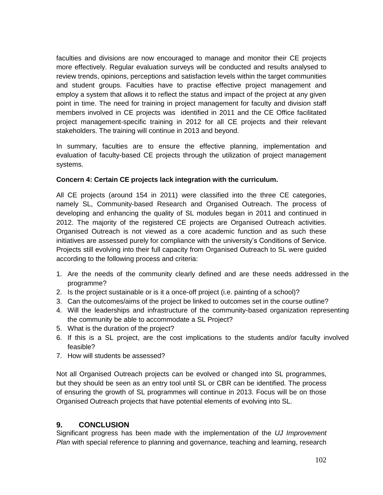faculties and divisions are now encouraged to manage and monitor their CE projects more effectively. Regular evaluation surveys will be conducted and results analysed to review trends, opinions, perceptions and satisfaction levels within the target communities and student groups. Faculties have to practise effective project management and employ a system that allows it to reflect the status and impact of the project at any given point in time. The need for training in project management for faculty and division staff members involved in CE projects was identified in 2011 and the CE Office facilitated project management-specific training in 2012 for all CE projects and their relevant stakeholders. The training will continue in 2013 and beyond.

In summary, faculties are to ensure the effective planning, implementation and evaluation of faculty-based CE projects through the utilization of project management systems.

#### **Concern 4: Certain CE projects lack integration with the curriculum.**

All CE projects (around 154 in 2011) were classified into the three CE categories, namely SL, Community-based Research and Organised Outreach. The process of developing and enhancing the quality of SL modules began in 2011 and continued in 2012. The majority of the registered CE projects are Organised Outreach activities. Organised Outreach is not viewed as a core academic function and as such these initiatives are assessed purely for compliance with the university's Conditions of Service. Projects still evolving into their full capacity from Organised Outreach to SL were guided according to the following process and criteria:

- 1. Are the needs of the community clearly defined and are these needs addressed in the programme?
- 2. Is the project sustainable or is it a once-off project (i.e. painting of a school)?
- 3. Can the outcomes/aims of the project be linked to outcomes set in the course outline?
- 4. Will the leaderships and infrastructure of the community-based organization representing the community be able to accommodate a SL Project?
- 5. What is the duration of the project?
- 6. If this is a SL project, are the cost implications to the students and/or faculty involved feasible?
- 7. How will students be assessed?

Not all Organised Outreach projects can be evolved or changed into SL programmes, but they should be seen as an entry tool until SL or CBR can be identified. The process of ensuring the growth of SL programmes will continue in 2013. Focus will be on those Organised Outreach projects that have potential elements of evolving into SL.

#### **9. CONCLUSION**

Significant progress has been made with the implementation of the *UJ Improvement Plan* with special reference to planning and governance, teaching and learning, research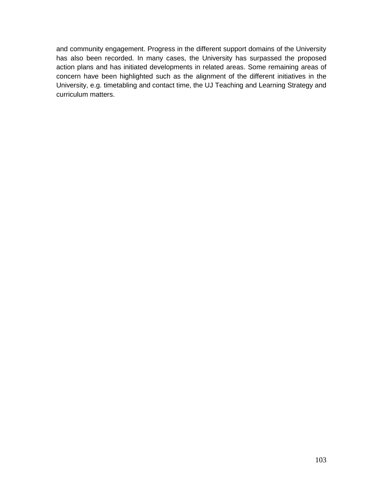and community engagement. Progress in the different support domains of the University has also been recorded. In many cases, the University has surpassed the proposed action plans and has initiated developments in related areas. Some remaining areas of concern have been highlighted such as the alignment of the different initiatives in the University, e.g. timetabling and contact time, the UJ Teaching and Learning Strategy and curriculum matters.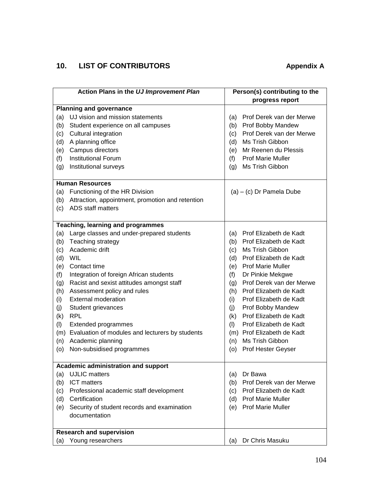# **10. LIST OF CONTRIBUTORS Appendix A**

| Action Plans in the UJ Improvement Plan    |                                                                       | Person(s) contributing to the   |  |
|--------------------------------------------|-----------------------------------------------------------------------|---------------------------------|--|
|                                            |                                                                       | progress report                 |  |
| <b>Planning and governance</b>             |                                                                       |                                 |  |
| (a)                                        | UJ vision and mission statements                                      | Prof Derek van der Merwe<br>(a) |  |
| (b)                                        | Student experience on all campuses                                    | Prof Bobby Mandew<br>(b)        |  |
| (c)                                        | Cultural integration                                                  | Prof Derek van der Merwe<br>(c) |  |
| (d)                                        | A planning office                                                     | Ms Trish Gibbon<br>(d)          |  |
| (e)                                        | Campus directors                                                      | Mr Reenen du Plessis<br>(e)     |  |
| (f)                                        | <b>Institutional Forum</b>                                            | <b>Prof Marie Muller</b><br>(f) |  |
| (g)                                        | Institutional surveys                                                 | Ms Trish Gibbon<br>(g)          |  |
|                                            | <b>Human Resources</b>                                                |                                 |  |
|                                            |                                                                       |                                 |  |
| (a)                                        | Functioning of the HR Division                                        | $(a) - (c)$ Dr Pamela Dube      |  |
| (b)                                        | Attraction, appointment, promotion and retention<br>ADS staff matters |                                 |  |
| (c)                                        |                                                                       |                                 |  |
|                                            | <b>Teaching, learning and programmes</b>                              |                                 |  |
| (a)                                        | Large classes and under-prepared students                             | Prof Elizabeth de Kadt<br>(a)   |  |
| (b)                                        | Teaching strategy                                                     | Prof Elizabeth de Kadt<br>(b)   |  |
| (c)                                        | Academic drift                                                        | Ms Trish Gibbon<br>(c)          |  |
| (d)                                        | WIL                                                                   | Prof Elizabeth de Kadt<br>(d)   |  |
|                                            | (e) Contact time                                                      | <b>Prof Marie Muller</b><br>(e) |  |
| (f)                                        | Integration of foreign African students                               | Dr Pinkie Mekgwe<br>(f)         |  |
| (g)                                        | Racist and sexist attitudes amongst staff                             | Prof Derek van der Merwe<br>(g) |  |
| (h)                                        | Assessment policy and rules                                           | Prof Elizabeth de Kadt<br>(h)   |  |
| (i)                                        | <b>External moderation</b>                                            | Prof Elizabeth de Kadt<br>(i)   |  |
| (j)                                        | Student grievances                                                    | Prof Bobby Mandew<br>(j)        |  |
| (k)                                        | <b>RPL</b>                                                            | Prof Elizabeth de Kadt<br>(k)   |  |
| (1)                                        | <b>Extended programmes</b>                                            | Prof Elizabeth de Kadt<br>(1)   |  |
|                                            | (m) Evaluation of modules and lecturers by students                   | (m) Prof Elizabeth de Kadt      |  |
| (n)                                        | Academic planning                                                     | Ms Trish Gibbon<br>(n)          |  |
| (o)                                        | Non-subsidised programmes                                             | Prof Hester Geyser<br>(o)       |  |
| <b>Academic administration and support</b> |                                                                       |                                 |  |
| (a)                                        | <b>UJLIC</b> matters                                                  | Dr Bawa<br>(a)                  |  |
| (b)                                        | <b>ICT</b> matters                                                    | Prof Derek van der Merwe<br>(b) |  |
| (c)                                        | Professional academic staff development                               | Prof Elizabeth de Kadt<br>(c)   |  |
| (d)                                        | Certification                                                         | <b>Prof Marie Muller</b><br>(d) |  |
| (e)                                        | Security of student records and examination                           | <b>Prof Marie Muller</b><br>(e) |  |
|                                            | documentation                                                         |                                 |  |
|                                            |                                                                       |                                 |  |
|                                            | <b>Research and supervision</b>                                       |                                 |  |
| (a)                                        | Young researchers                                                     | Dr Chris Masuku<br>(a)          |  |